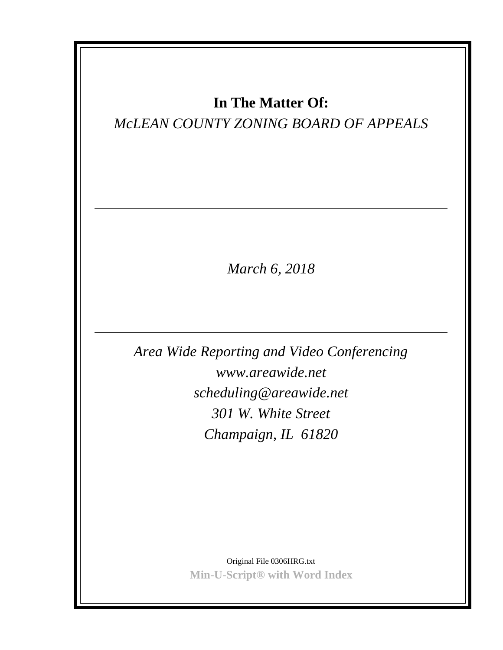## **In The Matter Of:**

## *McLEAN COUNTY ZONING BOARD OF APPEALS*

*March 6, 2018*

*Area Wide Reporting and Video Conferencing www.areawide.net scheduling@areawide.net 301 W. White Street Champaign, IL 61820*

> Original File 0306HRG.txt **Min-U-Script® with Word Index**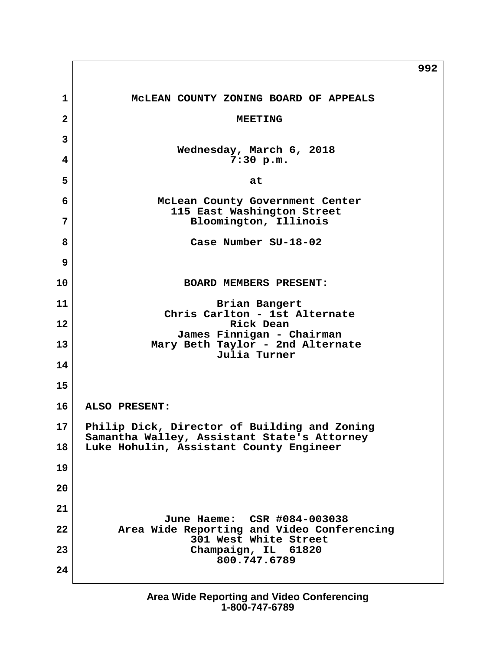**992 1 McLEAN COUNTY ZONING BOARD OF APPEALS 2** MEETING  **3 Wednesday, March 6, 2018 4 7:30 p.m.**  $\vert$  5  $\vert$  **6 McLean County Government Center 115 East Washington Street 7 Bloomington, Illinois 8 Case Number SU-18-02 9 10 BOARD MEMBERS PRESENT:** 11 Brian Bangert  **Chris Carlton - 1st Alternate 12 Rick Dean James Finnigan - Chairman 13 Mary Beth Taylor - 2nd Alternate Julia Turner 14 15 16 ALSO PRESENT: 17 Philip Dick, Director of Building and Zoning Samantha Walley, Assistant State's Attorney 18 Luke Hohulin, Assistant County Engineer 19 20 21 June Haeme: CSR #084-003038 22 Area Wide Reporting and Video Conferencing 301 West White Street 23 Champaign, IL 61820 800.747.6789 24**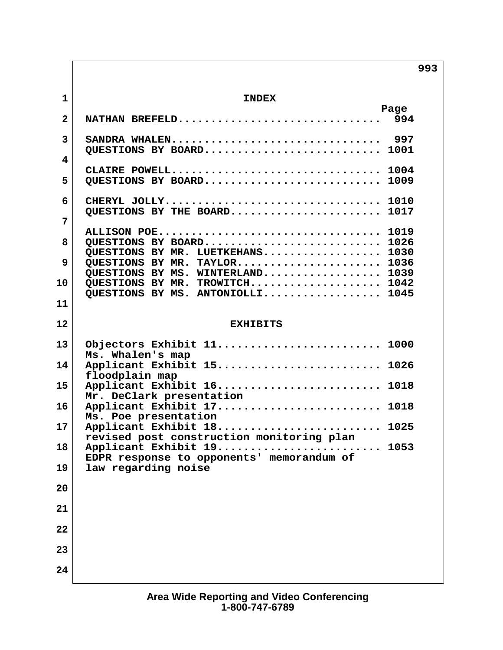**993**

| $\mathbf{1}$   | <b>INDEX</b>                                                              |  |
|----------------|---------------------------------------------------------------------------|--|
| $\overline{2}$ | Page                                                                      |  |
| $\mathbf{3}$   | SANDRA WHALEN 997                                                         |  |
| 4              | QUESTIONS BY BOARD<br>1001                                                |  |
| 5              | CLAIRE POWELL 1004<br>QUESTIONS BY BOARD<br>1009                          |  |
| 6              | CHERYL JOLLY 1010<br>OUESTIONS BY THE BOARD<br>1017                       |  |
| 7              | ALLISON POE<br>1019                                                       |  |
| 8              | QUESTIONS BY BOARD<br>1026<br>QUESTIONS BY MR. LUETKEHANS<br>1030         |  |
| 9              | QUESTIONS BY MR. TAYLOR<br>1036<br>QUESTIONS BY MS. WINTERLAND<br>1039    |  |
| 10             | QUESTIONS BY MR. TROWITCH<br>1042<br>QUESTIONS BY MS. ANTONIOLLI<br>1045  |  |
| 11             |                                                                           |  |
| 12             | <b>EXHIBITS</b>                                                           |  |
| 13             | Objectors Exhibit 11 1000<br>Ms. Whalen's map                             |  |
| 14             | Applicant Exhibit 15 1026<br>floodplain map                               |  |
| 15             | Applicant Exhibit 16 1018<br>Mr. DeClark presentation                     |  |
| 16             | Applicant Exhibit 17<br>1018<br>Ms. Poe presentation                      |  |
| 17             | Applicant Exhibit 18<br>1025<br>revised post construction monitoring plan |  |
| 18             | Applicant Exhibit 19<br>1053<br>EDPR response to opponents' memorandum of |  |
| 19<br>20       | law regarding noise                                                       |  |
| 21             |                                                                           |  |
| 22             |                                                                           |  |
| 23             |                                                                           |  |
| 24             |                                                                           |  |
|                |                                                                           |  |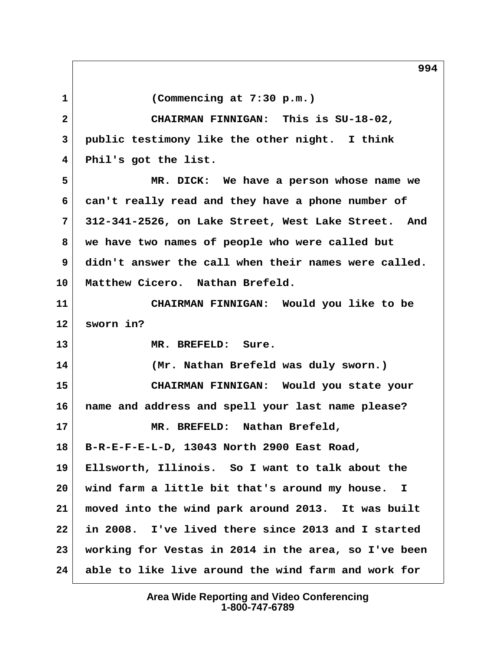**1 (Commencing at 7:30 p.m.) 2 CHAIRMAN FINNIGAN: This is SU-18-02, 3 public testimony like the other night. I think 4 Phil's got the list. 5 MR. DICK: We have a person whose name we 6 can't really read and they have a phone number of 7 312-341-2526, on Lake Street, West Lake Street. And 8 we have two names of people who were called but 9 didn't answer the call when their names were called. 10 Matthew Cicero. Nathan Brefeld. 11 CHAIRMAN FINNIGAN: Would you like to be 12 sworn in? 13 MR. BREFELD: Sure. 14 (Mr. Nathan Brefeld was duly sworn.) 15 CHAIRMAN FINNIGAN: Would you state your 16 name and address and spell your last name please? 17 MR. BREFELD: Nathan Brefeld, 18 B-R-E-F-E-L-D, 13043 North 2900 East Road, 19 Ellsworth, Illinois. So I want to talk about the 20 wind farm a little bit that's around my house. I 21 moved into the wind park around 2013. It was built 22 in 2008. I've lived there since 2013 and I started 23 working for Vestas in 2014 in the area, so I've been 24 able to like live around the wind farm and work for**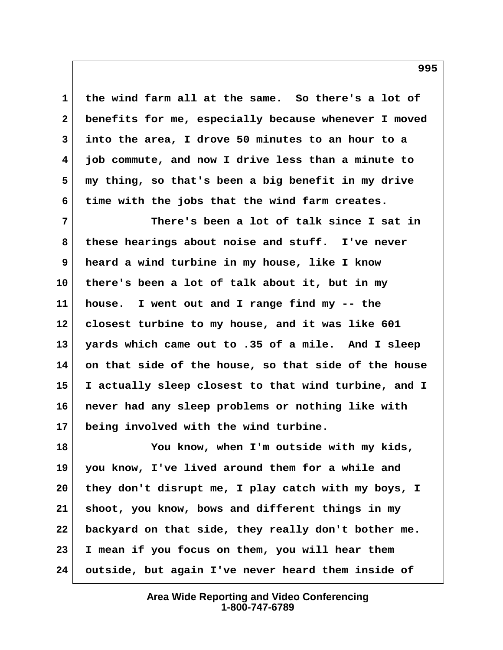**1 the wind farm all at the same. So there's a lot of 2 benefits for me, especially because whenever I moved 3 into the area, I drove 50 minutes to an hour to a 4 job commute, and now I drive less than a minute to 5 my thing, so that's been a big benefit in my drive 6 time with the jobs that the wind farm creates.**

 **7 There's been a lot of talk since I sat in 8 these hearings about noise and stuff. I've never 9 heard a wind turbine in my house, like I know 10 there's been a lot of talk about it, but in my 11 house. I went out and I range find my -- the 12 closest turbine to my house, and it was like 601 13 yards which came out to .35 of a mile. And I sleep 14 on that side of the house, so that side of the house 15 I actually sleep closest to that wind turbine, and I 16 never had any sleep problems or nothing like with 17 being involved with the wind turbine.**

**18 You know, when I'm outside with my kids, 19 you know, I've lived around them for a while and 20 they don't disrupt me, I play catch with my boys, I 21 shoot, you know, bows and different things in my 22 backyard on that side, they really don't bother me. 23 I mean if you focus on them, you will hear them 24 outside, but again I've never heard them inside of**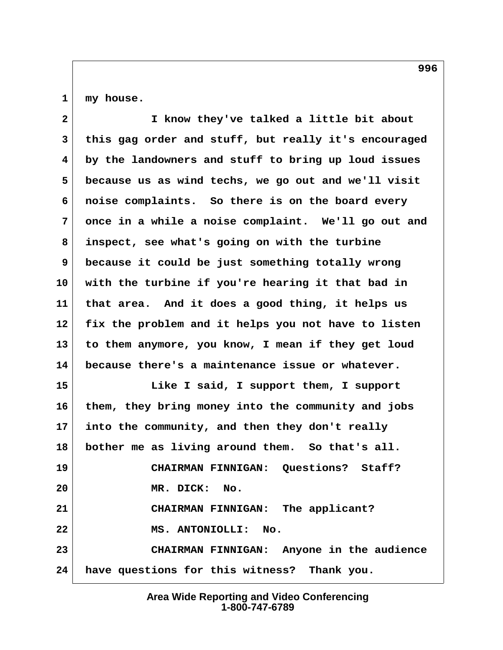**1 my house.**

| $\mathbf{2}$ | I know they've talked a little bit about             |
|--------------|------------------------------------------------------|
| 3            | this gag order and stuff, but really it's encouraged |
| 4            | by the landowners and stuff to bring up loud issues  |
| 5            | because us as wind techs, we go out and we'll visit  |
| 6            | noise complaints. So there is on the board every     |
| 7            | once in a while a noise complaint. We'll go out and  |
| 8            | inspect, see what's going on with the turbine        |
| 9            | because it could be just something totally wrong     |
| 10           | with the turbine if you're hearing it that bad in    |
| 11           | that area. And it does a good thing, it helps us     |
| 12           | fix the problem and it helps you not have to listen  |
| 13           | to them anymore, you know, I mean if they get loud   |
| 14           | because there's a maintenance issue or whatever.     |
| 15           | Like I said, I support them, I support               |
| 16           | them, they bring money into the community and jobs   |
| 17           | into the community, and then they don't really       |
| 18           | bother me as living around them. So that's all.      |
| 19           | Questions? Staff?<br><b>CHAIRMAN FINNIGAN:</b>       |
| 20           | MR. DICK: No.                                        |
| 21           | CHAIRMAN FINNIGAN: The applicant?                    |
| 22           | MS. ANTONIOLLI: No.                                  |
| 23           | CHAIRMAN FINNIGAN: Anyone in the audience            |
| 24           | have questions for this witness? Thank you.          |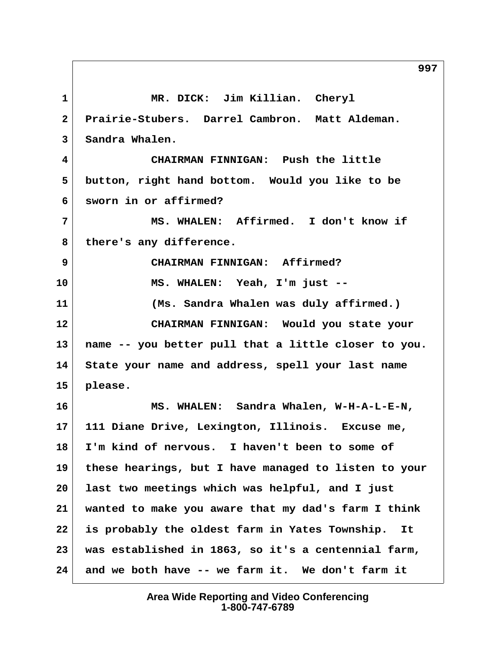**1 MR. DICK: Jim Killian. Cheryl 2 Prairie-Stubers. Darrel Cambron. Matt Aldeman. 3 Sandra Whalen. 4 CHAIRMAN FINNIGAN: Push the little 5 button, right hand bottom. Would you like to be 6 sworn in or affirmed? 7 MS. WHALEN: Affirmed. I don't know if 8 there's any difference. 9 CHAIRMAN FINNIGAN: Affirmed? 10 MS. WHALEN: Yeah, I'm just -- 11 (Ms. Sandra Whalen was duly affirmed.) 12 CHAIRMAN FINNIGAN: Would you state your 13 name -- you better pull that a little closer to you. 14 State your name and address, spell your last name 15 please. 16 MS. WHALEN: Sandra Whalen, W-H-A-L-E-N, 17 111 Diane Drive, Lexington, Illinois. Excuse me, 18 I'm kind of nervous. I haven't been to some of 19 these hearings, but I have managed to listen to your 20 last two meetings which was helpful, and I just 21 wanted to make you aware that my dad's farm I think 22 is probably the oldest farm in Yates Township. It 23 was established in 1863, so it's a centennial farm, 24 and we both have -- we farm it. We don't farm it**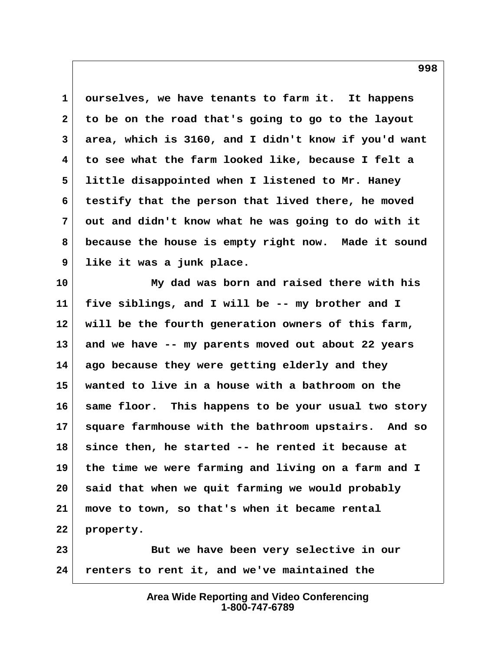**1 ourselves, we have tenants to farm it. It happens 2 to be on the road that's going to go to the layout 3 area, which is 3160, and I didn't know if you'd want 4 to see what the farm looked like, because I felt a 5 little disappointed when I listened to Mr. Haney 6 testify that the person that lived there, he moved 7 out and didn't know what he was going to do with it 8 because the house is empty right now. Made it sound 9 like it was a junk place.**

**10 My dad was born and raised there with his 11 five siblings, and I will be -- my brother and I 12 will be the fourth generation owners of this farm, 13 and we have -- my parents moved out about 22 years 14 ago because they were getting elderly and they 15 wanted to live in a house with a bathroom on the 16 same floor. This happens to be your usual two story 17 square farmhouse with the bathroom upstairs. And so 18 since then, he started -- he rented it because at 19 the time we were farming and living on a farm and I 20 said that when we quit farming we would probably 21 move to town, so that's when it became rental 22 property.**

23 But we have been very selective in our **24 renters to rent it, and we've maintained the**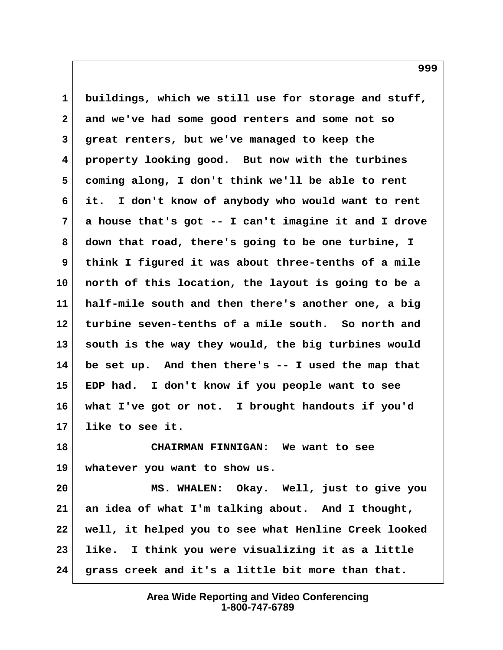**1 buildings, which we still use for storage and stuff, 2 and we've had some good renters and some not so 3 great renters, but we've managed to keep the 4 property looking good. But now with the turbines 5 coming along, I don't think we'll be able to rent 6 it. I don't know of anybody who would want to rent 7 a house that's got -- I can't imagine it and I drove 8 down that road, there's going to be one turbine, I 9 think I figured it was about three-tenths of a mile 10 north of this location, the layout is going to be a 11 half-mile south and then there's another one, a big 12 turbine seven-tenths of a mile south. So north and 13 south is the way they would, the big turbines would 14 be set up. And then there's -- I used the map that 15 EDP had. I don't know if you people want to see 16 what I've got or not. I brought handouts if you'd 17 like to see it.**

**18 CHAIRMAN FINNIGAN: We want to see 19 whatever you want to show us.**

**20 MS. WHALEN: Okay. Well, just to give you 21 an idea of what I'm talking about. And I thought, 22 well, it helped you to see what Henline Creek looked 23 like. I think you were visualizing it as a little 24 grass creek and it's a little bit more than that.**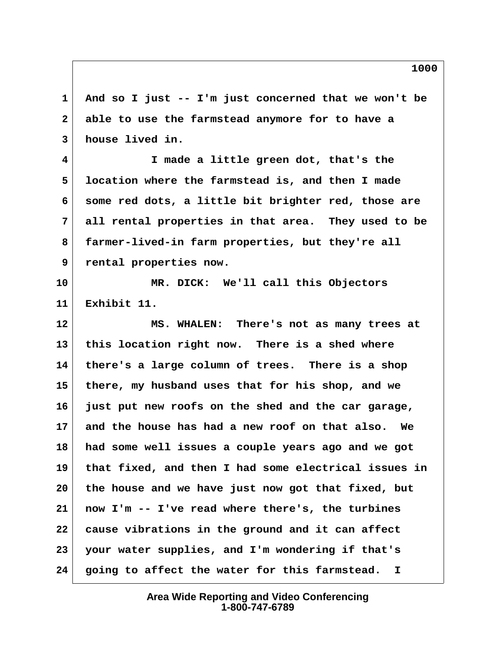**1 And so I just -- I'm just concerned that we won't be 2 able to use the farmstead anymore for to have a 3 house lived in.**

 **4 I made a little green dot, that's the 5 location where the farmstead is, and then I made 6 some red dots, a little bit brighter red, those are 7 all rental properties in that area. They used to be 8 farmer-lived-in farm properties, but they're all 9 rental properties now.**

**10 MR. DICK: We'll call this Objectors 11 Exhibit 11.**

**12 MS. WHALEN: There's not as many trees at 13 this location right now. There is a shed where 14 there's a large column of trees. There is a shop 15 there, my husband uses that for his shop, and we 16 just put new roofs on the shed and the car garage, 17 and the house has had a new roof on that also. We 18 had some well issues a couple years ago and we got 19 that fixed, and then I had some electrical issues in 20 the house and we have just now got that fixed, but 21 now I'm -- I've read where there's, the turbines 22 cause vibrations in the ground and it can affect 23 your water supplies, and I'm wondering if that's 24 going to affect the water for this farmstead. I**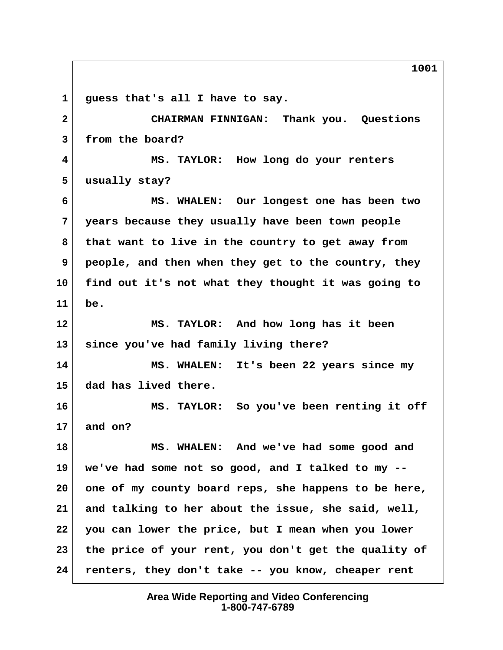**1 guess that's all I have to say. 2 CHAIRMAN FINNIGAN: Thank you. Questions 3 from the board? 4 MS. TAYLOR: How long do your renters 5 usually stay? 6 MS. WHALEN: Our longest one has been two 7 years because they usually have been town people 8 that want to live in the country to get away from 9 people, and then when they get to the country, they 10 find out it's not what they thought it was going to 11 be. 12 MS. TAYLOR: And how long has it been 13 since you've had family living there? 14 MS. WHALEN: It's been 22 years since my 15 dad has lived there. 16 MS. TAYLOR: So you've been renting it off 17 and on? 18 MS. WHALEN: And we've had some good and 19 we've had some not so good, and I talked to my -- 20 one of my county board reps, she happens to be here, 21 and talking to her about the issue, she said, well, 22 you can lower the price, but I mean when you lower 23 the price of your rent, you don't get the quality of 24 renters, they don't take -- you know, cheaper rent**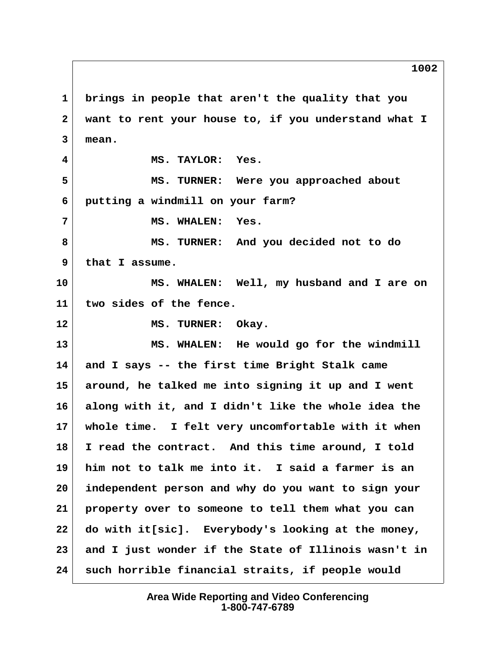**1 brings in people that aren't the quality that you 2 want to rent your house to, if you understand what I 3 mean. 4 MS. TAYLOR: Yes. 5 MS. TURNER: Were you approached about 6 putting a windmill on your farm? 7 MS. WHALEN: Yes. 8 MS. TURNER: And you decided not to do 9 that I assume. 10 MS. WHALEN: Well, my husband and I are on 11 two sides of the fence.** 12 MS. TURNER: Okay. **13 MS. WHALEN: He would go for the windmill 14 and I says -- the first time Bright Stalk came 15 around, he talked me into signing it up and I went 16 along with it, and I didn't like the whole idea the 17 whole time. I felt very uncomfortable with it when 18 I read the contract. And this time around, I told 19 him not to talk me into it. I said a farmer is an 20 independent person and why do you want to sign your 21 property over to someone to tell them what you can 22 do with it[sic]. Everybody's looking at the money,**

**23 and I just wonder if the State of Illinois wasn't in 24 such horrible financial straits, if people would**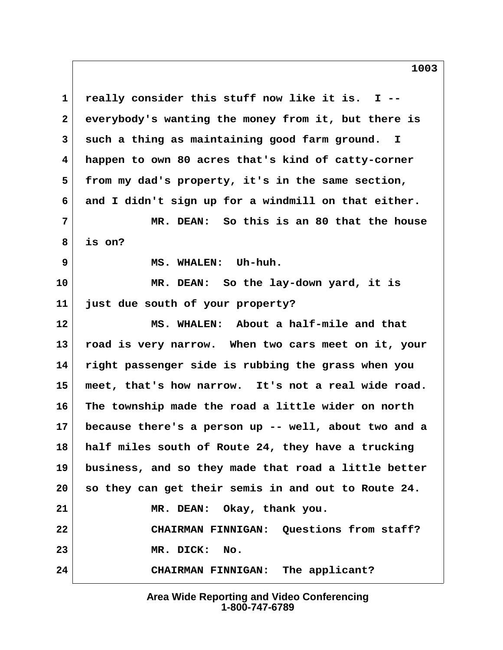**1 really consider this stuff now like it is. I -- 2 everybody's wanting the money from it, but there is 3 such a thing as maintaining good farm ground. I 4 happen to own 80 acres that's kind of catty-corner 5 from my dad's property, it's in the same section, 6 and I didn't sign up for a windmill on that either. 7 MR. DEAN: So this is an 80 that the house 8 is on? 9 MS. WHALEN: Uh-huh. 10 MR. DEAN: So the lay-down yard, it is 11 just due south of your property? 12 MS. WHALEN: About a half-mile and that 13 road is very narrow. When two cars meet on it, your 14 right passenger side is rubbing the grass when you 15 meet, that's how narrow. It's not a real wide road. 16 The township made the road a little wider on north 17 because there's a person up -- well, about two and a 18 half miles south of Route 24, they have a trucking 19 business, and so they made that road a little better 20 so they can get their semis in and out to Route 24. 21 MR. DEAN: Okay, thank you. 22 CHAIRMAN FINNIGAN: Questions from staff? 23 MR. DICK: No. 24 CHAIRMAN FINNIGAN: The applicant?**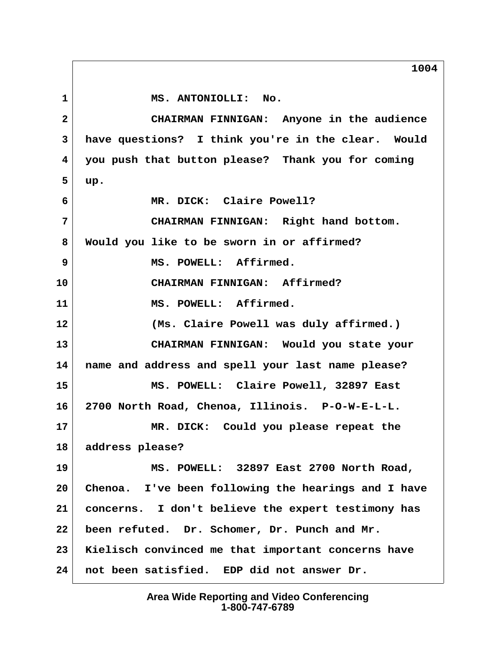1 MS. ANTONIOLLI: No.  **2 CHAIRMAN FINNIGAN: Anyone in the audience 3 have questions? I think you're in the clear. Would 4 you push that button please? Thank you for coming 5 up. 6 MR. DICK: Claire Powell? 7 CHAIRMAN FINNIGAN: Right hand bottom. 8 Would you like to be sworn in or affirmed? 9 MS. POWELL: Affirmed. 10 CHAIRMAN FINNIGAN: Affirmed? 11 MS. POWELL: Affirmed. 12 (Ms. Claire Powell was duly affirmed.) 13 CHAIRMAN FINNIGAN: Would you state your 14 name and address and spell your last name please? 15 MS. POWELL: Claire Powell, 32897 East 16 2700 North Road, Chenoa, Illinois. P-O-W-E-L-L. 17 MR. DICK: Could you please repeat the 18 address please? 19 MS. POWELL: 32897 East 2700 North Road, 20 Chenoa. I've been following the hearings and I have 21 concerns. I don't believe the expert testimony has 22 been refuted. Dr. Schomer, Dr. Punch and Mr. 23 Kielisch convinced me that important concerns have 24 not been satisfied. EDP did not answer Dr.**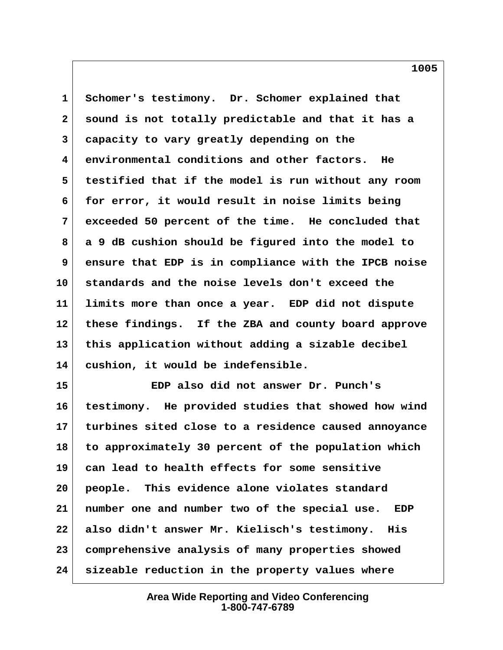**1 Schomer's testimony. Dr. Schomer explained that 2 sound is not totally predictable and that it has a 3 capacity to vary greatly depending on the 4 environmental conditions and other factors. He 5 testified that if the model is run without any room 6 for error, it would result in noise limits being 7 exceeded 50 percent of the time. He concluded that 8 a 9 dB cushion should be figured into the model to 9 ensure that EDP is in compliance with the IPCB noise 10 standards and the noise levels don't exceed the 11 limits more than once a year. EDP did not dispute 12 these findings. If the ZBA and county board approve 13 this application without adding a sizable decibel 14 cushion, it would be indefensible.**

**15 EDP also did not answer Dr. Punch's 16 testimony. He provided studies that showed how wind 17 turbines sited close to a residence caused annoyance 18 to approximately 30 percent of the population which 19 can lead to health effects for some sensitive 20 people. This evidence alone violates standard 21 number one and number two of the special use. EDP 22 also didn't answer Mr. Kielisch's testimony. His 23 comprehensive analysis of many properties showed 24 sizeable reduction in the property values where**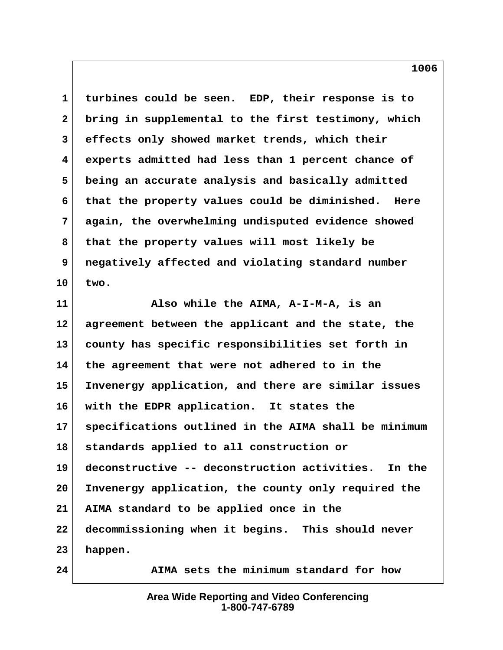**1 turbines could be seen. EDP, their response is to 2 bring in supplemental to the first testimony, which 3 effects only showed market trends, which their 4 experts admitted had less than 1 percent chance of 5 being an accurate analysis and basically admitted 6 that the property values could be diminished. Here 7 again, the overwhelming undisputed evidence showed 8 that the property values will most likely be 9 negatively affected and violating standard number 10 two.**

**11 Also while the AIMA, A-I-M-A, is an 12 agreement between the applicant and the state, the 13 county has specific responsibilities set forth in 14 the agreement that were not adhered to in the 15 Invenergy application, and there are similar issues 16 with the EDPR application. It states the 17 specifications outlined in the AIMA shall be minimum 18 standards applied to all construction or 19 deconstructive -- deconstruction activities. In the 20 Invenergy application, the county only required the 21 AIMA standard to be applied once in the 22 decommissioning when it begins. This should never 23 happen. 24 AIMA sets the minimum standard for how**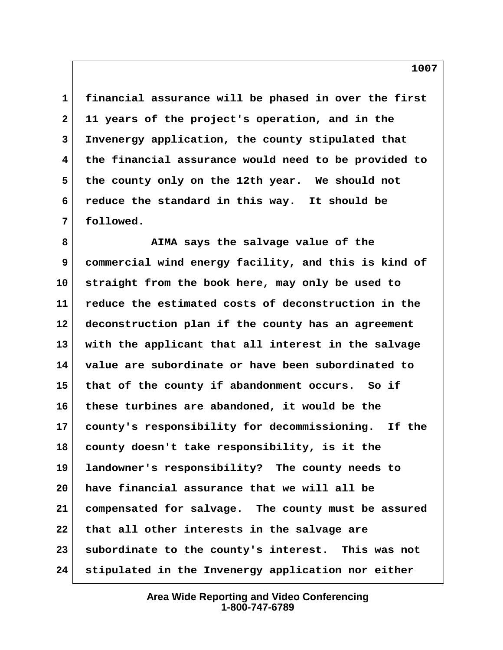**1 financial assurance will be phased in over the first 2 11 years of the project's operation, and in the 3 Invenergy application, the county stipulated that 4 the financial assurance would need to be provided to 5 the county only on the 12th year. We should not 6 reduce the standard in this way. It should be 7 followed.**

 **8 AIMA says the salvage value of the 9 commercial wind energy facility, and this is kind of 10 straight from the book here, may only be used to 11 reduce the estimated costs of deconstruction in the 12 deconstruction plan if the county has an agreement 13 with the applicant that all interest in the salvage 14 value are subordinate or have been subordinated to 15 that of the county if abandonment occurs. So if 16 these turbines are abandoned, it would be the 17 county's responsibility for decommissioning. If the 18 county doesn't take responsibility, is it the 19 landowner's responsibility? The county needs to 20 have financial assurance that we will all be 21 compensated for salvage. The county must be assured 22 that all other interests in the salvage are 23 subordinate to the county's interest. This was not 24 stipulated in the Invenergy application nor either**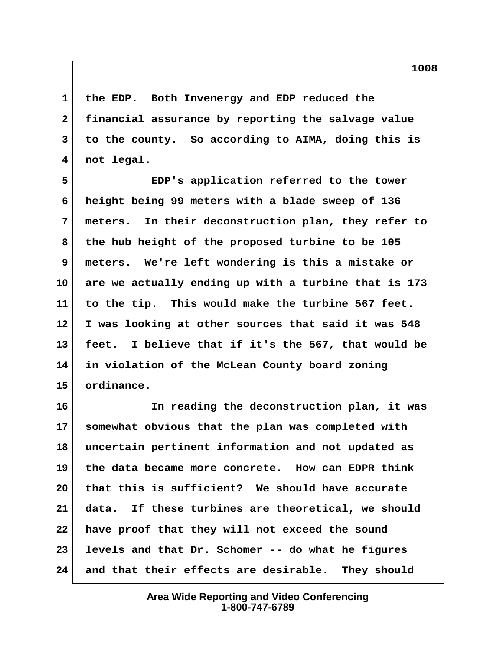**1 the EDP. Both Invenergy and EDP reduced the 2 financial assurance by reporting the salvage value 3 to the county. So according to AIMA, doing this is 4 not legal.**

 **5 EDP's application referred to the tower 6 height being 99 meters with a blade sweep of 136 7 meters. In their deconstruction plan, they refer to 8 the hub height of the proposed turbine to be 105 9 meters. We're left wondering is this a mistake or 10 are we actually ending up with a turbine that is 173 11 to the tip. This would make the turbine 567 feet. 12 I was looking at other sources that said it was 548 13 feet. I believe that if it's the 567, that would be 14 in violation of the McLean County board zoning 15 ordinance.**

**16 In reading the deconstruction plan, it was 17 somewhat obvious that the plan was completed with 18 uncertain pertinent information and not updated as 19 the data became more concrete. How can EDPR think 20 that this is sufficient? We should have accurate 21 data. If these turbines are theoretical, we should 22 have proof that they will not exceed the sound 23 levels and that Dr. Schomer -- do what he figures 24 and that their effects are desirable. They should**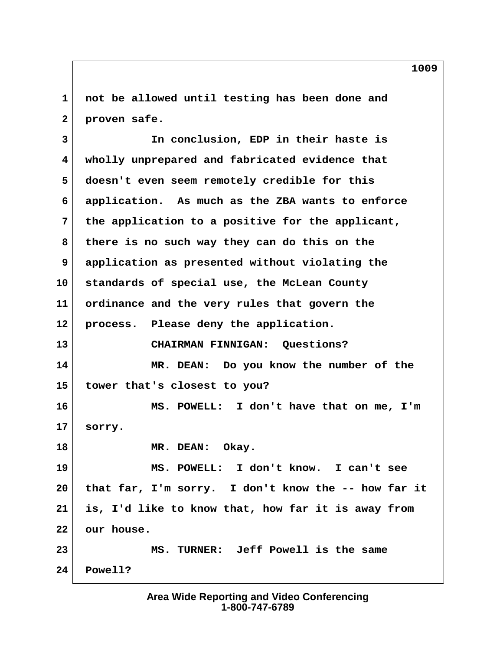**1 not be allowed until testing has been done and 2 proven safe.**

 **3 In conclusion, EDP in their haste is 4 wholly unprepared and fabricated evidence that 5 doesn't even seem remotely credible for this 6 application. As much as the ZBA wants to enforce 7 the application to a positive for the applicant, 8 there is no such way they can do this on the 9 application as presented without violating the 10 standards of special use, the McLean County 11 ordinance and the very rules that govern the 12 process. Please deny the application. 13 CHAIRMAN FINNIGAN: Questions? 14 MR. DEAN: Do you know the number of the 15 tower that's closest to you? 16 MS. POWELL: I don't have that on me, I'm 17 sorry. 18 MR. DEAN: Okay. 19 MS. POWELL: I don't know. I can't see 20 that far, I'm sorry. I don't know the -- how far it 21 is, I'd like to know that, how far it is away from 22 our house. 23 MS. TURNER: Jeff Powell is the same 24 Powell?**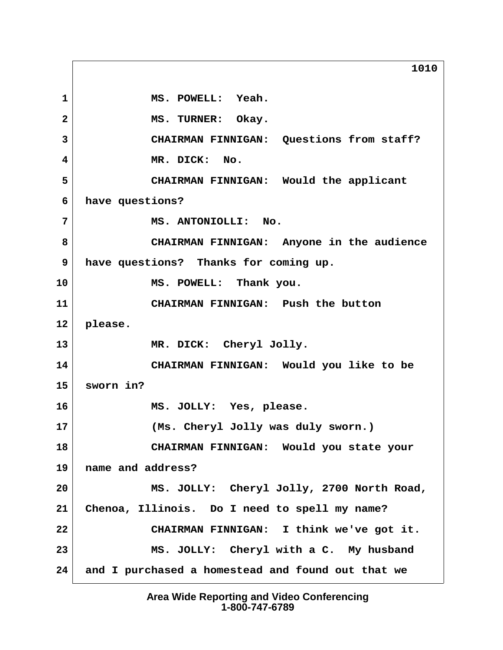1 MS. POWELL: Yeah. 2 MS. TURNER: Okay.  **3 CHAIRMAN FINNIGAN: Questions from staff? 4 MR. DICK: No. 5 CHAIRMAN FINNIGAN: Would the applicant 6 have questions? 7 MS. ANTONIOLLI: No. 8 CHAIRMAN FINNIGAN: Anyone in the audience 9 have questions? Thanks for coming up. 10 MS. POWELL: Thank you. 11 CHAIRMAN FINNIGAN: Push the button 12 please. 13 MR. DICK: Cheryl Jolly. 14 CHAIRMAN FINNIGAN: Would you like to be 15 sworn in? 16 MS. JOLLY: Yes, please. 17 (Ms. Cheryl Jolly was duly sworn.) 18 CHAIRMAN FINNIGAN: Would you state your 19 name and address? 20 MS. JOLLY: Cheryl Jolly, 2700 North Road, 21 Chenoa, Illinois. Do I need to spell my name? 22 CHAIRMAN FINNIGAN: I think we've got it. 23 MS. JOLLY: Cheryl with a C. My husband 24 and I purchased a homestead and found out that we**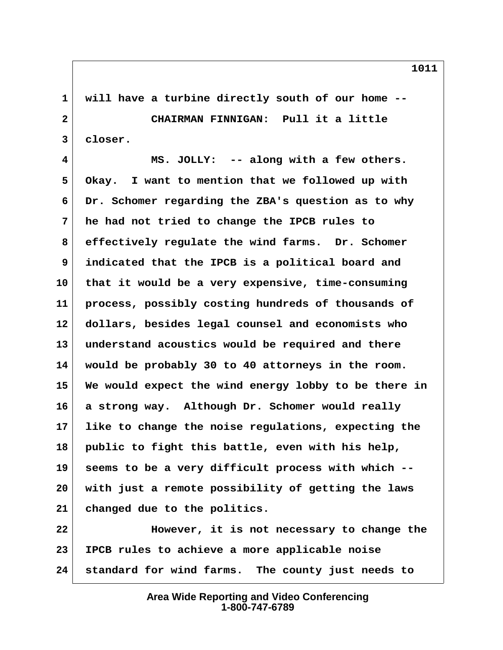**1 will have a turbine directly south of our home -- 2 CHAIRMAN FINNIGAN: Pull it a little 3 closer.**

 **4 MS. JOLLY: -- along with a few others. 5 Okay. I want to mention that we followed up with 6 Dr. Schomer regarding the ZBA's question as to why 7 he had not tried to change the IPCB rules to 8 effectively regulate the wind farms. Dr. Schomer 9 indicated that the IPCB is a political board and 10 that it would be a very expensive, time-consuming 11 process, possibly costing hundreds of thousands of 12 dollars, besides legal counsel and economists who 13 understand acoustics would be required and there 14 would be probably 30 to 40 attorneys in the room. 15 We would expect the wind energy lobby to be there in 16 a strong way. Although Dr. Schomer would really 17 like to change the noise regulations, expecting the 18 public to fight this battle, even with his help, 19 seems to be a very difficult process with which -- 20 with just a remote possibility of getting the laws 21 changed due to the politics.**

**22 However, it is not necessary to change the 23 IPCB rules to achieve a more applicable noise 24 standard for wind farms. The county just needs to**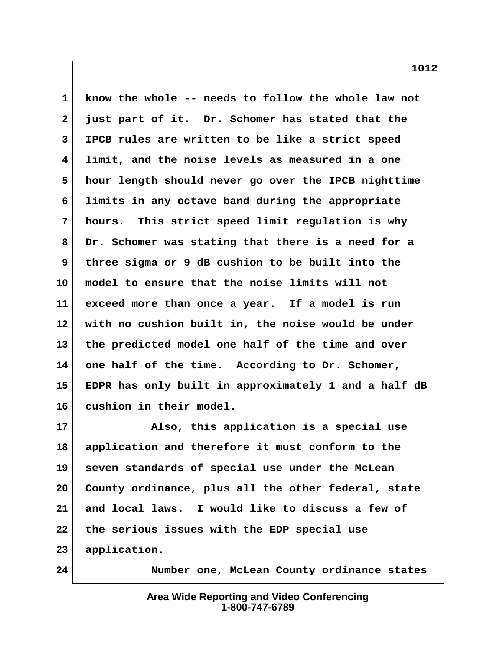**1 know the whole -- needs to follow the whole law not 2 just part of it. Dr. Schomer has stated that the 3 IPCB rules are written to be like a strict speed 4 limit, and the noise levels as measured in a one 5 hour length should never go over the IPCB nighttime 6 limits in any octave band during the appropriate 7 hours. This strict speed limit regulation is why 8 Dr. Schomer was stating that there is a need for a 9 three sigma or 9 dB cushion to be built into the 10 model to ensure that the noise limits will not 11 exceed more than once a year. If a model is run 12 with no cushion built in, the noise would be under 13 the predicted model one half of the time and over 14 one half of the time. According to Dr. Schomer, 15 EDPR has only built in approximately 1 and a half dB 16 cushion in their model.**

**17 Also, this application is a special use 18 application and therefore it must conform to the 19 seven standards of special use under the McLean 20 County ordinance, plus all the other federal, state 21 and local laws. I would like to discuss a few of 22 the serious issues with the EDP special use 23 application.**

**24 Number one, McLean County ordinance states**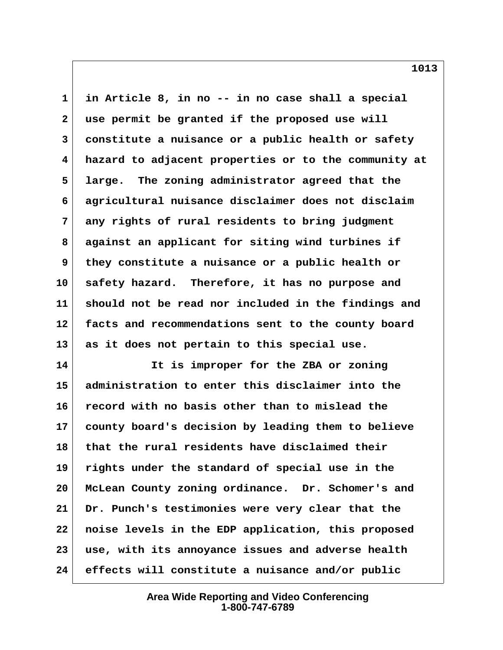**1 in Article 8, in no -- in no case shall a special 2 use permit be granted if the proposed use will 3 constitute a nuisance or a public health or safety 4 hazard to adjacent properties or to the community at 5 large. The zoning administrator agreed that the 6 agricultural nuisance disclaimer does not disclaim 7 any rights of rural residents to bring judgment 8 against an applicant for siting wind turbines if 9 they constitute a nuisance or a public health or 10 safety hazard. Therefore, it has no purpose and 11 should not be read nor included in the findings and 12 facts and recommendations sent to the county board 13 as it does not pertain to this special use.**

**14 It is improper for the ZBA or zoning 15 administration to enter this disclaimer into the 16 record with no basis other than to mislead the 17 county board's decision by leading them to believe 18 that the rural residents have disclaimed their 19 rights under the standard of special use in the 20 McLean County zoning ordinance. Dr. Schomer's and 21 Dr. Punch's testimonies were very clear that the 22 noise levels in the EDP application, this proposed 23 use, with its annoyance issues and adverse health 24 effects will constitute a nuisance and/or public**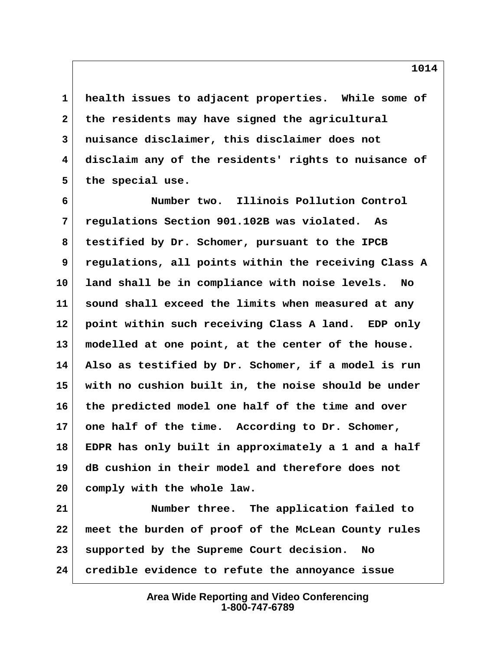**1 health issues to adjacent properties. While some of 2 the residents may have signed the agricultural 3 nuisance disclaimer, this disclaimer does not 4 disclaim any of the residents' rights to nuisance of 5 the special use.**

 **6 Number two. Illinois Pollution Control 7 regulations Section 901.102B was violated. As 8 testified by Dr. Schomer, pursuant to the IPCB 9 regulations, all points within the receiving Class A 10 land shall be in compliance with noise levels. No 11 sound shall exceed the limits when measured at any 12 point within such receiving Class A land. EDP only 13 modelled at one point, at the center of the house. 14 Also as testified by Dr. Schomer, if a model is run 15 with no cushion built in, the noise should be under 16 the predicted model one half of the time and over 17 one half of the time. According to Dr. Schomer, 18 EDPR has only built in approximately a 1 and a half 19 dB cushion in their model and therefore does not 20 comply with the whole law.**

**21 Number three. The application failed to 22 meet the burden of proof of the McLean County rules 23 supported by the Supreme Court decision. No 24 credible evidence to refute the annoyance issue**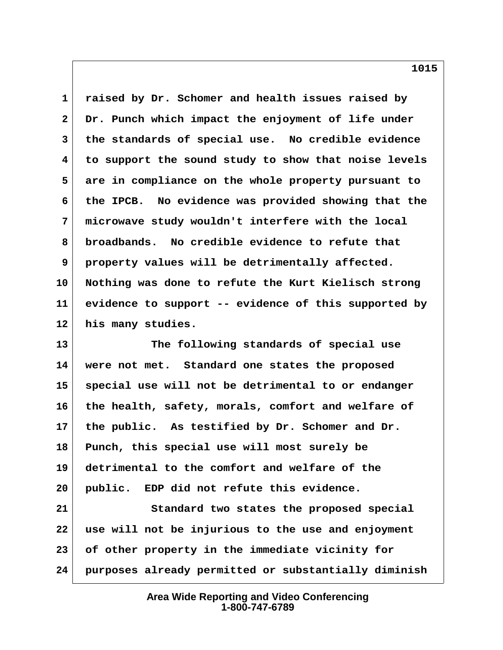**1 raised by Dr. Schomer and health issues raised by 2 Dr. Punch which impact the enjoyment of life under 3 the standards of special use. No credible evidence 4 to support the sound study to show that noise levels 5 are in compliance on the whole property pursuant to 6 the IPCB. No evidence was provided showing that the 7 microwave study wouldn't interfere with the local 8 broadbands. No credible evidence to refute that 9 property values will be detrimentally affected. 10 Nothing was done to refute the Kurt Kielisch strong 11 evidence to support -- evidence of this supported by 12 his many studies.**

**13 The following standards of special use 14 were not met. Standard one states the proposed 15 special use will not be detrimental to or endanger 16 the health, safety, morals, comfort and welfare of 17 the public. As testified by Dr. Schomer and Dr. 18 Punch, this special use will most surely be 19 detrimental to the comfort and welfare of the 20 public. EDP did not refute this evidence. 21 Standard two states the proposed special**

**22 use will not be injurious to the use and enjoyment 23 of other property in the immediate vicinity for 24 purposes already permitted or substantially diminish**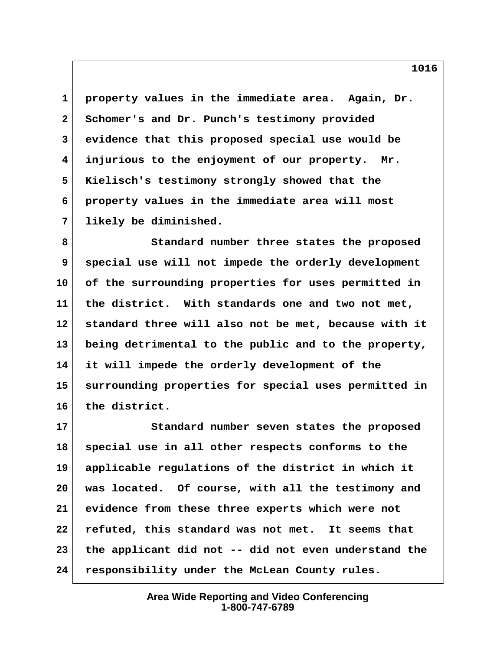**1 property values in the immediate area. Again, Dr. 2 Schomer's and Dr. Punch's testimony provided 3 evidence that this proposed special use would be 4 injurious to the enjoyment of our property. Mr. 5 Kielisch's testimony strongly showed that the 6 property values in the immediate area will most 7 likely be diminished.**

 **8 Standard number three states the proposed 9 special use will not impede the orderly development 10 of the surrounding properties for uses permitted in 11 the district. With standards one and two not met, 12 standard three will also not be met, because with it 13 being detrimental to the public and to the property, 14 it will impede the orderly development of the 15 surrounding properties for special uses permitted in 16 the district.**

**17 Standard number seven states the proposed 18 special use in all other respects conforms to the 19 applicable regulations of the district in which it 20 was located. Of course, with all the testimony and 21 evidence from these three experts which were not 22 refuted, this standard was not met. It seems that 23 the applicant did not -- did not even understand the 24 responsibility under the McLean County rules.**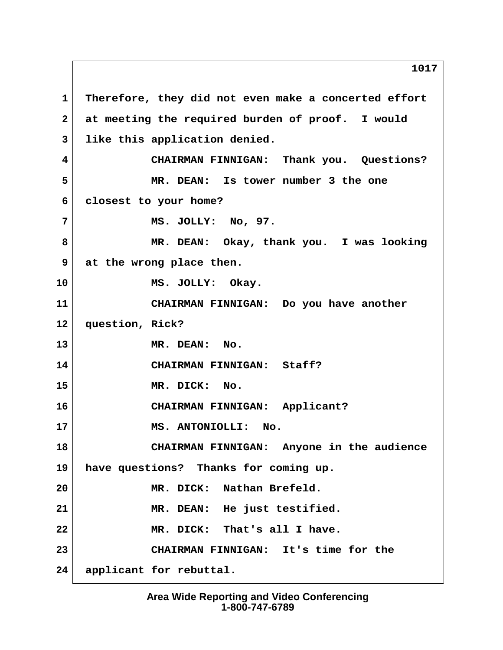1 Therefore, they did not even make a concerted effort  **2 at meeting the required burden of proof. I would 3 like this application denied. 4 CHAIRMAN FINNIGAN: Thank you. Questions? 5 MR. DEAN: Is tower number 3 the one 6 closest to your home? 7 MS. JOLLY: No, 97. 8 MR. DEAN: Okay, thank you. I was looking 9 at the wrong place then. 10 MS. JOLLY: Okay. 11 CHAIRMAN FINNIGAN: Do you have another 12 question, Rick? 13 MR. DEAN: No. 14 CHAIRMAN FINNIGAN: Staff? 15 MR. DICK: No. 16 CHAIRMAN FINNIGAN: Applicant? 17 MS. ANTONIOLLI: No. 18 CHAIRMAN FINNIGAN: Anyone in the audience 19 have questions? Thanks for coming up. 20 MR. DICK: Nathan Brefeld. 21 MR. DEAN: He just testified. 22 MR. DICK: That's all I have. 23 CHAIRMAN FINNIGAN: It's time for the 24 applicant for rebuttal.**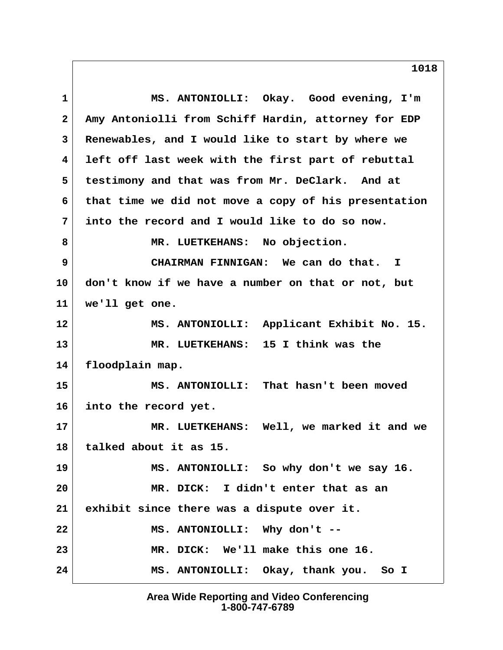**1 MS. ANTONIOLLI: Okay. Good evening, I'm 2 Amy Antoniolli from Schiff Hardin, attorney for EDP 3 Renewables, and I would like to start by where we 4 left off last week with the first part of rebuttal 5 testimony and that was from Mr. DeClark. And at 6 that time we did not move a copy of his presentation 7 into the record and I would like to do so now.** 8 MR. LUETKEHANS: No objection.  **9 CHAIRMAN FINNIGAN: We can do that. I 10 don't know if we have a number on that or not, but 11 we'll get one. 12 MS. ANTONIOLLI: Applicant Exhibit No. 15. 13 MR. LUETKEHANS: 15 I think was the 14 floodplain map. 15 MS. ANTONIOLLI: That hasn't been moved 16 into the record yet. 17 MR. LUETKEHANS: Well, we marked it and we 18 talked about it as 15. 19 MS. ANTONIOLLI: So why don't we say 16. 20 MR. DICK: I didn't enter that as an 21 exhibit since there was a dispute over it. 22 MS. ANTONIOLLI: Why don't -- 23 MR. DICK: We'll make this one 16. 24 MS. ANTONIOLLI: Okay, thank you. So I**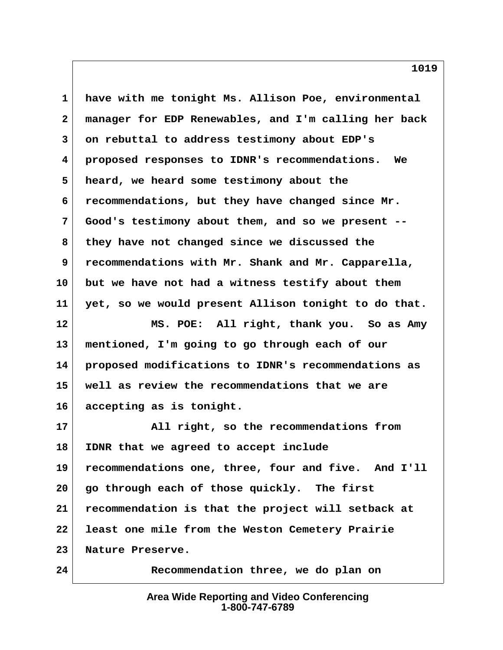**1 have with me tonight Ms. Allison Poe, environmental 2 manager for EDP Renewables, and I'm calling her back 3 on rebuttal to address testimony about EDP's 4 proposed responses to IDNR's recommendations. We 5 heard, we heard some testimony about the 6 recommendations, but they have changed since Mr. 7 Good's testimony about them, and so we present -- 8 they have not changed since we discussed the 9 recommendations with Mr. Shank and Mr. Capparella, 10 but we have not had a witness testify about them 11 yet, so we would present Allison tonight to do that. 12 MS. POE: All right, thank you. So as Amy 13 mentioned, I'm going to go through each of our 14 proposed modifications to IDNR's recommendations as 15 well as review the recommendations that we are 16 accepting as is tonight. 17 All right, so the recommendations from 18 IDNR that we agreed to accept include 19 recommendations one, three, four and five. And I'll 20 go through each of those quickly. The first 21 recommendation is that the project will setback at 22 least one mile from the Weston Cemetery Prairie 23 Nature Preserve.**

> **Area Wide Reporting and Video Conferencing 1-800-747-6789**

**24 Recommendation three, we do plan on**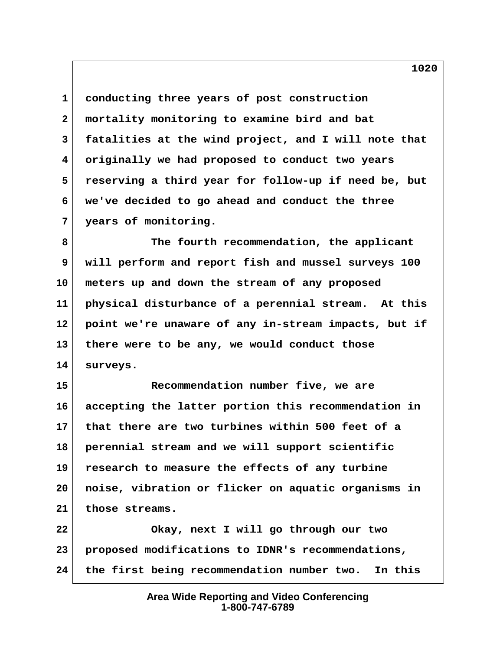**1 conducting three years of post construction 2 mortality monitoring to examine bird and bat 3 fatalities at the wind project, and I will note that 4 originally we had proposed to conduct two years 5 reserving a third year for follow-up if need be, but 6 we've decided to go ahead and conduct the three 7 years of monitoring.**

 **8 The fourth recommendation, the applicant 9 will perform and report fish and mussel surveys 100 10 meters up and down the stream of any proposed 11 physical disturbance of a perennial stream. At this 12 point we're unaware of any in-stream impacts, but if 13 there were to be any, we would conduct those 14 surveys.**

**15 Recommendation number five, we are 16 accepting the latter portion this recommendation in 17 that there are two turbines within 500 feet of a 18 perennial stream and we will support scientific 19 research to measure the effects of any turbine 20 noise, vibration or flicker on aquatic organisms in 21 those streams.**

**22 Okay, next I will go through our two 23 proposed modifications to IDNR's recommendations, 24 the first being recommendation number two. In this**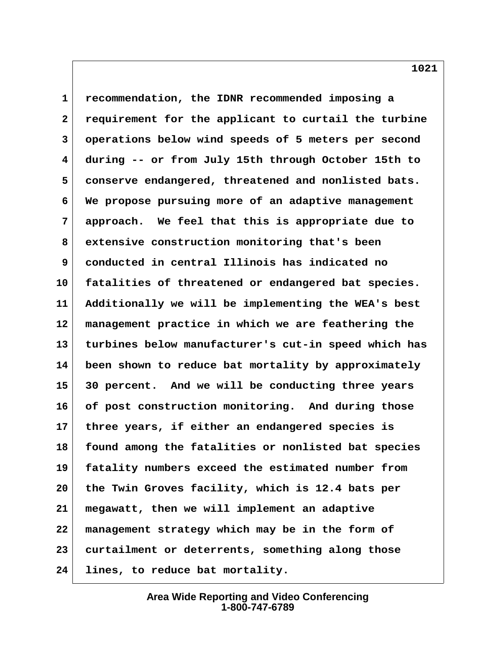**1 recommendation, the IDNR recommended imposing a 2 requirement for the applicant to curtail the turbine 3 operations below wind speeds of 5 meters per second 4 during -- or from July 15th through October 15th to 5 conserve endangered, threatened and nonlisted bats. 6 We propose pursuing more of an adaptive management 7 approach. We feel that this is appropriate due to 8 extensive construction monitoring that's been 9 conducted in central Illinois has indicated no 10 fatalities of threatened or endangered bat species. 11 Additionally we will be implementing the WEA's best 12 management practice in which we are feathering the 13 turbines below manufacturer's cut-in speed which has 14 been shown to reduce bat mortality by approximately 15 30 percent. And we will be conducting three years 16 of post construction monitoring. And during those 17 three years, if either an endangered species is 18 found among the fatalities or nonlisted bat species 19 fatality numbers exceed the estimated number from 20 the Twin Groves facility, which is 12.4 bats per 21 megawatt, then we will implement an adaptive 22 management strategy which may be in the form of 23 curtailment or deterrents, something along those 24 lines, to reduce bat mortality.**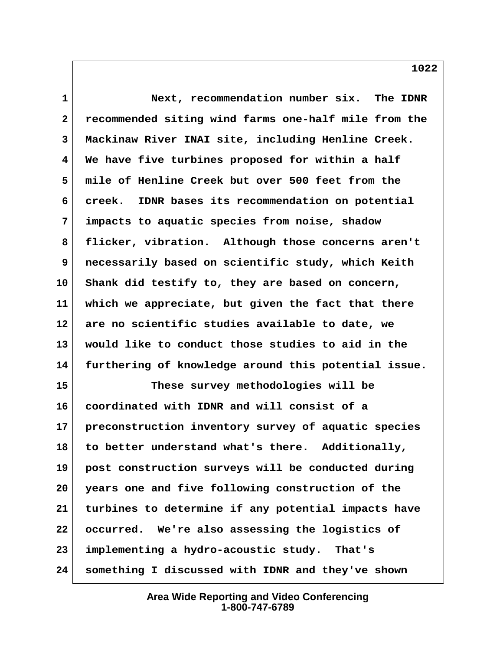**1 Next, recommendation number six. The IDNR 2 recommended siting wind farms one-half mile from the 3 Mackinaw River INAI site, including Henline Creek. 4 We have five turbines proposed for within a half 5 mile of Henline Creek but over 500 feet from the 6 creek. IDNR bases its recommendation on potential 7 impacts to aquatic species from noise, shadow 8 flicker, vibration. Although those concerns aren't 9 necessarily based on scientific study, which Keith 10 Shank did testify to, they are based on concern, 11 which we appreciate, but given the fact that there 12 are no scientific studies available to date, we 13 would like to conduct those studies to aid in the 14 furthering of knowledge around this potential issue. 15 These survey methodologies will be 16 coordinated with IDNR and will consist of a 17 preconstruction inventory survey of aquatic species 18 to better understand what's there. Additionally,**

**19 post construction surveys will be conducted during 20 years one and five following construction of the 21 turbines to determine if any potential impacts have 22 occurred. We're also assessing the logistics of 23 implementing a hydro-acoustic study. That's 24 something I discussed with IDNR and they've shown**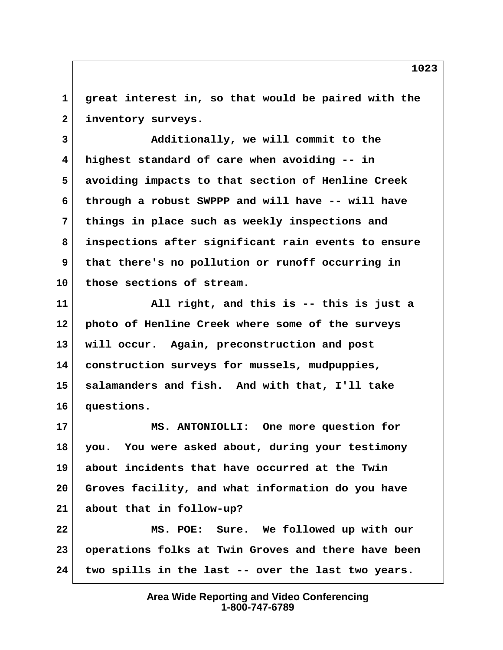**1 great interest in, so that would be paired with the 2 inventory surveys.**

 **3 Additionally, we will commit to the 4 highest standard of care when avoiding -- in 5 avoiding impacts to that section of Henline Creek 6 through a robust SWPPP and will have -- will have 7 things in place such as weekly inspections and 8 inspections after significant rain events to ensure 9 that there's no pollution or runoff occurring in 10 those sections of stream.**

**11 All right, and this is -- this is just a 12 photo of Henline Creek where some of the surveys 13 will occur. Again, preconstruction and post 14 construction surveys for mussels, mudpuppies, 15 salamanders and fish. And with that, I'll take 16 questions.**

**17 MS. ANTONIOLLI: One more question for 18 you. You were asked about, during your testimony 19 about incidents that have occurred at the Twin 20 Groves facility, and what information do you have 21 about that in follow-up? 22 MS. POE: Sure. We followed up with our**

**23 operations folks at Twin Groves and there have been 24 two spills in the last -- over the last two years.**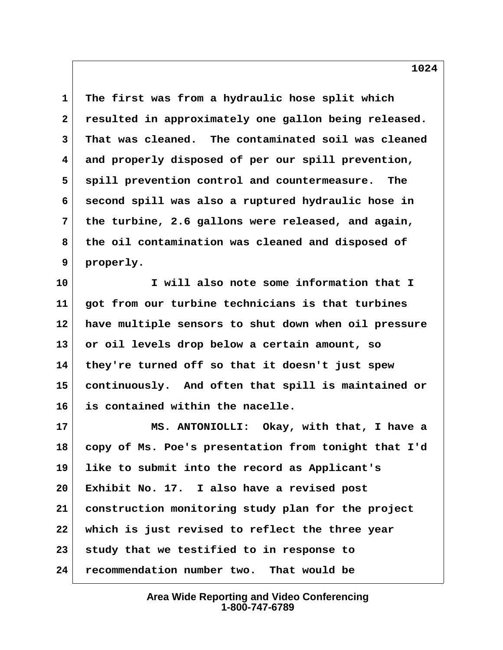**1 The first was from a hydraulic hose split which 2 resulted in approximately one gallon being released. 3 That was cleaned. The contaminated soil was cleaned 4 and properly disposed of per our spill prevention, 5 spill prevention control and countermeasure. The 6 second spill was also a ruptured hydraulic hose in 7 the turbine, 2.6 gallons were released, and again, 8 the oil contamination was cleaned and disposed of 9 properly.**

**10 I will also note some information that I 11 got from our turbine technicians is that turbines 12 have multiple sensors to shut down when oil pressure 13 or oil levels drop below a certain amount, so 14 they're turned off so that it doesn't just spew 15 continuously. And often that spill is maintained or 16 is contained within the nacelle.**

**17 MS. ANTONIOLLI: Okay, with that, I have a 18 copy of Ms. Poe's presentation from tonight that I'd 19 like to submit into the record as Applicant's 20 Exhibit No. 17. I also have a revised post 21 construction monitoring study plan for the project 22 which is just revised to reflect the three year 23 study that we testified to in response to 24 recommendation number two. That would be**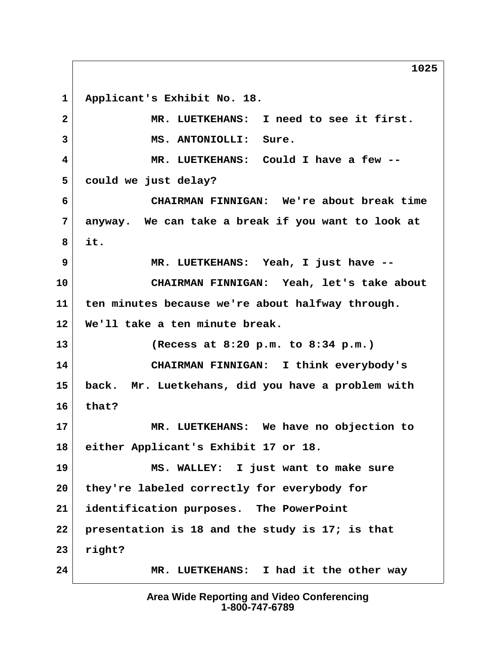**1 Applicant's Exhibit No. 18. 2 MR. LUETKEHANS: I need to see it first. 3 MS. ANTONIOLLI: Sure. 4 MR. LUETKEHANS: Could I have a few -- 5 could we just delay? 6 CHAIRMAN FINNIGAN: We're about break time 7 anyway. We can take a break if you want to look at 8 it. 9 MR. LUETKEHANS: Yeah, I just have -- 10 CHAIRMAN FINNIGAN: Yeah, let's take about 11 ten minutes because we're about halfway through. 12 We'll take a ten minute break. 13 (Recess at 8:20 p.m. to 8:34 p.m.) 14 CHAIRMAN FINNIGAN: I think everybody's 15 back. Mr. Luetkehans, did you have a problem with 16 that? 17 MR. LUETKEHANS: We have no objection to 18 either Applicant's Exhibit 17 or 18. 19 MS. WALLEY: I just want to make sure 20 they're labeled correctly for everybody for 21 identification purposes. The PowerPoint 22 presentation is 18 and the study is 17; is that 23 right? 24 MR. LUETKEHANS: I had it the other way**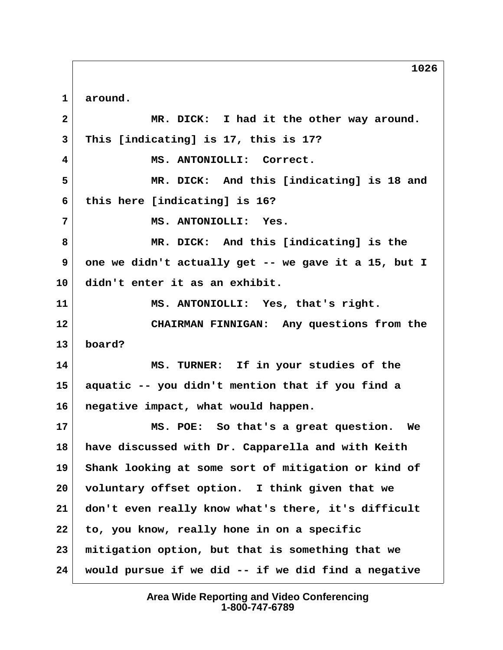**1 around. 2 MR. DICK: I had it the other way around. 3 This [indicating] is 17, this is 17? 4 MS. ANTONIOLLI: Correct. 5 MR. DICK: And this [indicating] is 18 and 6 this here [indicating] is 16? 7 MS. ANTONIOLLI: Yes. 8 MR. DICK: And this [indicating] is the 9 one we didn't actually get -- we gave it a 15, but I 10 didn't enter it as an exhibit. 11 MS. ANTONIOLLI: Yes, that's right. 12 CHAIRMAN FINNIGAN: Any questions from the 13 board? 14 MS. TURNER: If in your studies of the 15 aquatic -- you didn't mention that if you find a 16 negative impact, what would happen. 17 MS. POE: So that's a great question. We 18 have discussed with Dr. Capparella and with Keith 19 Shank looking at some sort of mitigation or kind of 20 voluntary offset option. I think given that we 21 don't even really know what's there, it's difficult 22 to, you know, really hone in on a specific 23 mitigation option, but that is something that we 24 would pursue if we did -- if we did find a negative**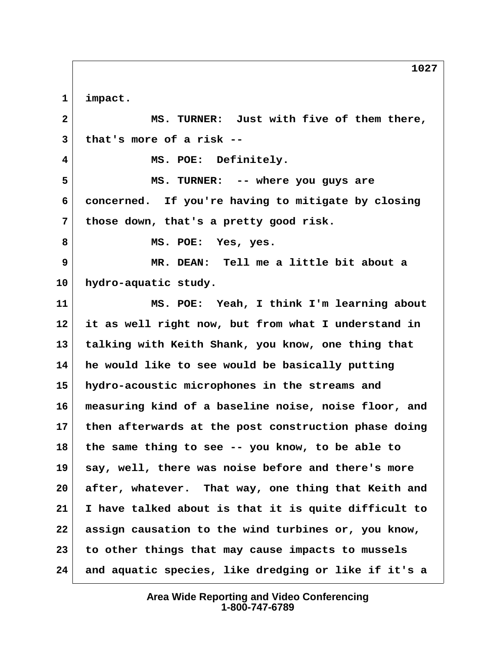**1 impact.**

 **2 MS. TURNER: Just with five of them there, 3 that's more of a risk -- 4 MS. POE: Definitely. 5 MS. TURNER: -- where you guys are 6 concerned. If you're having to mitigate by closing 7 those down, that's a pretty good risk. 8 MS. POE: Yes, yes. 9 MR. DEAN: Tell me a little bit about a 10 hydro-aquatic study. 11 MS. POE: Yeah, I think I'm learning about 12 it as well right now, but from what I understand in 13 talking with Keith Shank, you know, one thing that 14 he would like to see would be basically putting 15 hydro-acoustic microphones in the streams and 16 measuring kind of a baseline noise, noise floor, and 17 then afterwards at the post construction phase doing 18 the same thing to see -- you know, to be able to 19 say, well, there was noise before and there's more 20 after, whatever. That way, one thing that Keith and 21 I have talked about is that it is quite difficult to 22 assign causation to the wind turbines or, you know, 23 to other things that may cause impacts to mussels 24 and aquatic species, like dredging or like if it's a**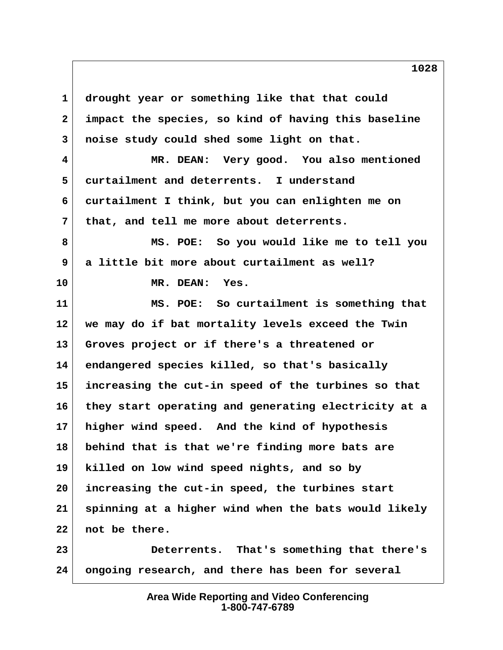**1 drought year or something like that that could 2 impact the species, so kind of having this baseline 3 noise study could shed some light on that. 4 MR. DEAN: Very good. You also mentioned 5 curtailment and deterrents. I understand 6 curtailment I think, but you can enlighten me on 7 that, and tell me more about deterrents. 8 MS. POE: So you would like me to tell you 9 a little bit more about curtailment as well? 10 MR. DEAN: Yes. 11 MS. POE: So curtailment is something that 12 we may do if bat mortality levels exceed the Twin 13 Groves project or if there's a threatened or 14 endangered species killed, so that's basically 15 increasing the cut-in speed of the turbines so that 16 they start operating and generating electricity at a 17 higher wind speed. And the kind of hypothesis 18 behind that is that we're finding more bats are 19 killed on low wind speed nights, and so by 20 increasing the cut-in speed, the turbines start 21 spinning at a higher wind when the bats would likely 22 not be there. 23 Deterrents. That's something that there's 24 ongoing research, and there has been for several**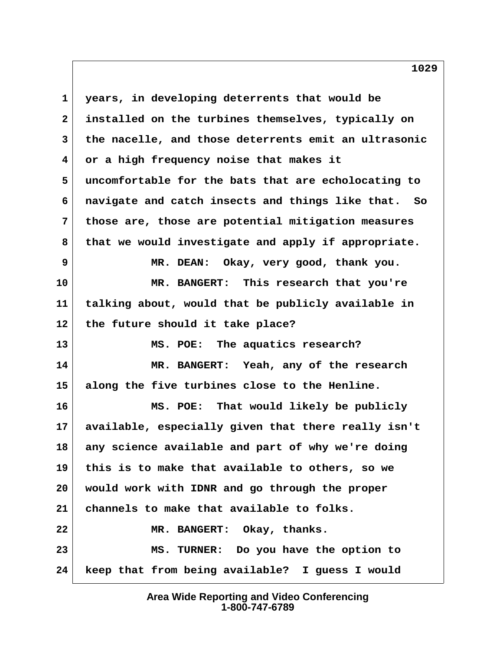**1 years, in developing deterrents that would be 2 installed on the turbines themselves, typically on 3 the nacelle, and those deterrents emit an ultrasonic 4 or a high frequency noise that makes it 5 uncomfortable for the bats that are echolocating to 6 navigate and catch insects and things like that. So 7 those are, those are potential mitigation measures 8 that we would investigate and apply if appropriate. 9 MR. DEAN: Okay, very good, thank you. 10 MR. BANGERT: This research that you're 11 talking about, would that be publicly available in 12 the future should it take place? 13 MS. POE: The aquatics research? 14 MR. BANGERT: Yeah, any of the research 15 along the five turbines close to the Henline. 16 MS. POE: That would likely be publicly 17 available, especially given that there really isn't 18 any science available and part of why we're doing 19 this is to make that available to others, so we 20 would work with IDNR and go through the proper 21 channels to make that available to folks. 22 MR. BANGERT: Okay, thanks. 23 MS. TURNER: Do you have the option to 24 keep that from being available? I guess I would**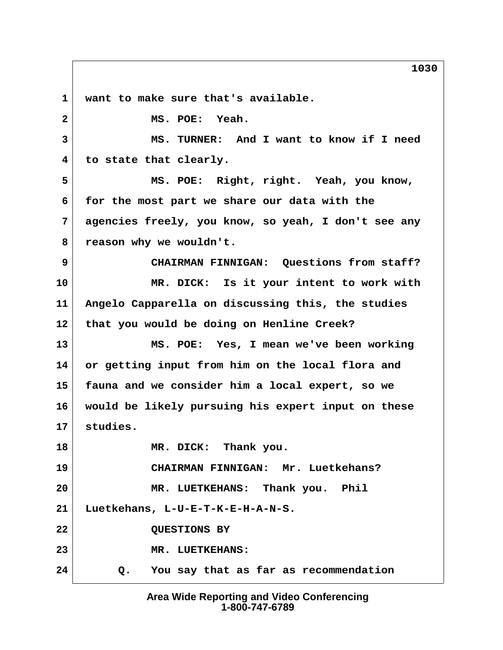**1 want to make sure that's available. 2 MS. POE: Yeah. 3 MS. TURNER: And I want to know if I need 4 to state that clearly. 5 MS. POE: Right, right. Yeah, you know, 6 for the most part we share our data with the 7 agencies freely, you know, so yeah, I don't see any 8 reason why we wouldn't. 9 CHAIRMAN FINNIGAN: Questions from staff? 10 MR. DICK: Is it your intent to work with 11 Angelo Capparella on discussing this, the studies 12 that you would be doing on Henline Creek? 13 MS. POE: Yes, I mean we've been working 14 or getting input from him on the local flora and 15 fauna and we consider him a local expert, so we 16 would be likely pursuing his expert input on these 17 studies. 18 MR. DICK: Thank you. 19 CHAIRMAN FINNIGAN: Mr. Luetkehans? 20 MR. LUETKEHANS: Thank you. Phil 21 Luetkehans, L-U-E-T-K-E-H-A-N-S. 22 QUESTIONS BY 23 MR. LUETKEHANS: 24 Q. You say that as far as recommendation**

> **Area Wide Reporting and Video Conferencing 1-800-747-6789**

**1030**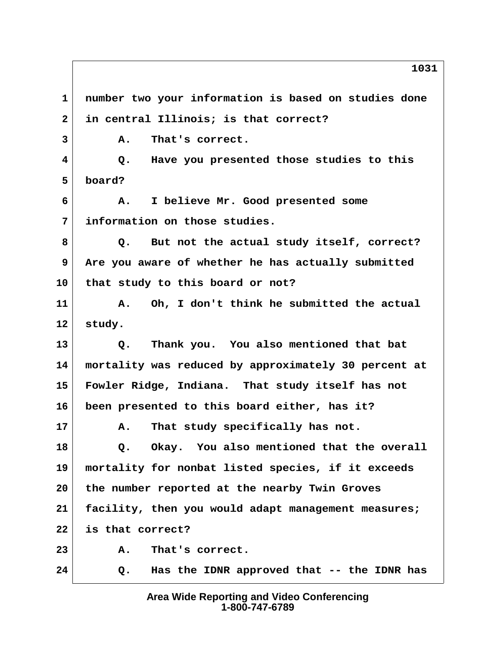**1 number two your information is based on studies done 2 in central Illinois; is that correct? 3 A. That's correct. 4 Q. Have you presented those studies to this 5 board? 6 A. I believe Mr. Good presented some 7 information on those studies. 8 Q. But not the actual study itself, correct? 9 Are you aware of whether he has actually submitted 10 that study to this board or not? 11 A. Oh, I don't think he submitted the actual 12 study. 13 Q. Thank you. You also mentioned that bat 14 mortality was reduced by approximately 30 percent at 15 Fowler Ridge, Indiana. That study itself has not 16 been presented to this board either, has it? 17 A. That study specifically has not. 18 Q. Okay. You also mentioned that the overall 19 mortality for nonbat listed species, if it exceeds 20 the number reported at the nearby Twin Groves 21 facility, then you would adapt management measures; 22 is that correct? 23 A. That's correct. 24 Q. Has the IDNR approved that -- the IDNR has**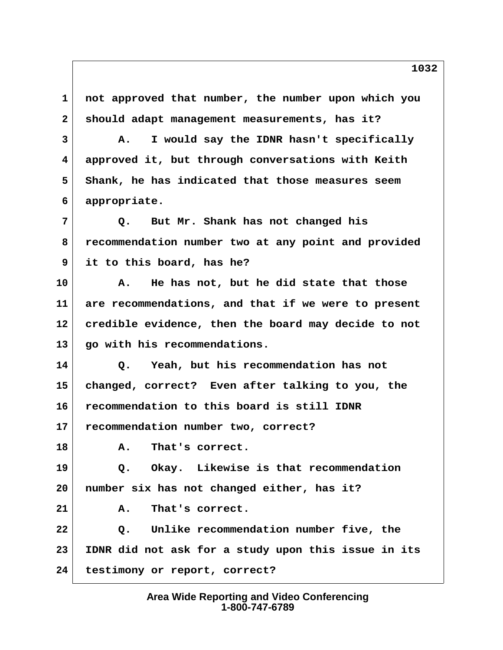**1 not approved that number, the number upon which you 2 should adapt management measurements, has it?**

 **3 A. I would say the IDNR hasn't specifically 4 approved it, but through conversations with Keith 5 Shank, he has indicated that those measures seem 6 appropriate.**

 **7 Q. But Mr. Shank has not changed his 8 recommendation number two at any point and provided 9 it to this board, has he?**

**10 A. He has not, but he did state that those 11 are recommendations, and that if we were to present 12 credible evidence, then the board may decide to not 13 go with his recommendations.**

**14 Q. Yeah, but his recommendation has not 15 changed, correct? Even after talking to you, the 16 recommendation to this board is still IDNR**

**17 recommendation number two, correct?**

**18 A. That's correct.**

**19 Q. Okay. Likewise is that recommendation 20 number six has not changed either, has it?**

**21 A. That's correct.**

**22 Q. Unlike recommendation number five, the 23 IDNR did not ask for a study upon this issue in its 24 testimony or report, correct?**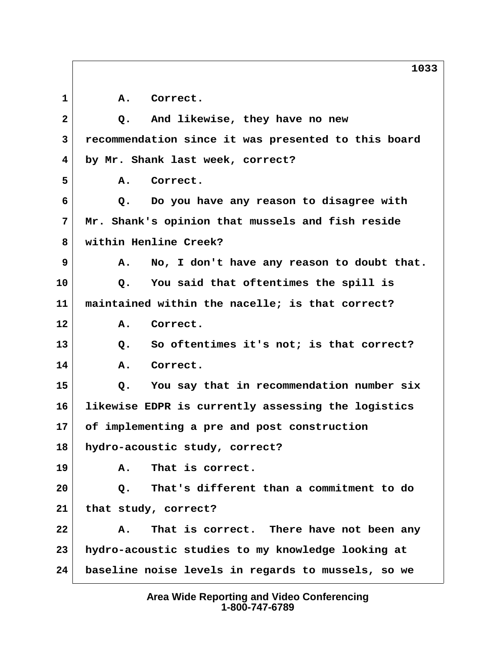1 A. Correct.  **2 Q. And likewise, they have no new 3 recommendation since it was presented to this board 4 by Mr. Shank last week, correct? 5 A. Correct. 6 Q. Do you have any reason to disagree with 7 Mr. Shank's opinion that mussels and fish reside 8 within Henline Creek? 9 A. No, I don't have any reason to doubt that. 10 Q. You said that oftentimes the spill is 11 maintained within the nacelle; is that correct? 12 A. Correct. 13 Q. So oftentimes it's not; is that correct? 14 A. Correct. 15 Q. You say that in recommendation number six 16 likewise EDPR is currently assessing the logistics 17 of implementing a pre and post construction 18 hydro-acoustic study, correct? 19 A. That is correct. 20 Q. That's different than a commitment to do 21 that study, correct? 22 A. That is correct. There have not been any 23 hydro-acoustic studies to my knowledge looking at 24 baseline noise levels in regards to mussels, so we**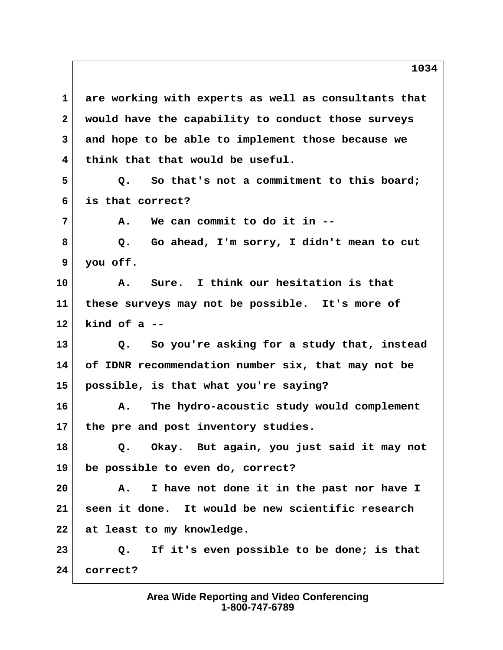**1 are working with experts as well as consultants that 2 would have the capability to conduct those surveys 3 and hope to be able to implement those because we 4 think that that would be useful. 5 Q. So that's not a commitment to this board; 6 is that correct? 7 A. We can commit to do it in -- 8 Q. Go ahead, I'm sorry, I didn't mean to cut 9 you off. 10 A. Sure. I think our hesitation is that 11 these surveys may not be possible. It's more of 12 kind of a -- 13 Q. So you're asking for a study that, instead 14 of IDNR recommendation number six, that may not be 15 possible, is that what you're saying? 16 A. The hydro-acoustic study would complement 17 the pre and post inventory studies. 18 Q. Okay. But again, you just said it may not 19 be possible to even do, correct? 20 A. I have not done it in the past nor have I 21 seen it done. It would be new scientific research 22 at least to my knowledge. 23 Q. If it's even possible to be done; is that 24 correct?**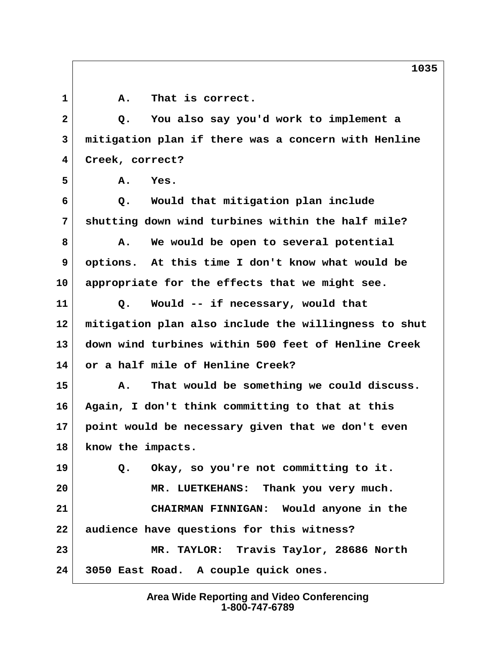1 A. That is correct.  **2 Q. You also say you'd work to implement a 3 mitigation plan if there was a concern with Henline 4 Creek, correct? 5 A. Yes. 6 Q. Would that mitigation plan include 7 shutting down wind turbines within the half mile? 8 A. We would be open to several potential 9 options. At this time I don't know what would be 10 appropriate for the effects that we might see. 11 Q. Would -- if necessary, would that 12 mitigation plan also include the willingness to shut 13 down wind turbines within 500 feet of Henline Creek 14 or a half mile of Henline Creek? 15 A. That would be something we could discuss. 16 Again, I don't think committing to that at this 17 point would be necessary given that we don't even 18 know the impacts. 19 Q. Okay, so you're not committing to it. 20 MR. LUETKEHANS: Thank you very much. 21 CHAIRMAN FINNIGAN: Would anyone in the**

**22 audience have questions for this witness? 23 MR. TAYLOR: Travis Taylor, 28686 North 24 3050 East Road. A couple quick ones.**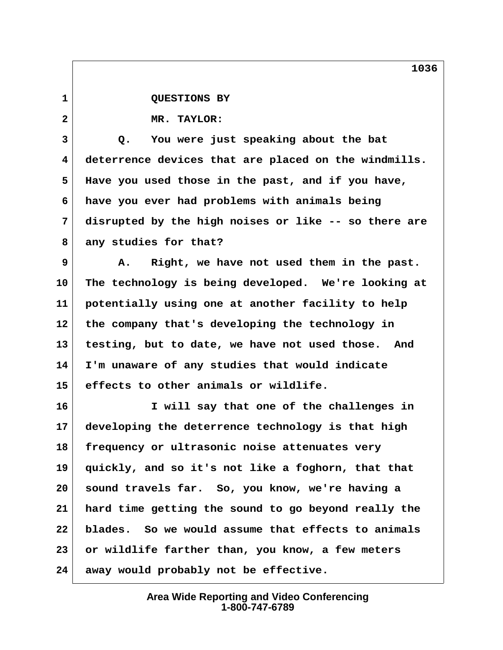1 QUESTIONS BY

 **2 MR. TAYLOR:**

 **3 Q. You were just speaking about the bat 4 deterrence devices that are placed on the windmills. 5 Have you used those in the past, and if you have, 6 have you ever had problems with animals being 7 disrupted by the high noises or like -- so there are 8 any studies for that?**

 **9 A. Right, we have not used them in the past. 10 The technology is being developed. We're looking at 11 potentially using one at another facility to help 12 the company that's developing the technology in 13 testing, but to date, we have not used those. And 14 I'm unaware of any studies that would indicate 15 effects to other animals or wildlife.**

**16 I will say that one of the challenges in 17 developing the deterrence technology is that high 18 frequency or ultrasonic noise attenuates very 19 quickly, and so it's not like a foghorn, that that 20 sound travels far. So, you know, we're having a 21 hard time getting the sound to go beyond really the 22 blades. So we would assume that effects to animals 23 or wildlife farther than, you know, a few meters 24 away would probably not be effective.**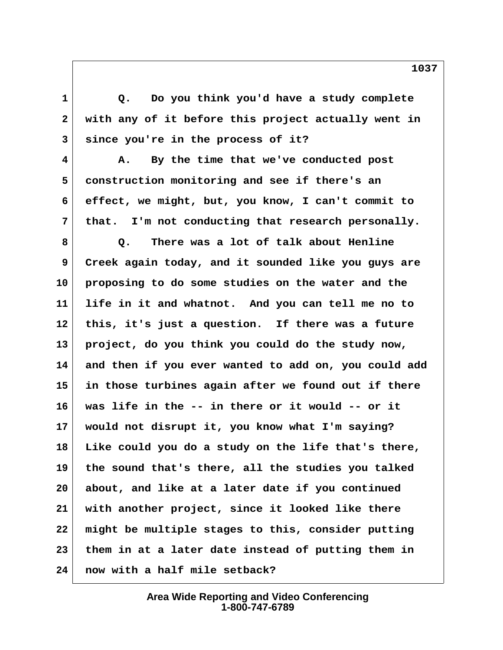1 **Q.** Do you think you'd have a study complete  **2 with any of it before this project actually went in 3 since you're in the process of it?**

 **4 A. By the time that we've conducted post 5 construction monitoring and see if there's an 6 effect, we might, but, you know, I can't commit to 7 that. I'm not conducting that research personally.**

 **8 Q. There was a lot of talk about Henline 9 Creek again today, and it sounded like you guys are 10 proposing to do some studies on the water and the 11 life in it and whatnot. And you can tell me no to 12 this, it's just a question. If there was a future 13 project, do you think you could do the study now, 14 and then if you ever wanted to add on, you could add 15 in those turbines again after we found out if there 16 was life in the -- in there or it would -- or it 17 would not disrupt it, you know what I'm saying? 18 Like could you do a study on the life that's there, 19 the sound that's there, all the studies you talked 20 about, and like at a later date if you continued 21 with another project, since it looked like there 22 might be multiple stages to this, consider putting 23 them in at a later date instead of putting them in 24 now with a half mile setback?**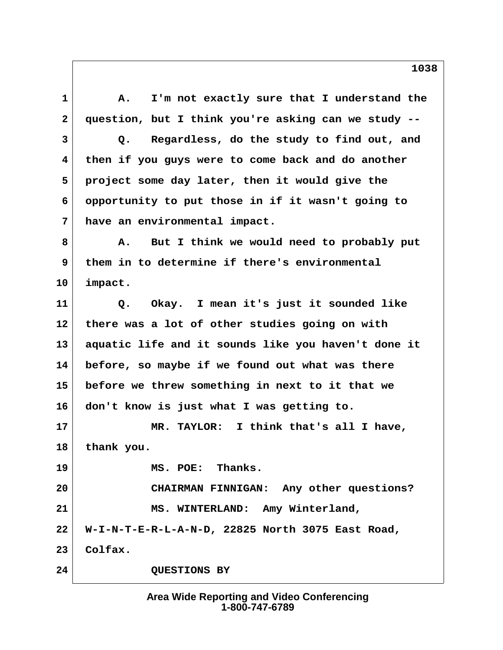1 A. I'm not exactly sure that I understand the  **2 question, but I think you're asking can we study -- 3 Q. Regardless, do the study to find out, and 4 then if you guys were to come back and do another 5 project some day later, then it would give the 6 opportunity to put those in if it wasn't going to 7 have an environmental impact. 8 A. But I think we would need to probably put 9 them in to determine if there's environmental 10 impact. 11 Q. Okay. I mean it's just it sounded like 12 there was a lot of other studies going on with 13 aquatic life and it sounds like you haven't done it 14 before, so maybe if we found out what was there 15 before we threw something in next to it that we 16 don't know is just what I was getting to. 17 MR. TAYLOR: I think that's all I have, 18 thank you. 19 MS. POE: Thanks. 20 CHAIRMAN FINNIGAN: Any other questions? 21 MS. WINTERLAND: Amy Winterland, 22 W-I-N-T-E-R-L-A-N-D, 22825 North 3075 East Road, 23 Colfax. 24 QUESTIONS BY**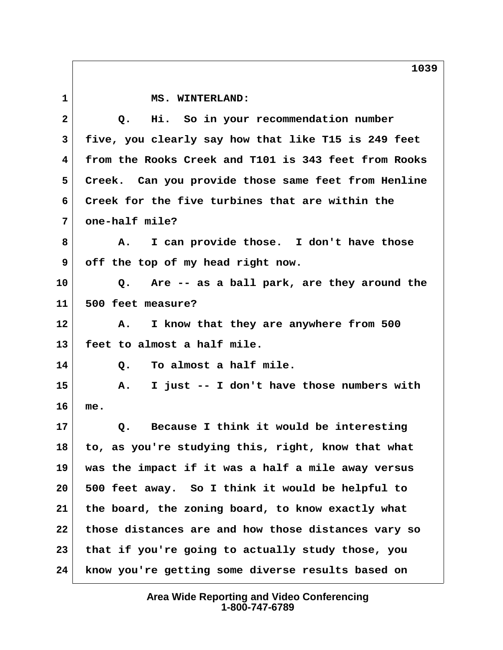1 MS. WINTERLAND:  **2 Q. Hi. So in your recommendation number 3 five, you clearly say how that like T15 is 249 feet 4 from the Rooks Creek and T101 is 343 feet from Rooks 5 Creek. Can you provide those same feet from Henline 6 Creek for the five turbines that are within the 7 one-half mile? 8 A. I can provide those. I don't have those 9 off the top of my head right now. 10 Q. Are -- as a ball park, are they around the 11 500 feet measure? 12 A. I know that they are anywhere from 500 13 feet to almost a half mile. 14 Q. To almost a half mile. 15 A. I just -- I don't have those numbers with 16 me. 17 Q. Because I think it would be interesting 18 to, as you're studying this, right, know that what 19 was the impact if it was a half a mile away versus 20 500 feet away. So I think it would be helpful to 21 the board, the zoning board, to know exactly what 22 those distances are and how those distances vary so 23 that if you're going to actually study those, you 24 know you're getting some diverse results based on**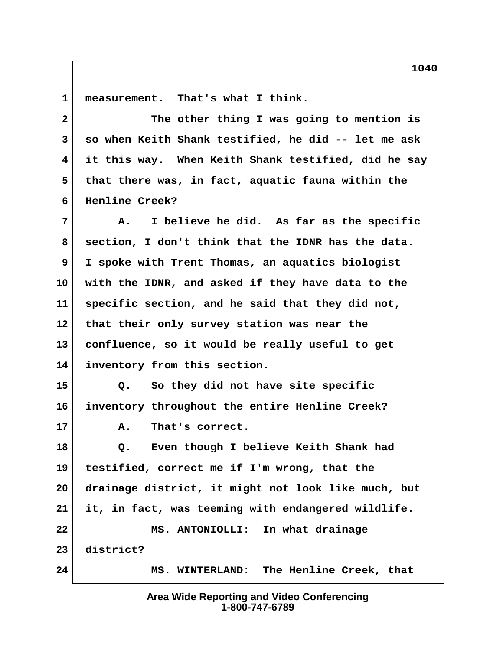1 measurement. That's what I think.

| $\overline{a}$  | The other thing I was going to mention is           |
|-----------------|-----------------------------------------------------|
| 3               | so when Keith Shank testified, he did -- let me ask |
| 4               | it this way. When Keith Shank testified, did he say |
| 5               | that there was, in fact, aquatic fauna within the   |
| 6               | Henline Creek?                                      |
| 7               | I believe he did. As far as the specific<br>Α.      |
| 8               | section, I don't think that the IDNR has the data.  |
| 9               | I spoke with Trent Thomas, an aquatics biologist    |
| 10 <sub>1</sub> | with the IDNR, and asked if they have data to the   |
| 11              | specific section, and he said that they did not,    |
| 12              | that their only survey station was near the         |
| 13              | confluence, so it would be really useful to get     |
| 14              | inventory from this section.                        |
| 15              | So they did not have site specific<br>Q.            |
| 16              | inventory throughout the entire Henline Creek?      |
| 17              | Α.<br>That's correct.                               |
| 18              | Even though I believe Keith Shank had<br>$Q$ .      |
| 19              | testified, correct me if I'm wrong, that the        |
| 20              | drainage district, it might not look like much, but |
| 21              | it, in fact, was teeming with endangered wildlife.  |
| 22              | MS. ANTONIOLLI: In what drainage                    |
| 23              | district?                                           |
| 24              | MS. WINTERLAND: The Henline Creek, that             |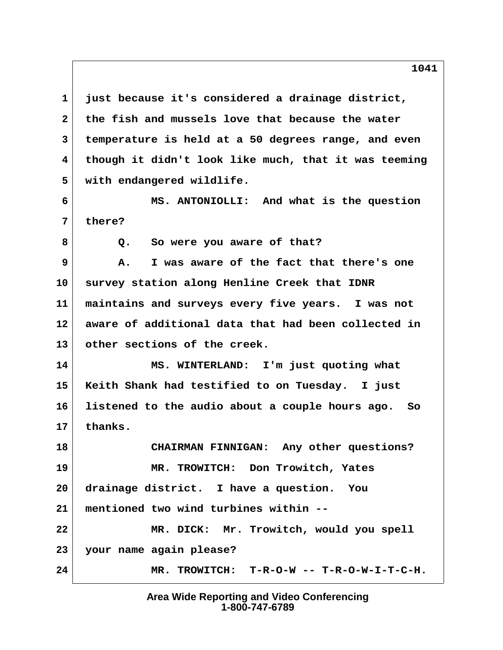**1 just because it's considered a drainage district, 2 the fish and mussels love that because the water 3 temperature is held at a 50 degrees range, and even 4 though it didn't look like much, that it was teeming 5 with endangered wildlife.**

 **6 MS. ANTONIOLLI: And what is the question 7 there?**

8 Q. So were you aware of that?

 **9 A. I was aware of the fact that there's one 10 survey station along Henline Creek that IDNR 11 maintains and surveys every five years. I was not 12 aware of additional data that had been collected in 13 other sections of the creek.**

**14 MS. WINTERLAND: I'm just quoting what 15 Keith Shank had testified to on Tuesday. I just 16 listened to the audio about a couple hours ago. So 17 thanks.**

**18 CHAIRMAN FINNIGAN: Any other questions? 19 MR. TROWITCH: Don Trowitch, Yates 20 drainage district. I have a question. You 21 mentioned two wind turbines within -- 22 MR. DICK: Mr. Trowitch, would you spell 23 your name again please?** 24 MR. TROWITCH: T-R-O-W -- T-R-O-W-I-T-C-H.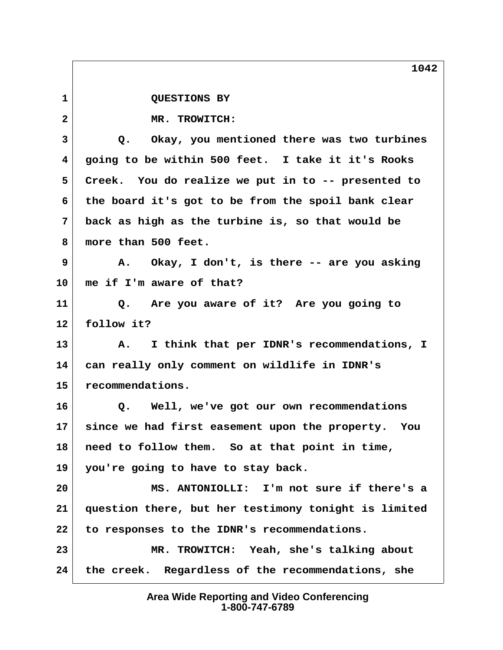**1 QUESTIONS BY 2 MR. TROWITCH: 3 Q. Okay, you mentioned there was two turbines 4 going to be within 500 feet. I take it it's Rooks 5 Creek. You do realize we put in to -- presented to 6 the board it's got to be from the spoil bank clear 7 back as high as the turbine is, so that would be 8 more than 500 feet. 9 A. Okay, I don't, is there -- are you asking 10 me if I'm aware of that? 11 Q. Are you aware of it? Are you going to 12 follow it? 13 A. I think that per IDNR's recommendations, I 14 can really only comment on wildlife in IDNR's 15 recommendations. 16 Q. Well, we've got our own recommendations 17 since we had first easement upon the property. You 18 need to follow them. So at that point in time, 19 you're going to have to stay back. 20 MS. ANTONIOLLI: I'm not sure if there's a 21 question there, but her testimony tonight is limited 22 to responses to the IDNR's recommendations. 23 MR. TROWITCH: Yeah, she's talking about 24 the creek. Regardless of the recommendations, she**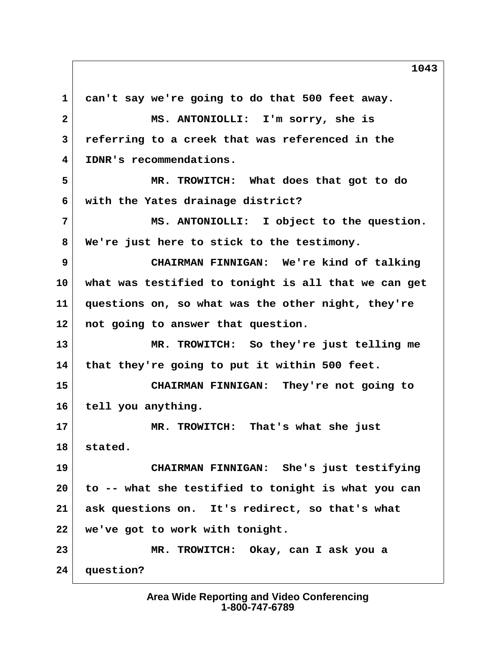**1 can't say we're going to do that 500 feet away. 2 MS. ANTONIOLLI: I'm sorry, she is 3 referring to a creek that was referenced in the 4 IDNR's recommendations. 5 MR. TROWITCH: What does that got to do 6 with the Yates drainage district? 7 MS. ANTONIOLLI: I object to the question. 8 We're just here to stick to the testimony. 9 CHAIRMAN FINNIGAN: We're kind of talking 10 what was testified to tonight is all that we can get 11 questions on, so what was the other night, they're 12 not going to answer that question. 13 MR. TROWITCH: So they're just telling me 14 that they're going to put it within 500 feet. 15 CHAIRMAN FINNIGAN: They're not going to 16 tell you anything. 17 MR. TROWITCH: That's what she just 18 stated. 19 CHAIRMAN FINNIGAN: She's just testifying 20 to -- what she testified to tonight is what you can 21 ask questions on. It's redirect, so that's what 22 we've got to work with tonight. 23 MR. TROWITCH: Okay, can I ask you a 24 question?**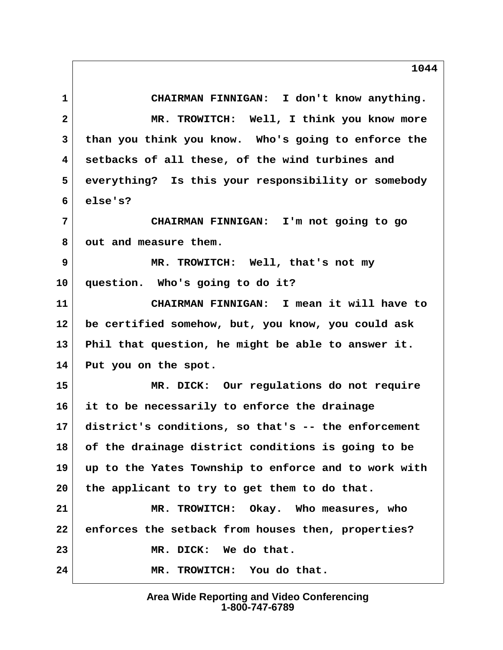**1 CHAIRMAN FINNIGAN: I don't know anything. 2 MR. TROWITCH: Well, I think you know more 3 than you think you know. Who's going to enforce the 4 setbacks of all these, of the wind turbines and 5 everything? Is this your responsibility or somebody 6 else's? 7 CHAIRMAN FINNIGAN: I'm not going to go 8 out and measure them. 9 MR. TROWITCH: Well, that's not my 10 question. Who's going to do it? 11 CHAIRMAN FINNIGAN: I mean it will have to 12 be certified somehow, but, you know, you could ask 13 Phil that question, he might be able to answer it. 14 Put you on the spot. 15 MR. DICK: Our regulations do not require 16 it to be necessarily to enforce the drainage 17 district's conditions, so that's -- the enforcement 18 of the drainage district conditions is going to be 19 up to the Yates Township to enforce and to work with 20 the applicant to try to get them to do that. 21 MR. TROWITCH: Okay. Who measures, who 22 enforces the setback from houses then, properties? 23 MR. DICK: We do that. 24 MR. TROWITCH: You do that.**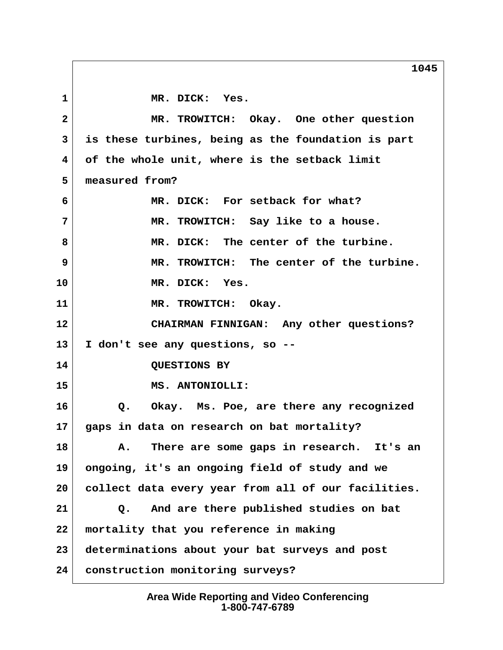1 MR. DICK: Yes.  **2 MR. TROWITCH: Okay. One other question 3 is these turbines, being as the foundation is part 4 of the whole unit, where is the setback limit 5 measured from? 6 MR. DICK: For setback for what? 7 MR. TROWITCH: Say like to a house. 8 MR. DICK: The center of the turbine. 9 MR. TROWITCH: The center of the turbine. 10 MR. DICK: Yes. 11 MR. TROWITCH: Okay. 12 CHAIRMAN FINNIGAN: Any other questions? 13 I don't see any questions, so -- 14 QUESTIONS BY 15 MS. ANTONIOLLI: 16 Q. Okay. Ms. Poe, are there any recognized 17 gaps in data on research on bat mortality? 18 A. There are some gaps in research. It's an 19 ongoing, it's an ongoing field of study and we 20 collect data every year from all of our facilities. 21 Q. And are there published studies on bat 22 mortality that you reference in making 23 determinations about your bat surveys and post 24 construction monitoring surveys?**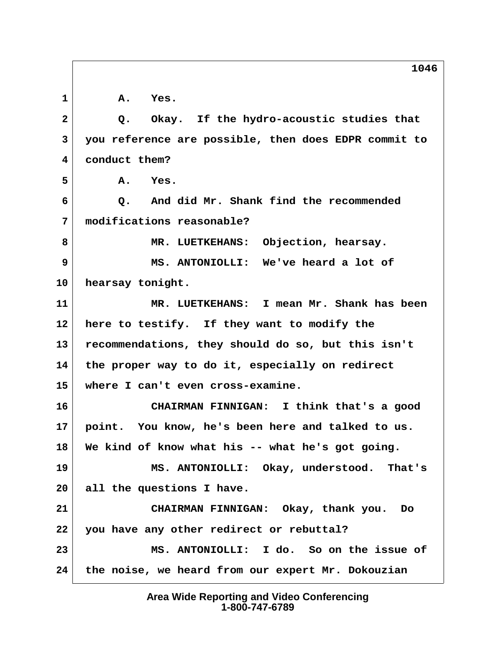**1 A. Yes. 2 Q. Okay. If the hydro-acoustic studies that 3 you reference are possible, then does EDPR commit to 4 conduct them? 5 A. Yes. 6 Q. And did Mr. Shank find the recommended 7 modifications reasonable? 8 MR. LUETKEHANS: Objection, hearsay. 9 MS. ANTONIOLLI: We've heard a lot of 10 hearsay tonight. 11 MR. LUETKEHANS: I mean Mr. Shank has been 12 here to testify. If they want to modify the 13 recommendations, they should do so, but this isn't 14 the proper way to do it, especially on redirect 15 where I can't even cross-examine. 16 CHAIRMAN FINNIGAN: I think that's a good 17 point. You know, he's been here and talked to us. 18 We kind of know what his -- what he's got going. 19 MS. ANTONIOLLI: Okay, understood. That's 20 all the questions I have. 21 CHAIRMAN FINNIGAN: Okay, thank you. Do 22 you have any other redirect or rebuttal? 23 MS. ANTONIOLLI: I do. So on the issue of 24 the noise, we heard from our expert Mr. Dokouzian**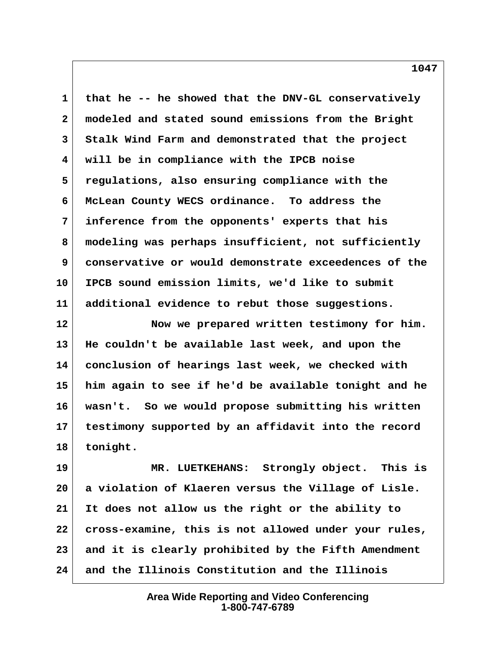**1 that he -- he showed that the DNV-GL conservatively 2 modeled and stated sound emissions from the Bright 3 Stalk Wind Farm and demonstrated that the project 4 will be in compliance with the IPCB noise 5 regulations, also ensuring compliance with the 6 McLean County WECS ordinance. To address the 7 inference from the opponents' experts that his 8 modeling was perhaps insufficient, not sufficiently 9 conservative or would demonstrate exceedences of the 10 IPCB sound emission limits, we'd like to submit 11 additional evidence to rebut those suggestions. 12 Now we prepared written testimony for him.**

**13 He couldn't be available last week, and upon the 14 conclusion of hearings last week, we checked with 15 him again to see if he'd be available tonight and he 16 wasn't. So we would propose submitting his written 17 testimony supported by an affidavit into the record 18 tonight.**

**19 MR. LUETKEHANS: Strongly object. This is 20 a violation of Klaeren versus the Village of Lisle. 21 It does not allow us the right or the ability to 22 cross-examine, this is not allowed under your rules, 23 and it is clearly prohibited by the Fifth Amendment 24 and the Illinois Constitution and the Illinois**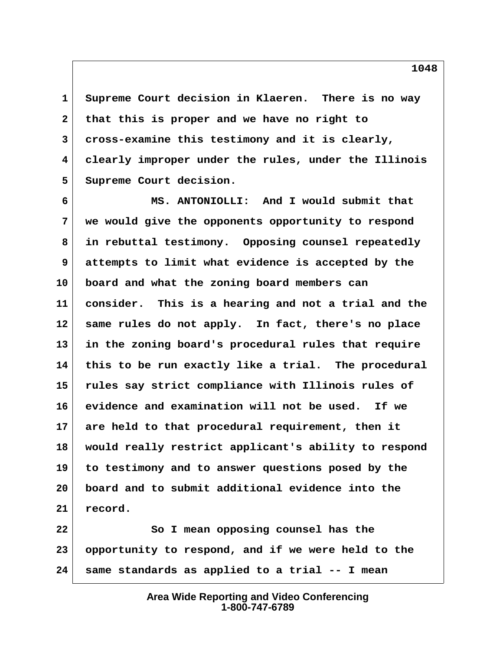**1 Supreme Court decision in Klaeren. There is no way 2 that this is proper and we have no right to 3 cross-examine this testimony and it is clearly, 4 clearly improper under the rules, under the Illinois 5 Supreme Court decision.**

 **6 MS. ANTONIOLLI: And I would submit that 7 we would give the opponents opportunity to respond 8 in rebuttal testimony. Opposing counsel repeatedly 9 attempts to limit what evidence is accepted by the 10 board and what the zoning board members can 11 consider. This is a hearing and not a trial and the 12 same rules do not apply. In fact, there's no place 13 in the zoning board's procedural rules that require 14 this to be run exactly like a trial. The procedural 15 rules say strict compliance with Illinois rules of 16 evidence and examination will not be used. If we 17 are held to that procedural requirement, then it 18 would really restrict applicant's ability to respond 19 to testimony and to answer questions posed by the 20 board and to submit additional evidence into the 21 record.**

**22 So I mean opposing counsel has the 23 opportunity to respond, and if we were held to the 24 same standards as applied to a trial -- I mean**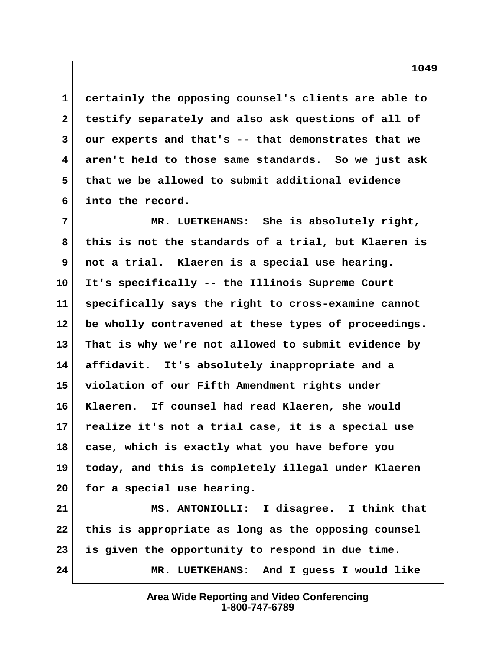**1 certainly the opposing counsel's clients are able to 2 testify separately and also ask questions of all of 3 our experts and that's -- that demonstrates that we 4 aren't held to those same standards. So we just ask 5 that we be allowed to submit additional evidence 6 into the record.**

 **7 MR. LUETKEHANS: She is absolutely right, 8 this is not the standards of a trial, but Klaeren is 9 not a trial. Klaeren is a special use hearing. 10 It's specifically -- the Illinois Supreme Court 11 specifically says the right to cross-examine cannot 12 be wholly contravened at these types of proceedings. 13 That is why we're not allowed to submit evidence by 14 affidavit. It's absolutely inappropriate and a 15 violation of our Fifth Amendment rights under 16 Klaeren. If counsel had read Klaeren, she would 17 realize it's not a trial case, it is a special use 18 case, which is exactly what you have before you 19 today, and this is completely illegal under Klaeren 20 for a special use hearing.**

**21 MS. ANTONIOLLI: I disagree. I think that 22 this is appropriate as long as the opposing counsel 23 is given the opportunity to respond in due time. 24 MR. LUETKEHANS: And I guess I would like**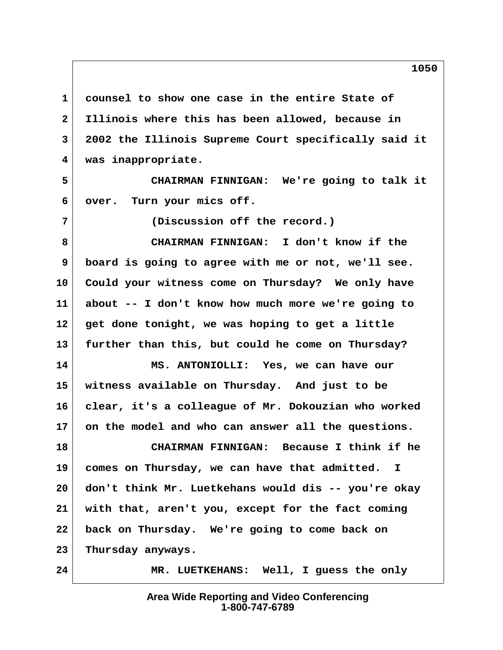**1 counsel to show one case in the entire State of 2 Illinois where this has been allowed, because in 3 2002 the Illinois Supreme Court specifically said it 4 was inappropriate.**

 **5 CHAIRMAN FINNIGAN: We're going to talk it 6 over. Turn your mics off.**

 **7 (Discussion off the record.)**

 **8 CHAIRMAN FINNIGAN: I don't know if the 9 board is going to agree with me or not, we'll see. 10 Could your witness come on Thursday? We only have 11 about -- I don't know how much more we're going to 12 get done tonight, we was hoping to get a little 13 further than this, but could he come on Thursday?**

**14 MS. ANTONIOLLI: Yes, we can have our 15 witness available on Thursday. And just to be 16 clear, it's a colleague of Mr. Dokouzian who worked 17 on the model and who can answer all the questions.**

**18 CHAIRMAN FINNIGAN: Because I think if he 19 comes on Thursday, we can have that admitted. I 20 don't think Mr. Luetkehans would dis -- you're okay 21 with that, aren't you, except for the fact coming 22 back on Thursday. We're going to come back on 23 Thursday anyways.**

**24 MR. LUETKEHANS: Well, I guess the only**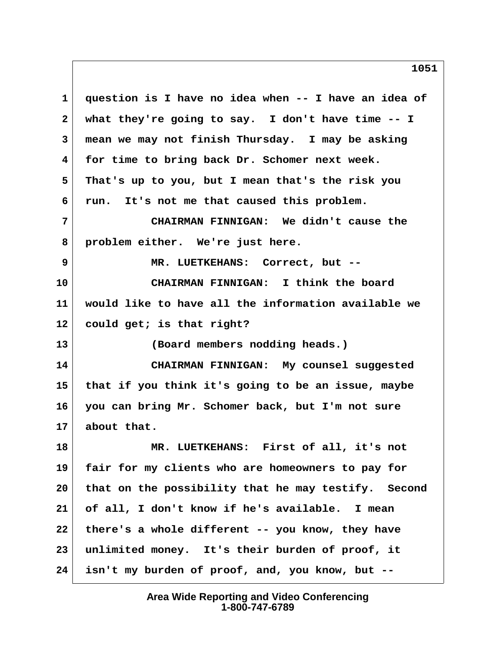**1 question is I have no idea when -- I have an idea of 2 what they're going to say. I don't have time -- I 3 mean we may not finish Thursday. I may be asking 4 for time to bring back Dr. Schomer next week. 5 That's up to you, but I mean that's the risk you 6 run. It's not me that caused this problem. 7 CHAIRMAN FINNIGAN: We didn't cause the 8 problem either. We're just here. 9 MR. LUETKEHANS: Correct, but -- 10 CHAIRMAN FINNIGAN: I think the board 11 would like to have all the information available we 12 could get; is that right? 13 (Board members nodding heads.) 14 CHAIRMAN FINNIGAN: My counsel suggested 15 that if you think it's going to be an issue, maybe 16 you can bring Mr. Schomer back, but I'm not sure 17 about that. 18 MR. LUETKEHANS: First of all, it's not 19 fair for my clients who are homeowners to pay for 20 that on the possibility that he may testify. Second 21 of all, I don't know if he's available. I mean 22 there's a whole different -- you know, they have 23 unlimited money. It's their burden of proof, it**

> **Area Wide Reporting and Video Conferencing 1-800-747-6789**

**24 isn't my burden of proof, and, you know, but --**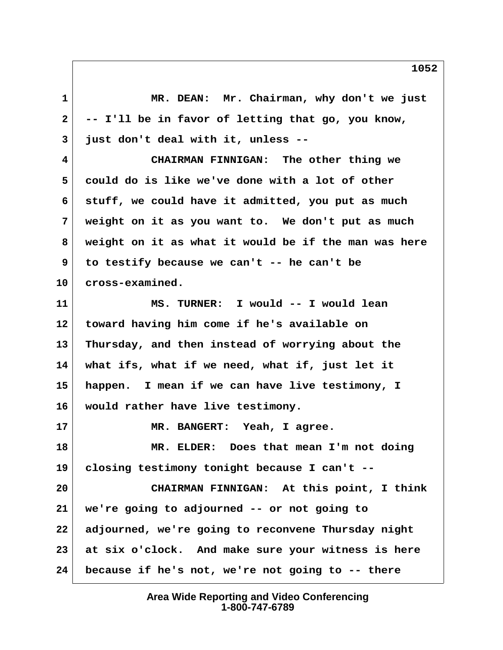**1 MR. DEAN: Mr. Chairman, why don't we just 2 -- I'll be in favor of letting that go, you know, 3 just don't deal with it, unless -- 4 CHAIRMAN FINNIGAN: The other thing we**

 **5 could do is like we've done with a lot of other 6 stuff, we could have it admitted, you put as much 7 weight on it as you want to. We don't put as much 8 weight on it as what it would be if the man was here 9 to testify because we can't -- he can't be 10 cross-examined.**

**11 MS. TURNER: I would -- I would lean 12 toward having him come if he's available on 13 Thursday, and then instead of worrying about the 14 what ifs, what if we need, what if, just let it 15 happen. I mean if we can have live testimony, I 16 would rather have live testimony.**

**17 MR. BANGERT: Yeah, I agree.**

**18 MR. ELDER: Does that mean I'm not doing 19 closing testimony tonight because I can't --**

**20 CHAIRMAN FINNIGAN: At this point, I think 21 we're going to adjourned -- or not going to 22 adjourned, we're going to reconvene Thursday night 23 at six o'clock. And make sure your witness is here 24 because if he's not, we're not going to -- there**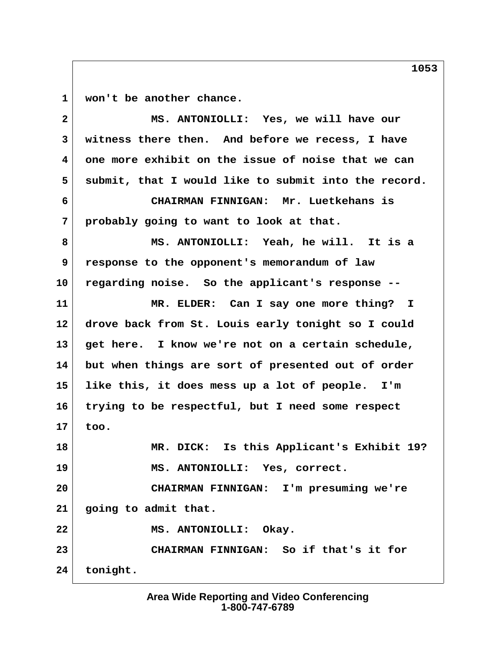**1 won't be another chance.**

 **2 MS. ANTONIOLLI: Yes, we will have our 3 witness there then. And before we recess, I have 4 one more exhibit on the issue of noise that we can** 5 submit, that I would like to submit into the record.  **6 CHAIRMAN FINNIGAN: Mr. Luetkehans is 7 probably going to want to look at that. 8 MS. ANTONIOLLI: Yeah, he will. It is a 9 response to the opponent's memorandum of law 10 regarding noise. So the applicant's response -- 11 MR. ELDER: Can I say one more thing? I 12 drove back from St. Louis early tonight so I could 13 get here. I know we're not on a certain schedule, 14 but when things are sort of presented out of order 15 like this, it does mess up a lot of people. I'm 16 trying to be respectful, but I need some respect 17 too. 18 MR. DICK: Is this Applicant's Exhibit 19? 19 MS. ANTONIOLLI: Yes, correct. 20 CHAIRMAN FINNIGAN: I'm presuming we're 21 going to admit that.** 22 MS. ANTONIOLLI: Okay. **23 CHAIRMAN FINNIGAN: So if that's it for 24 tonight.**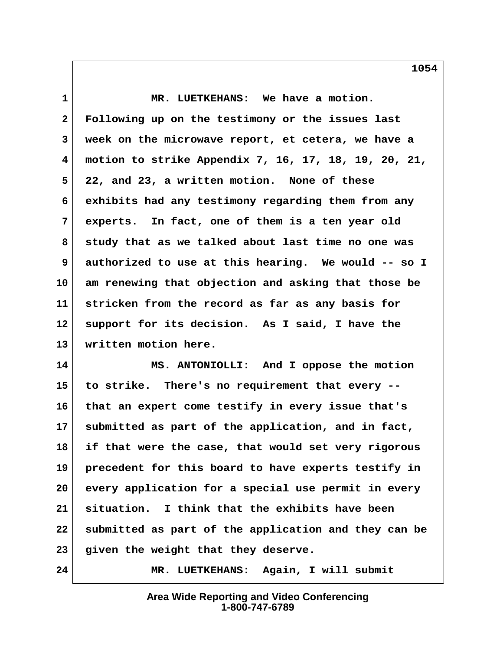**1 MR. LUETKEHANS: We have a motion. 2 Following up on the testimony or the issues last 3 week on the microwave report, et cetera, we have a 4 motion to strike Appendix 7, 16, 17, 18, 19, 20, 21, 5 22, and 23, a written motion. None of these 6 exhibits had any testimony regarding them from any 7 experts. In fact, one of them is a ten year old 8 study that as we talked about last time no one was 9 authorized to use at this hearing. We would -- so I 10 am renewing that objection and asking that those be 11 stricken from the record as far as any basis for 12 support for its decision. As I said, I have the 13 written motion here.**

**14 MS. ANTONIOLLI: And I oppose the motion 15 to strike. There's no requirement that every -- 16 that an expert come testify in every issue that's 17 submitted as part of the application, and in fact, 18 if that were the case, that would set very rigorous 19 precedent for this board to have experts testify in 20 every application for a special use permit in every 21 situation. I think that the exhibits have been 22 submitted as part of the application and they can be 23 given the weight that they deserve.**

**24 MR. LUETKEHANS: Again, I will submit**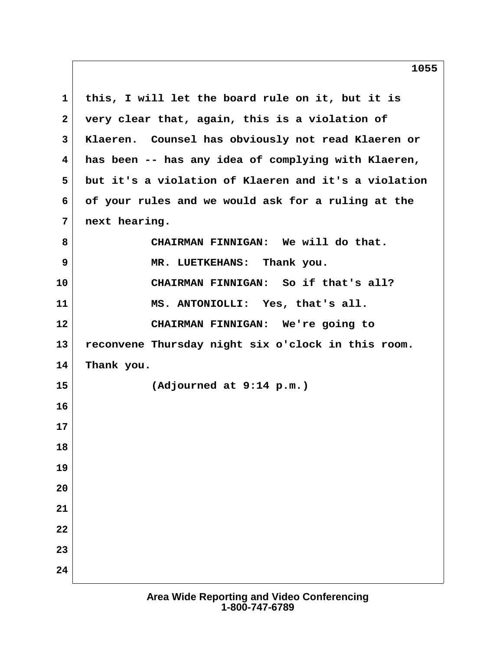**1 this, I will let the board rule on it, but it is 2 very clear that, again, this is a violation of 3 Klaeren. Counsel has obviously not read Klaeren or 4 has been -- has any idea of complying with Klaeren, 5 but it's a violation of Klaeren and it's a violation 6 of your rules and we would ask for a ruling at the 7 next hearing. 8 CHAIRMAN FINNIGAN: We will do that. 9 MR. LUETKEHANS: Thank you. 10 CHAIRMAN FINNIGAN: So if that's all? 11 MS. ANTONIOLLI: Yes, that's all. 12 CHAIRMAN FINNIGAN: We're going to 13 reconvene Thursday night six o'clock in this room. 14 Thank you. 15 (Adjourned at 9:14 p.m.) 16 17 18 19 20 21 22 23 24**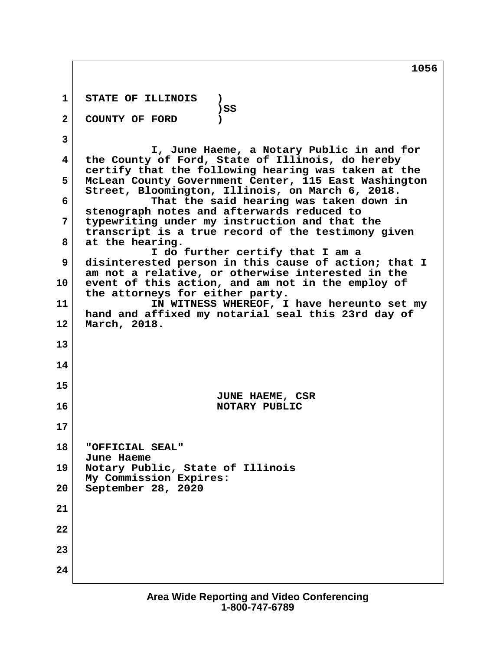1 STATE OF ILLINOIS )<br>SS ( **b**  $\sim$  **)** SS  **2 COUNTY OF FORD ) 3 I, June Haeme, a Notary Public in and for 4 the County of Ford, State of Illinois, do hereby certify that the following hearing was taken at the 5 McLean County Government Center, 115 East Washington Street, Bloomington, Illinois, on March 6, 2018. 6 That the said hearing was taken down in stenograph notes and afterwards reduced to 7 typewriting under my instruction and that the transcript is a true record of the testimony given 8 at the hearing. I do further certify that I am a 9 disinterested person in this cause of action; that I am not a relative, or otherwise interested in the 10 event of this action, and am not in the employ of the attorneys for either party. 11 IN WITNESS WHEREOF, I have hereunto set my hand and affixed my notarial seal this 23rd day of 12 March, 2018. 13 14 15 JUNE HAEME, CSR 16** NOTARY PUBLIC **17 18 "OFFICIAL SEAL" June Haeme 19 Notary Public, State of Illinois My Commission Expires: 20 September 28, 2020 21 22 23 24**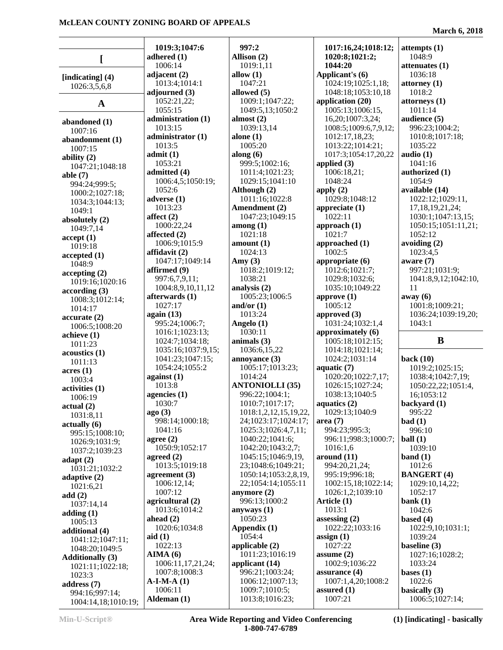|                                    | 1019:3;1047:6                 | 997:2                                   | 1017:16,24;1018:12;         | attempts(1)                               |
|------------------------------------|-------------------------------|-----------------------------------------|-----------------------------|-------------------------------------------|
|                                    | adhered $(1)$                 | Allison (2)                             | 1020:8;1021:2;              | 1048:9                                    |
|                                    | 1006:14                       | 1019:1,11                               | 1044:20                     | attenuates (1)                            |
|                                    | adjacent $(2)$                | allow $(1)$                             | Applicant's (6)             | 1036:18                                   |
| [indicating] $(4)$<br>1026:3,5,6,8 | 1013:4;1014:1                 | 1047:21                                 | 1024:19;1025:1,18;          | attorney $(1)$                            |
|                                    | adjourned (3)                 | allowed (5)                             | 1048:18;1053:10,18          | 1018:2                                    |
| $\mathbf{A}$                       | 1052:21,22;                   | 1009:1;1047:22;                         | application (20)            | attorneys(1)                              |
|                                    | 1055:15                       | 1049:5,13;1050:2                        | 1005:13;1006:15,            | 1011:14                                   |
| abandoned (1)                      | administration (1)            | almost $(2)$                            | 16,20;1007:3,24;            | audience (5)                              |
| 1007:16                            | 1013:15                       | 1039:13,14                              | 1008:5;1009:6,7,9,12;       | 996:23;1004:2;                            |
| abandonment (1)                    | administrator (1)             | alone $(1)$                             | 1012:17,18,23;              | 1010:8;1017:18;                           |
| 1007:15                            | 1013:5                        | 1005:20                                 | 1013:22;1014:21;            | 1035:22                                   |
| ability $(2)$                      | admit(1)                      | along $(6)$                             | 1017:3;1054:17,20,22        | audio $(1)$                               |
| 1047:21;1048:18                    | 1053:21                       | 999:5;1002:16;                          | applied $(3)$               | 1041:16                                   |
| able $(7)$                         | admitted (4)                  | 1011:4;1021:23;                         | $\overline{1006:18,21}$ ;   | authorized (1)                            |
| 994:24;999:5;                      | 1006:4,5;1050:19;             | 1029:15;1041:10                         | 1048:24                     | 1054:9                                    |
| 1000:2;1027:18;                    | 1052:6                        | Although (2)                            | apply $(2)$                 | available (14)                            |
| 1034:3;1044:13;                    | adverse $(1)$<br>1013:23      | 1011:16;1022:8<br>Amendment (2)         | 1029:8;1048:12              | 1022:12;1029:11,                          |
| 1049:1                             |                               |                                         | appreciate $(1)$<br>1022:11 | 17, 18, 19, 21, 24;                       |
| absolutely (2)                     | affect $(2)$<br>1000:22,24    | 1047:23;1049:15<br>among $(1)$          | approach $(1)$              | 1030:1;1047:13,15;<br>1050:15;1051:11,21; |
| 1049:7,14                          | affected $(2)$                | 1021:18                                 | 1021:7                      | 1052:12                                   |
| accept(1)                          | 1006:9;1015:9                 | amount(1)                               | approached (1)              | avoiding $(2)$                            |
| 1019:18                            | affidavit $(2)$               | 1024:13                                 | 1002:5                      | 1023:4,5                                  |
| accepted(1)                        | 1047:17;1049:14               | Amy $(3)$                               | appropriate (6)             | aware $(7)$                               |
| 1048:9                             | affirmed (9)                  | 1018:2;1019:12;                         | 1012:6;1021:7;              | 997:21;1031:9;                            |
| accepting(2)                       | 997:6,7,9,11;                 | 1038:21                                 | 1029:8;1032:6;              | 1041:8,9,12;1042:10,                      |
| 1019:16;1020:16                    | 1004:8,9,10,11,12             | analysis (2)                            | 1035:10;1049:22             | 11                                        |
| according(3)                       | afterwards (1)                | 1005:23;1006:5                          | approve $(1)$               | away (6)                                  |
| 1008:3;1012:14;<br>1014:17         | 1027:17                       | and/or $(1)$                            | 1005:12                     | 1001:8;1009:21;                           |
| accurate(2)                        | again $(13)$                  | 1013:24                                 | approved $(3)$              | 1036:24;1039:19,20;                       |
| 1006:5;1008:20                     | 995:24;1006:7;                | Angelo (1)                              | 1031:24;1032:1,4            | 1043:1                                    |
| achieve(1)                         | 1016:1;1023:13;               | 1030:11                                 | approximately (6)           |                                           |
| 1011:23                            | 1024:7;1034:18;               | animals $(3)$                           | 1005:18;1012:15;            | B                                         |
| acoustics(1)                       | 1035:16;1037:9,15;            | 1036:6,15,22                            | 1014:18;1021:14;            |                                           |
| 1011:13                            | 1041:23;1047:15;              | annoyance $(3)$                         | 1024:2;1031:14              | back $(10)$                               |
| acres(1)                           | 1054:24;1055:2                | 1005:17;1013:23;                        | aquatic $(7)$               | 1019:2;1025:15;                           |
| 1003:4                             | against $(1)$                 | 1014:24                                 | 1020:20;1022:7,17;          | 1038:4;1042:7,19;                         |
| activities (1)                     | 1013:8                        | <b>ANTONIOLLI (35)</b>                  | 1026:15;1027:24;            | 1050:22,22;1051:4,                        |
| 1006:19                            | agencies $(1)$                | 996:22;1004:1;                          | 1038:13;1040:5              | 16;1053:12                                |
| actual(2)                          | 1030:7                        | 1010:7;1017:17;                         | aquatics (2)                | backyard (1)                              |
| 1031:8,11                          | ago(3)                        | 1018:1,2,12,15,19,22,                   | 1029:13;1040:9              | 995:22                                    |
| $\text{actually } (6)$             | 998:14;1000:18;               | 24;1023:17;1024:17;                     | area(7)                     | bad(1)                                    |
| 995:15;1008:10;                    | 1041:16                       | 1025:3;1026:4,7,11;                     | 994:23;995:3;               | 996:10                                    |
| 1026:9;1031:9;                     | agree $(2)$<br>1050:9:1052:17 | 1040:22;1041:6;                         | 996:11;998:3;1000:7;        | ball(1)                                   |
| 1037:2;1039:23                     | agreed $(2)$                  | 1042:20;1043:2,7;<br>1045:15;1046:9,19, | 1016:1,6<br>around $(11)$   | 1039:10<br>band $(1)$                     |
| adapt $(2)$                        | 1013:5;1019:18                | 23;1048:6;1049:21;                      | 994:20,21,24;               | 1012:6                                    |
| 1031:21;1032:2                     | agreement $(3)$               | 1050:14;1053:2,8,19,                    | 995:19;996:18;              | <b>BANGERT (4)</b>                        |
| adaptive $(2)$                     | 1006:12,14;                   | 22;1054:14;1055:11                      | 1002:15,18;1022:14;         | 1029:10,14,22;                            |
| 1021:6,21                          | 1007:12                       | anymore $(2)$                           | 1026:1,2;1039:10            | 1052:17                                   |
| add $(2)$                          | agricultural (2)              | 996:13;1000:2                           | Article (1)                 | bank $(1)$                                |
| 1037:14,14<br>adding $(1)$         | 1013:6;1014:2                 | anyways $(1)$                           | 1013:1                      | 1042:6                                    |
| 1005:13                            | ahead $(2)$                   | 1050:23                                 | assessing $(2)$             | based $(4)$                               |
| additional (4)                     | 1020:6;1034:8                 | Appendix $(1)$                          | 1022:22;1033:16             | 1022:9,10;1031:1;                         |
| 1041:12;1047:11;                   | aid $(1)$                     | 1054:4                                  | assign(1)                   | 1039:24                                   |
| 1048:20;1049:5                     | 1022:13                       | applicable $(2)$                        | 1027:22                     | baseline (3)                              |
| <b>Additionally (3)</b>            | AIMA(6)                       | 1011:23;1016:19                         | assume $(2)$                | 1027:16;1028:2;                           |
| 1021:11;1022:18;                   | 1006:11,17,21,24;             | applicant (14)                          | 1002:9;1036:22              | 1033:24                                   |
| 1023:3                             | 1007:8;1008:3                 | 996:21;1003:24;                         | assurance $(4)$             | bases $(1)$                               |
| address $(7)$                      | $A-I-M-A(1)$                  | 1006:12;1007:13;                        | 1007:1,4,20;1008:2          | 1022:6                                    |
| 994:16;997:14;                     | 1006:11                       | 1009:7;1010:5;                          | assured $(1)$               | basically (3)                             |
| $1004.14$ $18.1010.19$             | Aldeman (1)                   | 1013:8;1016:23;                         | 1007:21                     | 1006:5;1027:14;                           |

 $1004:14,18;1010:19;$   $\mathbf{A}$ 

**Min-U-Script® Area Wide Reporting and Video Conferencing 1-800-747-6789**

### **March 6, 2018**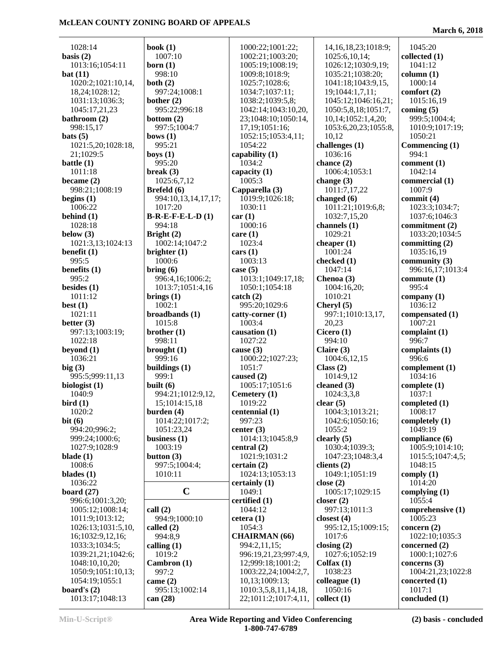$\overline{a}$ 

**March 6, 2018**

| 1028:14            | book $(1)$          | 1000:22;1001:22;      | 14, 16, 18, 23; 1018: 9; | 1045:20                 |
|--------------------|---------------------|-----------------------|--------------------------|-------------------------|
| basis $(2)$        | 1007:10             | 1002:21;1003:20;      | 1025:6,10,14;            | collected $(1)$         |
| 1013:16;1054:11    | born $(1)$          | 1005:19;1008:19;      | 1026:12;1030:9,19;       | 1041:12                 |
| bat(11)            | 998:10              | 1009:8;1018:9;        | 1035:21;1038:20;         | column (1)              |
| 1020:2;1021:10,14, | both $(2)$          | 1025:7;1028:6;        | 1041:18;1043:9,15,       | 1000:14                 |
| 18,24;1028:12;     | 997:24;1008:1       | 1034:7;1037:11;       | 19;1044:1,7,11;          | comfort (2)             |
| 1031:13;1036:3;    | bother $(2)$        | 1038:2;1039:5,8;      | 1045:12;1046:16,21;      | 1015:16,19              |
| 1045:17,21,23      | 995:22;996:18       | 1042:14;1043:10,20,   | 1050:5,8,18;1051:7,      | coming $(5)$            |
| bathroom (2)       | bottom $(2)$        | 23;1048:10;1050:14,   | 10,14;1052:1,4,20;       | 999:5;1004:4;           |
| 998:15,17          | 997:5;1004:7        | 17, 19; 1051: 16;     | 1053:6,20,23;1055:8,     | 1010:9;1017:19;         |
| $\text{bats}(5)$   | bows $(1)$          | 1052:15;1053:4,11;    | 10,12                    | 1050:21                 |
| 1021:5,20;1028:18, | 995:21              | 1054:22               | challenges (1)           |                         |
|                    |                     |                       | 1036:16                  | Commencing (1)<br>994:1 |
| 21;1029:5          | boys $(1)$          | capability (1)        |                          |                         |
| battle $(1)$       | 995:20              | 1034:2                | chance $(2)$             | comment $(1)$           |
| 1011:18            | break $(3)$         | capacity $(1)$        | 1006:4;1053:1            | 1042:14                 |
| became $(2)$       | 1025:6,7,12         | 1005:3                | change $(3)$             | commercial (1)          |
| 998:21;1008:19     | Brefeld (6)         | Capparella (3)        | 1011:7,17,22             | 1007:9                  |
| begins $(1)$       | 994:10,13,14,17,17; | 1019:9;1026:18;       | changed $(6)$            | commit $(4)$            |
| 1006:22            | 1017:20             | 1030:11               | 1011:21;1019:6,8;        | 1023:3;1034:7;          |
| behind $(1)$       | $B-R-E-F-E-L-D(1)$  | car(1)                | 1032:7,15,20             | 1037:6;1046:3           |
| 1028:18            | 994:18              | 1000:16               | channels (1)             | commitment (2)          |
| below $(3)$        | Bright $(2)$        | care $(1)$            | 1029:21                  | 1033:20;1034:5          |
| 1021:3,13;1024:13  | 1002:14;1047:2      | 1023:4                | cheaper $(1)$            | committing $(2)$        |
| benefit $(1)$      | brighter $(1)$      | cars (1)              | 1001:24                  | 1035:16,19              |
| 995:5              | 1000:6              | 1003:13               | checked (1)              | community $(3)$         |
| benefits $(1)$     | bring (6)           | case $(5)$            | 1047:14                  | 996:16,17;1013:4        |
| 995:2              | 996:4,16;1006:2;    | 1013:1;1049:17,18;    | Chenoa (3)               | commute $(1)$           |
| besides $(1)$      | 1013:7;1051:4,16    | 1050:1;1054:18        | 1004:16,20;              | 995:4                   |
| 1011:12            | brings $(1)$        | $\text{catch} (2)$    | 1010:21                  | company $(1)$           |
| best $(1)$         | 1002:1              | 995:20;1029:6         | Cheryl $(5)$             | 1036:12                 |
| 1021:11            | broadbands (1)      | catty-corner (1)      | 997:1;1010:13,17,        | compensated (1)         |
| better $(3)$       | 1015:8              | 1003:4                | 20,23                    | 1007:21                 |
| 997:13;1003:19;    | brother $(1)$       | causation $(1)$       | Cicero $(1)$             | complaint $(1)$         |
| 1022:18            | 998:11              | 1027:22               | 994:10                   | 996:7                   |
| beyond (1)         | brought $(1)$       | cause $(3)$           | Claire $(3)$             | complaints $(1)$        |
| 1036:21            | 999:16              | 1000:22;1027:23;      | 1004:6,12,15             | 996:6                   |
|                    | buildings $(1)$     | 1051:7                |                          |                         |
| big(3)             | 999:1               |                       | Class (2)                | complement (1)          |
| 995:5;999:11,13    |                     | caused (2)            | 1014:9,12                | 1034:16                 |
| biologist $(1)$    | built $(6)$         | 1005:17;1051:6        | cleaned $(3)$            | complete $(1)$          |
| 1040:9             | 994:21;1012:9,12,   | Cemetery $(1)$        | 1024:3,3,8               | 1037:1                  |
| bird(1)            | 15;1014:15,18       | 1019:22               | clear(5)                 | completed $(1)$         |
| 1020:2             | burden $(4)$        | centennial (1)        | 1004:3;1013:21;          | 1008:17                 |
| bit(6)             | 1014:22;1017:2;     | 997:23                | 1042:6;1050:16;          | completely (1)          |
| 994:20;996:2;      | 1051:23,24          | center $(3)$          | 1055:2                   | 1049:19                 |
| 999:24;1000:6;     | business $(1)$      | 1014:13;1045:8,9      | clearly $(5)$            | compliance (6)          |
| 1027:9;1028:9      | 1003:19             | central $(2)$         | 1030:4;1039:3;           | 1005:9;1014:10;         |
| blade $(1)$        | button $(3)$        | 1021:9;1031:2         | 1047:23;1048:3,4         | 1015:5;1047:4,5;        |
| 1008:6             | 997:5;1004:4;       | certain(2)            | clients $(2)$            | 1048:15                 |
| blades $(1)$       | 1010:11             | 1024:13;1053:13       | 1049:1;1051:19           | comply $(1)$            |
| 1036:22            |                     | certainly $(1)$       | close $(2)$              | 1014:20                 |
| board $(27)$       | $\mathbf C$         | 1049:1                | 1005:17;1029:15          | complying $(1)$         |
| 996:6;1001:3,20;   |                     | certified (1)         | closer $(2)$             | 1055:4                  |
| 1005:12;1008:14;   | call(2)             | 1044:12               | 997:13;1011:3            | comprehensive (1)       |
| 1011:9;1013:12;    | 994:9;1000:10       | cetera(1)             | closest $(4)$            | 1005:23                 |
| 1026:13;1031:5,10, | called $(2)$        | 1054:3                | 995:12,15;1009:15;       | concern $(2)$           |
| 16;1032:9,12,16;   | 994:8,9             | <b>CHAIRMAN</b> (66)  | 1017:6                   | 1022:10;1035:3          |
| 1033:3;1034:5;     | calling $(1)$       | 994:2,11,15;          | closing $(2)$            | concerned (2)           |
| 1039:21,21;1042:6; | 1019:2              | 996:19,21,23;997:4,9, | 1027:6;1052:19           | 1000:1;1027:6           |
| 1048:10,10,20;     | Cambron(1)          | 12;999:18;1001:2;     | $Col$ fax $(1)$          | concerns $(3)$          |
| 1050:9;1051:10,13; | 997:2               | 1003:22,24;1004:2,7,  | 1038:23                  | 1004:21,23;1022:8       |
| 1054:19;1055:1     | came $(2)$          | 10,13;1009:13;        | colleague $(1)$          | concerted $(1)$         |
| board's $(2)$      | 995:13;1002:14      | 1010:3,5,8,11,14,18,  | 1050:16                  | 1017:1                  |
| 1013:17;1048:13    | can $(28)$          | 22;1011:2;1017:4,11,  | collect $(1)$            | concluded (1)           |
|                    |                     |                       |                          |                         |

**Min-U-Script® Area Wide Reporting and Video Conferencing 1-800-747-6789**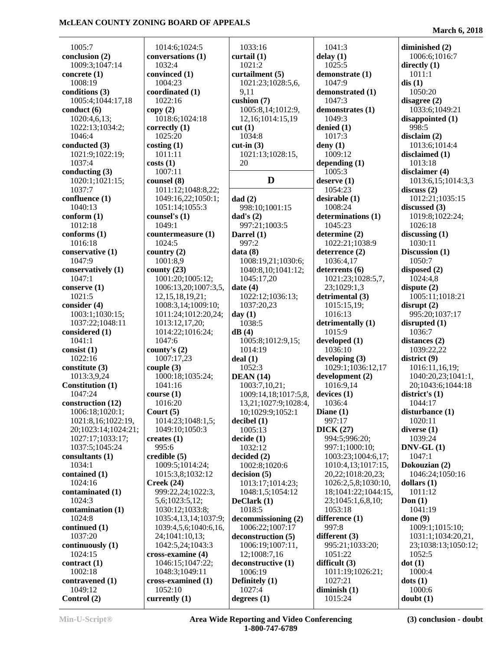1005:7 **conclusion (2)** 1009:3;1047:14 **concrete (1)** 1008:19 **conditions (3)** 1005:4;1044:17,18 **conduct (6)** 1020:4,6,13; 1022:13;1034:2; 1046:4 **conducted (3)** 1021:9;1022:19; 1037:4 **conducting (3)** 1020:1;1021:15; 1037:7 **confluence (1)** 1040:13 **conform (1)** 1012:18 **conforms (1)** 1016:18 **conservative (1)** 1047:9 **conservatively (1)** 1047:1 **conserve (1)** 1021:5 **consider (4)** 1003:1;1030:15; 1037:22;1048:11 **considered (1)** 1041:1 **consist (1)** 1022:16 **constitute (3)** 1013:3,9,24 **Constitution (1)** 1047:24 **construction (12)** 1006:18;1020:1; 1021:8,16;1022:19, 20;1023:14;1024:21; 1027:17;1033:17; 1037:5;1045:24 **consultants (1)** 1034:1 **contained (1)** 1024:16 **contaminated (1)** 1024:3 **contamination (1)** 1024:8 **continued (1)** 1037:20 **continuously (1)** 1024:15 **contract (1)** 1002:18 **contravened (1)** 1049:12 **Control (2)**

 1014:6;1024:5 **conversations (1)** 1032:4 **convinced (1)** 1004:23 **coordinated (1)** 1022:16 **copy (2)** 1018:6;1024:18 **correctly (1)** 1025:20 **costing (1)** 1011:11 **costs (1)** 1007:11 **counsel (8)** 1011:12;1048:8,22; 1049:16,22;1050:1; 1051:14;1055:3 **counsel's (1)** 1049:1 **countermeasure (1)** 1024:5 **country (2)** 1001:8,9 **county (23)** 1001:20;1005:12; 1006:13,20;1007:3,5, 12,15,18,19,21; 1008:3,14;1009:10; 1011:24;1012:20,24; 1013:12,17,20; 1014:22;1016:24; 1047:6 **county's (2)** 1007:17,23 **couple (3)** 1000:18;1035:24; 1041:16 **course (1)** 1016:20 **Court (5)** 1014:23;1048:1,5; 1049:10;1050:3 **creates (1)** 995:6 **credible (5)** 1009:5;1014:24; 1015:3,8;1032:12 **Creek (24)** 999:22,24;1022:3, 5,6;1023:5,12; 1030:12;1033:8; 1035:4,13,14;1037:9; 1039:4,5,6;1040:6,16, 24;1041:10,13; 1042:5,24;1043:3 **cross-examine (4)** 1046:15;1047:22; 1048:3;1049:11 **cross-examined (1)** 1052:10 **currently (1)**

 1033:16 **curtail (1)** 1021:2 **curtailment (5)** 1021:23;1028:5,6, 9,11 **cushion (7)** 1005:8,14;1012:9, 12,16;1014:15,19 **cut (1)** 1034:8 **cut-in (3)** 1021:13;1028:15, 20 **dad (2)** 998:10;1001:15 **dad's (2)** 997:21;1003:5 **Darrel (1)** 997:2 **data (8)** 1008:19,21;1030:6; 1040:8,10;1041:12; 1045:17,20 **date (4)** 1022:12;1036:13; 1037:20,23 **day (1)** 1038:5 **dB (4)** 1005:8;1012:9,15; 1014:19 **deal (1)** 1052:3 **DEAN (14)** 1003:7,10,21; 1009:14,18;1017:5,8, 13,21;1027:9;1028:4, 10;1029:9;1052:1 **decibel (1)** 1005:13 **decide (1)** 1032:12 **decided (2)** 1002:8;1020:6 **decision (5)** 1013:17;1014:23; 1048:1,5;1054:12 **DeClark (1)** 1018:5 **decommissioning (2)** 1006:22;1007:17 **deconstruction (5)** 1006:19;1007:11, 12;1008:7,16 **deconstructive (1)** 1006:19 **Definitely (1)** 1027:4 **degrees (1)**

**D deserve (1)** 1041:3 **delay (1)** 1025:5 **demonstrate (1)** 1047:9 **demonstrated (1)** 1047:3 **demonstrates (1)** 1049:3 **denied (1)** 1017:3 **deny (1)** 1009:12 **depending (1)** 1005:3 1054:23 **desirable (1)** 1008:24 **determinations (1)** 1045:23 **determine (2)** 1022:21;1038:9 **deterrence (2)** 1036:4,17 **deterrents (6)** 1021:23;1028:5,7, 23;1029:1,3 **detrimental (3)** 1015:15,19; 1016:13 **detrimentally (1)** 1015:9 **developed (1)** 1036:10 **developing (3)** 1029:1;1036:12,17 **development (2)** 1016:9,14 **devices (1)** 1036:4 **Diane (1)** 997:17 **DICK (27)** 994:5;996:20; 997:1;1000:10; 1003:23;1004:6,17; 1010:4,13;1017:15, 20,22;1018:20,23; 1026:2,5,8;1030:10, 18;1041:22;1044:15, 23;1045:1,6,8,10; 1053:18 **difference (1)** 997:8 **different (3)** 995:21;1033:20; 1051:22 **difficult (3)** 1011:19;1026:21; 1027:21 **diminish (1)** 1015:24

#### **March 6, 2018**

**diminished (2)** 1006:6;1016:7 **directly (1)** 1011:1 **dis (1)** 1050:20 **disagree (2)** 1033:6;1049:21 **disappointed (1)** 998:5 **disclaim (2)** 1013:6;1014:4 **disclaimed (1)** 1013:18 **disclaimer (4)** 1013:6,15;1014:3,3 **discuss (2)** 1012:21;1035:15 **discussed (3)** 1019:8;1022:24; 1026:18 **discussing (1)** 1030:11 **Discussion (1)** 1050:7 **disposed (2)** 1024:4,8 **dispute (2)** 1005:11;1018:21 **disrupt (2)** 995:20;1037:17 **disrupted (1)** 1036:7 **distances (2)** 1039:22,22 **district (9)** 1016:11,16,19; 1040:20,23;1041:1, 20;1043:6;1044:18 **district's (1)** 1044:17 **disturbance (1)** 1020:11 **diverse (1)** 1039:24 **DNV-GL (1)** 1047:1 **Dokouzian (2)** 1046:24;1050:16 **dollars (1)** 1011:12 **Don (1)** 1041:19 **done (9)** 1009:1;1015:10; 1031:1;1034:20,21, 23;1038:13;1050:12; 1052:5 **dot (1)** 1000:4 **dots (1)** 1000:6 **doubt (1)**

**Min-U-Script® Area Wide Reporting and Video Conferencing 1-800-747-6789**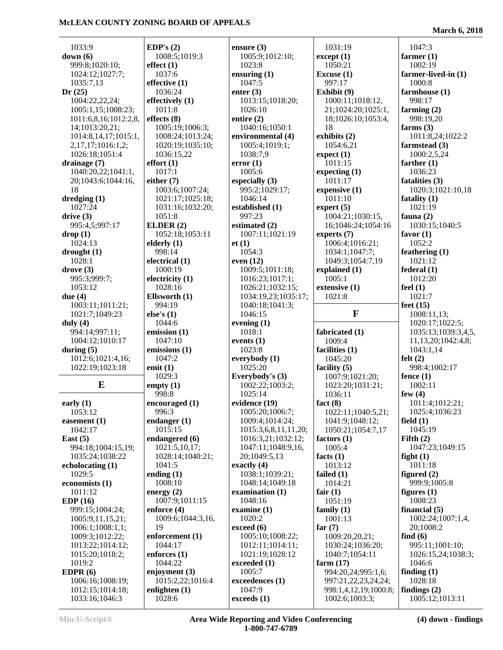**March 6, 2018**

| 1033:9                               | EDP's $(2)$       | ensure $(3)$         | 1031:19                              | 1047:3              |
|--------------------------------------|-------------------|----------------------|--------------------------------------|---------------------|
| down(6)                              | 1008:5;1019:3     | 1005:9;1012:10;      | except (1)                           | farmer $(1)$        |
| 999:8;1020:10;                       | effect(1)         | 1023:8               | 1050:21                              | 1002:19             |
| 1024:12;1027:7;                      | 1037:6            | ensuring $(1)$       | Excuse $(1)$                         | farmer-lived-in (1) |
| 1035:7,13                            | effective (1)     | 1047:5               | 997:17                               | 1000:8              |
| Dr(25)                               | 1036:24           | enter $(3)$          | Exhibit (9)                          | farmhouse (1)       |
| 1004:22,22,24;                       | effectively (1)   | 1013:15;1018:20;     | 1000:11;1018:12,                     | 998:17              |
| 1005:1,15;1008:23;                   | 1011:8            | 1026:10              | 21;1024:20;1025:1,                   | farming $(2)$       |
| 1011:6,8,16;1012:2,8,                | effects $(8)$     | entire $(2)$         | 18;1026:10;1053:4,                   | 998:19,20           |
| 14;1013:20,21;                       | 1005:19;1006:3;   | 1040:16;1050:1       | 18                                   | farms $(3)$         |
| 1014:8,14,17;1015:1,                 | 1008:24;1013:24;  | environmental (4)    | exhibits (2)                         | 1011:8,24;1022:2    |
| 2, 17, 17; 1016: 1, 2;               | 1020:19;1035:10;  | 1005:4;1019:1;       | 1054:6,21                            | farmstead (3)       |
| 1026:18;1051:4                       | 1036:15,22        | 1038:7,9             | expect(1)                            | 1000:2,5,24         |
| drainage $(7)$                       | effort(1)         | error(1)             | 1011:15                              | farther $(1)$       |
| 1040:20,22;1041:1,                   | 1017:1            | 1005:6               | expecting (1)                        | 1036:23             |
| 20;1043:6;1044:16,                   | either $(7)$      | especially $(3)$     | 1011:17                              | fatalities (3)      |
| 18                                   | 1003:6;1007:24;   | 995:2;1029:17;       | expensive $(1)$                      | 1020:3;1021:10,18   |
| dredging (1)                         | 1021:17;1025:18;  | 1046:14              | 1011:10                              | fatality $(1)$      |
| 1027:24                              | 1031:16;1032:20;  | established (1)      | expert $(5)$                         | 1021:19             |
| drive(3)                             | 1051:8            | 997:23               | 1004:21;1030:15,                     | fauna $(2)$         |
| 995:4,5;997:17                       | ELDER $(2)$       | estimated (2)        | 16;1046:24;1054:16                   | 1030:15;1040:5      |
| drop(1)                              | 1052:18;1053:11   | 1007:11;1021:19      | experts $(7)$                        | favor $(1)$         |
| 1024:13                              | elderly $(1)$     | et(1)                | 1006:4;1016:21;                      | 1052:2              |
| $\frac{drought(1)}{dr}$              | 998:14            | 1054:3               | 1034:1;1047:7;                       | feathering $(1)$    |
| 1028:1                               | electrical (1)    | even $(12)$          | 1049:3;1054:7,19                     | 1021:12             |
| $\bf{drive}$ (3)                     | 1000:19           | 1009:5;1011:18;      | explained (1)                        | federal(1)          |
| 995:3;999:7;                         | electricity (1)   | 1016:23;1017:1;      | 1005:1                               | 1012:20             |
| 1053:12                              | 1028:16           | 1026:21;1032:15;     | extensive (1)                        | feel $(1)$          |
| due $(4)$                            | Ellsworth (1)     | 1034:19,23;1035:17;  | 1021:8                               | 1021:7              |
| 1003:11;1011:21;                     | 994:19            | 1040:18;1041:3;      |                                      | feet $(15)$         |
| 1021:7;1049:23                       | else's $(1)$      | 1046:15              | $\mathbf{F}$                         | 1008:11,13;         |
| duly $(4)$                           | 1044:6            | evening $(1)$        |                                      | 1020:17;1022:5;     |
| 994:14;997:11;                       | emission (1)      | 1018:1               | fabricated (1)                       | 1035:13;1039:3,4,5, |
| 1004:12;1010:17                      | 1047:10           | events $(1)$         | 1009:4                               | 11,13,20;1042:4,8;  |
| during $(5)$                         | emissions (1)     | 1023:8               | facilities (1)                       | 1043:1,14           |
| 1012:6;1021:4,16;                    | 1047:2            | everybody (1)        | 1045:20                              | felt(2)             |
| 1022:19;1023:18                      | emit $(1)$        | 1025:20              | facility $(5)$                       | 998:4;1002:17       |
|                                      | 1029:3            | Everybody's (3)      | 1007:9;1021:20;                      | fence $(1)$         |
| E                                    | empty $(1)$       | 1002:22;1003:2;      | 1023:20;1031:21;                     | 1002:11             |
|                                      | 998:8             | 1025:14              | 1036:11                              | few $(4)$           |
| early $(1)$                          | encouraged (1)    | evidence (19)        | fact $(8)$                           | 1011:4;1012:21;     |
| 1053:12                              | 996:3             | 1005:20;1006:7;      | 1022:11;1040:5,21;                   | 1025:4;1036:23      |
|                                      | endanger $(1)$    | 1009:4;1014:24;      |                                      | field $(1)$         |
| easement $(1)$<br>1042:17            | 1015:15           | 1015:3,6,8,11,11,20; | 1041:9;1048:12;<br>1050:21;1054:7,17 | 1045:19             |
| East $(5)$                           | endangered (6)    | 1016:3,21;1032:12;   | factors $(1)$                        | Fifth $(2)$         |
| 994:18;1004:15,19;                   | 1021:5,10,17;     | 1047:11;1048:9,16,   | 1005:4                               | 1047:23;1049:15     |
| 1035:24;1038:22                      | 1028:14;1040:21;  | 20:1049:5.13         | facts $(1)$                          | fight $(1)$         |
| echolocating (1)                     | 1041:5            | exactly $(4)$        | 1013:12                              | 1011:18             |
| 1029:5                               | ending $(1)$      | 1038:1;1039:21;      | failed (1)                           | figured $(2)$       |
| economists (1)                       | 1008:10           | 1048:14;1049:18      | 1014:21                              | 999:9:1005:8        |
| 1011:12                              | energy $(2)$      | examination $(1)$    | fair $(1)$                           | figures $(1)$       |
| EDP(16)                              | 1007:9;1011:15    | 1048:16              | 1051:19                              | 1008:23             |
| 999:15;1004:24;                      | enforce $(4)$     | examine $(1)$        | family $(1)$                         | financial $(5)$     |
|                                      | 1009:6;1044:3,16, | 1020:2               |                                      | 1002:24;1007:1,4,   |
| 1005:9,11,15,21;<br>1006:1;1008:1,1; | 19                | exceed (6)           | 1001:13<br>far $(7)$                 | 20;1008:2           |
|                                      | enforcement (1)   | 1005:10;1008:22;     |                                      | find $(6)$          |
| 1009:3;1012:22;                      | 1044:17           |                      | 1009:20,20,21;                       |                     |
| 1013:22;1014:12;                     |                   | 1012:11;1014:11;     | 1030:24;1036:20;                     | 995:11;1001:10;     |
| 1015:20;1018:2;                      | enforces $(1)$    | 1021:19;1028:12      | 1040:7;1054:11                       | 1026:15,24;1038:3;  |
| 1019:2                               | 1044:22           | exceeded $(1)$       | farm $(17)$                          | 1046:6              |
| EDPR $(6)$                           | enjoyment $(3)$   | 1005:7               | 994:20,24;995:1,6;                   | finding $(1)$       |
| 1006:16;1008:19;                     | 1015:2,22;1016:4  | exceedences (1)      | 997:21,22,23,24,24;                  | 1028:18             |
| 1012:15;1014:18;                     | enlighten $(1)$   | 1047:9               | 998:1,4,12,19;1000:8;                | findings $(2)$      |
| 1033:16;1046:3                       | 1028:6            | exceeds(1)           | 1002:6;1003:3;                       | 1005:12;1013:11     |

**Min-U-Script® Area Wide Reporting and Video Conferencing 1-800-747-6789**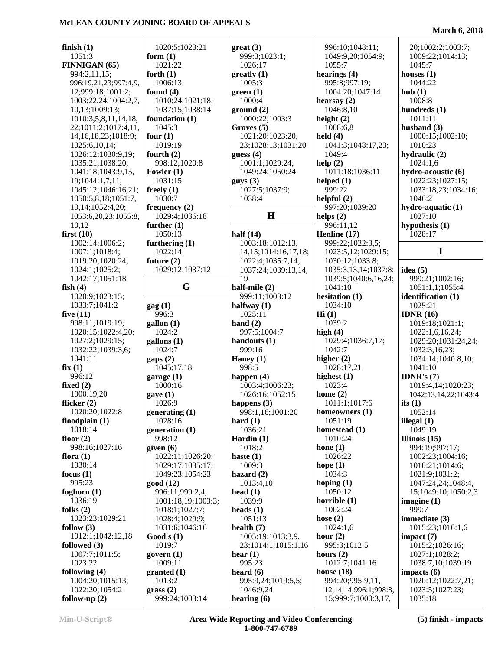| finish $(1)$             | 1020:5;1023:21         | $gr(3)$                   | 996:10;1048:11;             | 20;1002:2;1003:7;    |
|--------------------------|------------------------|---------------------------|-----------------------------|----------------------|
| 1051:3                   | form $(1)$             | 999:3;1023:1;             | 1049:9,20;1054:9;           | 1009:22;1014:13;     |
| FINNIGAN (65)            | 1021:22                | 1026:17                   | 1055:7                      | 1045:7               |
| 994:2,11,15;             | forth $(1)$            | $g realty (1)$            | hearings (4)                | houses $(1)$         |
| 996:19,21,23;997:4,9,    | 1006:13                | 1005:3                    | 995:8;997:19;               | 1044:22              |
| 12;999:18;1001:2;        | found $(4)$            | green(1)                  | 1004:20;1047:14             | hub(1)               |
| 1003:22,24;1004:2,7,     | 1010:24;1021:18;       | 1000:4                    | hearsay $(2)$               | 1008:8               |
| 10,13;1009:13;           | 1037:15;1038:14        | ground(2)                 | 1046:8,10                   | hundreds $(1)$       |
| 1010:3,5,8,11,14,18,     | foundation (1)         | 1000:22;1003:3            | height $(2)$                | 1011:11              |
| 22;1011:2;1017:4,11,     | 1045:3                 | Groves (5)                | 1008:6,8                    | husband $(3)$        |
| 14, 16, 18, 23; 1018: 9; | four $(1)$             | 1021:20;1023:20,          | held $(4)$                  | 1000:15;1002:10;     |
| 1025:6,10,14;            | 1019:19                | 23;1028:13;1031:20        | 1041:3;1048:17,23;          | 1010:23              |
| 1026:12;1030:9,19;       | fourth $(2)$           | guess $(4)$               | 1049:4                      | hydraulic (2)        |
| 1035:21;1038:20;         | 998:12;1020:8          | 1001:1;1029:24;           | help(2)                     | 1024:1,6             |
| 1041:18;1043:9,15,       | Fowler $(1)$           | 1049:24;1050:24           | 1011:18;1036:11             | hydro-acoustic (6)   |
| 19;1044:1,7,11;          | 1031:15                | guys(3)                   | helped $(1)$                | 1022:23;1027:15;     |
| 1045:12;1046:16,21;      | freely $(1)$           | 1027:5;1037:9;            | 999:22                      | 1033:18,23;1034:16;  |
| 1050:5,8,18;1051:7,      | 1030:7                 | 1038:4                    | helpful $(2)$               | 1046:2               |
| 10,14;1052:4,20;         | frequency $(2)$        |                           | 997:20;1039:20              | hydro-aquatic (1)    |
| 1053:6,20,23;1055:8,     | 1029:4;1036:18         | H                         | helps $(2)$                 | 1027:10              |
| 10,12                    | further $(1)$          |                           | 996:11,12                   | hypothesis (1)       |
| first $(10)$             | 1050:13                | half $(14)$               | Henline (17)                | 1028:17              |
| 1002:14;1006:2;          | furthering $(1)$       | 1003:18;1012:13,          | 999:22;1022:3,5;            |                      |
| 1007:1;1018:4;           | 1022:14                | 14, 15; 1014: 16, 17, 18; | 1023:5,12;1029:15;          | I                    |
| 1019:20;1020:24;         | future $(2)$           | 1022:4;1035:7,14;         | 1030:12;1033:8;             |                      |
| 1024:1;1025:2;           | 1029:12;1037:12        | 1037:24;1039:13,14,       | 1035:3,13,14;1037:8;        | idea $(5)$           |
| 1042:17;1051:18          |                        | 19                        | 1039:5;1040:6,16,24;        | 999:21;1002:16;      |
| fish $(4)$               | G                      | half-mile (2)             | 1041:10                     | 1051:1,1;1055:4      |
| 1020:9;1023:15;          |                        | 999:11;1003:12            | hesitation (1)              | identification (1)   |
| 1033:7;1041:2            | $\text{gag}(1)$        | halfway $(1)$             | 1034:10                     | 1025:21              |
| five $(11)$              | 996:3                  | 1025:11                   | Hi(1)                       | IDNR $(16)$          |
| 998:11;1019:19;          | gallon (1)             | hand $(2)$                | 1039:2                      | 1019:18;1021:1;      |
| 1020:15;1022:4,20;       | 1024:2                 | 997:5;1004:7              | high $(4)$                  | 1022:1,6,16,24;      |
| 1027:2;1029:15;          | $\text{gallons}$ $(1)$ | handouts $(1)$            | 1029:4;1036:7,17;           | 1029:20;1031:24,24;  |
| 1032:22;1039:3,6;        | 1024:7                 | 999:16                    | 1042:7                      | 1032:3,16,23;        |
| 1041:11                  | $\text{gaps}(2)$       | Haney $(1)$               | higher $(2)$                | 1034:14;1040:8,10;   |
| fix(1)                   | 1045:17,18             | 998:5                     | 1028:17,21                  | 1041:10              |
| 996:12                   | garage $(1)$           | happen $(4)$              | highest $(1)$               | <b>IDNR's</b> $(7)$  |
| fixed $(2)$              | 1000:16                | 1003:4;1006:23;           | 1023:4                      | 1019:4,14;1020:23;   |
| 1000:19,20               | gave(1)                | 1026:16;1052:15           | home $(2)$                  | 1042:13,14,22;1043:4 |
| flicker $(2)$            | 1026:9                 | happens (3)               | 1011:1;1017:6               | ifs $(1)$            |
| 1020:20;1022:8           | generating $(1)$       | 998:1,16;1001:20          | homeowners $(1)$            | 1052:14              |
| floodplain $(1)$         | 1028:16                | hard $(1)$                | 1051:19                     | illegal $(1)$        |
| 1018:14                  | generation (1)         | 1036:21                   | homestead $(1)$             | 1049:19              |
| floor $(2)$              | 998:12                 | Hardin $(1)$              | 1010:24                     | Illinois $(15)$      |
| 998:16;1027:16           | given $(6)$            | 1018:2                    | hone $(1)$                  | 994:19;997:17;       |
| flora $(1)$              | 1022:11;1026:20;       | haste $(1)$               | 1026:22                     | 1002:23;1004:16;     |
| 1030:14                  | 1029:17;1035:17;       | 1009:3                    | hope $(1)$                  | 1010:21;1014:6;      |
| focus $(1)$              | 1049:23;1054:23        | hazard $(2)$              | 1034:3                      | 1021:9;1031:2;       |
| 995:23                   | good(12)               | 1013:4,10                 | hoping $(1)$                | 1047:24,24;1048:4,   |
| foghorn $(1)$            | 996:11:999:2,4:        | head $(1)$                | 1050:12                     | 15;1049:10;1050:2,3  |
| 1036:19                  | 1001:18,19;1003:3;     | 1039:9                    | horrible $(1)$              | imagine $(1)$        |
| folks $(2)$              | 1018:1;1027:7;         | heads $(1)$               | 1002:24                     | 999:7                |
| 1023:23;1029:21          | 1028:4;1029:9;         | 1051:13                   | hose $(2)$                  | immediate $(3)$      |
| follow $(3)$             | 1031:6;1046:16         | health $(7)$              | 1024:1,6                    | 1015:23;1016:1,6     |
| 1012:1;1042:12,18        | Good's(1)              | 1005:19;1013:3,9,         | hour $(2)$                  | impact $(7)$         |
| followed $(3)$           | 1019:7                 | 23;1014:1;1015:1,16       | 995:3;1012:5                | 1015:2;1026:16;      |
| 1007:7;1011:5;           | govern $(1)$           | hear $(1)$                | hours $(2)$                 | 1027:1;1028:2;       |
| 1023:22                  | 1009:11                | 995:23                    | 1012:7;1041:16              | 1038:7,10;1039:19    |
| following $(4)$          | granted (1)            | heard $(6)$               | house $(18)$                | impacts (6)          |
| 1004:20;1015:13;         | 1013:2                 | 995:9,24;1019:5,5;        | 994:20;995:9,11,            | 1020:12;1022:7,21;   |
| 1022:20;1054:2           | grass(2)               | 1046:9,24                 | 12, 14, 14; 996: 1; 998: 8, | 1023:5;1027:23;      |
| follow-up $(2)$          | 999:24;1003:14         | hearing $(6)$             | 15;999:7;1000:3,17,         | 1035:18              |

### **March 6, 2018**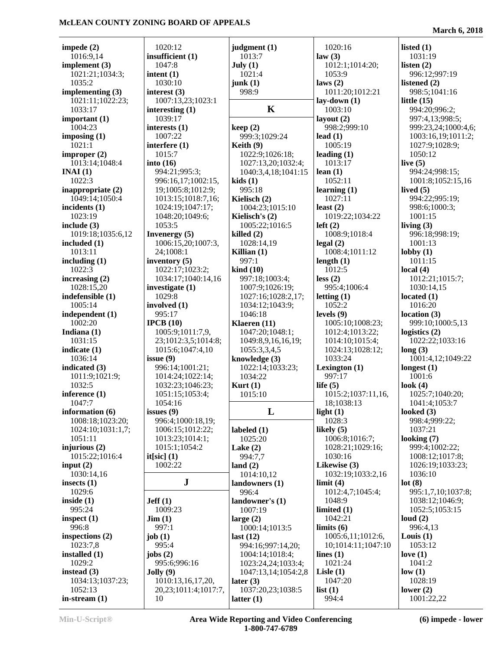| impede $(2)$      | 1020:12                   | judgment (1)                      | 1020:16            | listed $(1)$        |
|-------------------|---------------------------|-----------------------------------|--------------------|---------------------|
| 1016:9,14         | insufficient (1)          | 1013:7                            | law(3)             | 1031:19             |
| implement $(3)$   | 1047:8                    | July (1)                          | 1012:1;1014:20;    | listen $(2)$        |
| 1021:21;1034:3;   | intent $(1)$              | 1021:4                            | 1053:9             | 996:12;997:19       |
| 1035:2            | 1030:10                   | junk(1)                           | laws(2)            | listened (2)        |
| implementing (3)  | interest $(3)$            | 998:9                             | 1011:20;1012:21    | 998:5;1041:16       |
| 1021:11;1022:23;  | 1007:13,23;1023:1         |                                   | lay-down (1)       | little $(15)$       |
| 1033:17           | interesting (1)           | $\mathbf K$                       | 1003:10            | 994:20;996:2;       |
| important $(1)$   | 1039:17                   |                                   | layout $(2)$       | 997:4,13;998:5;     |
| 1004:23           | interests $(1)$           | keep(2)                           | 998:2;999:10       | 999:23,24;1000:4,6; |
| imposing $(1)$    | 1007:22                   | 999:3;1029:24                     | lead $(1)$         | 1003:16,19;1011:2;  |
| 1021:1            |                           |                                   | 1005:19            |                     |
|                   | interfere (1)             | Keith $(9)$                       |                    | 1027:9;1028:9;      |
| improper $(2)$    | 1015:7                    | 1022:9;1026:18;                   | leading $(1)$      | 1050:12             |
| 1013:14;1048:4    | into $(16)$               | 1027:13,20;1032:4;                | 1013:17            | live $(5)$          |
| INAI(1)           | 994:21;995:3;             | 1040:3,4,18;1041:15               | lean $(1)$         | 994:24;998:15;      |
| 1022:3            | 996:16,17;1002:15,        | kids(1)                           | 1052:11            | 1001:8;1052:15,16   |
| inappropriate (2) | 19;1005:8;1012:9;         | 995:18                            | learning $(1)$     | lived $(5)$         |
| 1049:14;1050:4    | 1013:15;1018:7,16;        | Kielisch (2)                      | 1027:11            | 994:22;995:19;      |
| incidents (1)     | 1024:19;1047:17;          | 1004:23;1015:10                   | least $(2)$        | 998:6;1000:3;       |
| 1023:19           | 1048:20;1049:6;           | Kielisch's (2)                    | 1019:22;1034:22    | 1001:15             |
| include $(3)$     | 1053:5                    | 1005:22;1016:5                    | left $(2)$         | living $(3)$        |
| 1019:18;1035:6,12 | Invenergy (5)             | killed $(2)$                      | 1008:9;1018:4      | 996:18;998:19;      |
| included $(1)$    | 1006:15,20;1007:3,        | 1028:14,19                        | $\text{legal} (2)$ | 1001:13             |
| 1013:11           | 24;1008:1                 | Killian $(1)$                     | 1008:4;1011:12     | $\text{lobby}(1)$   |
| including $(1)$   | inventory $(5)$           | 997:1                             | length $(1)$       | 1011:15             |
| 1022:3            | 1022:17;1023:2;           | $\boldsymbol{\mathrm{kind}}$ (10) | 1012:5             | local $(4)$         |
| increasing $(2)$  | 1034:17;1040:14,16        | 997:18;1003:4;                    | less(2)            | 1012:21;1015:7;     |
|                   |                           |                                   |                    |                     |
| 1028:15,20        | investigate $(1)$         | 1007:9;1026:19;                   | 995:4;1006:4       | 1030:14,15          |
| indefensible (1)  | 1029:8                    | 1027:16;1028:2,17;                | letting $(1)$      | located $(1)$       |
| 1005:14           | involved $(1)$            | 1034:12;1043:9;                   | 1052:2             | 1016:20             |
| independent (1)   | 995:17                    | 1046:18                           | levels $(9)$       | location(3)         |
| 1002:20           | IPCB $(10)$               | Klaeren (11)                      | 1005:10;1008:23;   | 999:10;1000:5,13    |
| Indiana $(1)$     | 1005:9;1011:7,9,          | 1047:20;1048:1;                   | 1012:4;1013:22;    | logistics $(2)$     |
| 1031:15           | 23;1012:3,5;1014:8;       | 1049:8,9,16,16,19;                | 1014:10;1015:4;    | 1022:22;1033:16     |
| indicate $(1)$    | 1015:6;1047:4,10          | 1055:3,3,4,5                      | 1024:13;1028:12;   | long(3)             |
| 1036:14           | issue $(9)$               | knowledge (3)                     | 1033:24            | 1001:4,12;1049:22   |
| indicated (3)     | 996:14;1001:21;           | 1022:14;1033:23;                  | Lexington $(1)$    | longest $(1)$       |
| 1011:9;1021:9;    | 1014:24;1022:14;          | 1034:22                           | 997:17             | 1001:6              |
| 1032:5            | 1032:23;1046:23;          | Kurt $(1)$                        | life $(5)$         | look $(4)$          |
| inference (1)     | 1051:15;1053:4;           | 1015:10                           | 1015:2;1037:11,16, | 1025:7;1040:20;     |
| 1047:7            | 1054:16                   |                                   | 18;1038:13         | 1041:4;1053:7       |
| information $(6)$ | issues $(9)$              | L                                 | light $(1)$        | looked $(3)$        |
| 1008:18;1023:20;  | 996:4;1000:18,19;         |                                   | 1028:3             | 998:4;999:22;       |
|                   |                           |                                   |                    |                     |
| 1024:10;1031:1,7; | 1006:15;1012:22;          | labeled $(1)$                     | likely $(5)$       | 1037:21             |
| 1051:11           | 1013:23;1014:1;           | 1025:20                           | 1006:8;1016:7;     | looking $(7)$       |
| injurious $(2)$   | 1015:1;1054:2             | Lake $(2)$                        | 1028:21;1029:16;   | 999:4;1002:22;      |
| 1015:22;1016:4    | $it[sic]$ (1)             | 994:7,7                           | 1030:16            | 1008:12;1017:8;     |
| input $(2)$       | 1002:22                   | land $(2)$                        | Likewise (3)       | 1026:19;1033:23;    |
| 1030:14,16        |                           | 1014:10,12                        | 1032:19;1033:2,16  | 1036:10             |
| insects $(1)$     | ${\bf J}$                 | landowners (1)                    | limit(4)           | lot(8)              |
| 1029:6            |                           | 996:4                             | 1012:4,7;1045:4;   | 995:1,7,10;1037:8;  |
| inside $(1)$      | Jeff(1)                   | landowner's (1)                   | 1048:9             | 1038:12;1046:9;     |
| 995:24            | 1009:23                   | 1007:19                           | limited $(1)$      | 1052:5;1053:15      |
| inspect $(1)$     | $\text{Jim} (1)$          | large $(2)$                       | 1042:21            | loud $(2)$          |
| 996:8             | 997:1                     | 1000:14;1013:5                    | $\lim$ its $(6)$   | 996:4,13            |
| inspections $(2)$ | job $(1)$                 | last $(12)$                       | 1005:6,11;1012:6,  | Louis $(1)$         |
| 1023:7,8          | 995:4                     | 994:16;997:14,20;                 | 10;1014:11;1047:10 | 1053:12             |
| installed (1)     |                           |                                   | lines $(1)$        | love $(1)$          |
|                   | jobs $(2)$                | 1004:14;1018:4;                   |                    |                     |
| 1029:2            | 995:6;996:16              | 1023:24,24;1033:4;                | 1021:24            | 1041:2              |
| instead $(3)$     | Jolly(9)                  | 1047:13,14;1054:2,8               | Lisle $(1)$        | low(1)              |
| 1034:13;1037:23;  | 1010:13,16,17,20,         | later $(3)$                       | 1047:20            | 1028:19             |
| 1052:13           | 20, 23; 1011: 4; 1017: 7, | 1037:20,23;1038:5                 | list(1)            | lower $(2)$         |
| in-stream $(1)$   | 10                        | latter $(1)$                      | 994:4              | 1001:22,22          |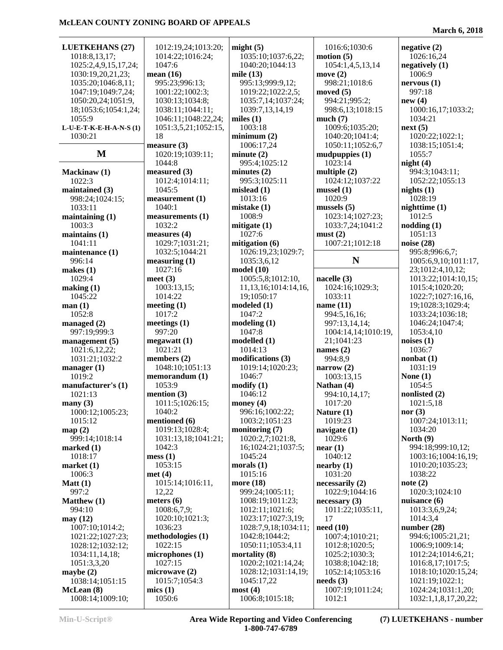| <b>LUETKEHANS (27)</b>         | 1012:19,24;1013:20;  | might $(5)$                | 1016:6;1030:6              | negative $(2)$                             |
|--------------------------------|----------------------|----------------------------|----------------------------|--------------------------------------------|
|                                |                      |                            |                            |                                            |
| 1018:8,13,17;                  | 1014:22;1016:24;     | 1035:10;1037:6,22;         | motion (5)                 | 1026:16,24                                 |
| 1025:2,4,9,15,17,24;           | 1047:6               | 1040:20;1044:13            | 1054:1,4,5,13,14           | negatively $(1)$                           |
| 1030:19,20,21,23;              | mean $(16)$          | mile $(13)$                | move $(2)$                 | 1006:9                                     |
| 1035:20;1046:8,11;             | 995:23;996:13;       | 995:13;999:9,12;           | 998:21;1018:6              | nervous(1)                                 |
| 1047:19;1049:7,24;             | 1001:22;1002:3;      | 1019:22;1022:2,5;          | moved $(5)$                | 997:18                                     |
| 1050:20,24;1051:9,             | 1030:13;1034:8;      | 1035:7,14;1037:24;         | 994:21;995:2;              | new(4)                                     |
|                                |                      |                            |                            |                                            |
| 18;1053:6;1054:1,24;           | 1038:11;1044:11;     | 1039:7,13,14,19            | 998:6,13;1018:15           | 1000:16,17;1033:2;                         |
| 1055:9                         | 1046:11;1048:22,24;  | miles $(1)$                | much(7)                    | 1034:21                                    |
| L-U-E-T-K-E-H-A-N-S(1)         | 1051:3,5,21;1052:15, | 1003:18                    | 1009:6;1035:20;            | next(5)                                    |
| 1030:21                        | 18                   | minimum(2)                 | 1040:20;1041:4;            | 1020:22;1022:1;                            |
|                                | measure $(3)$        | 1006:17,24                 | 1050:11;1052:6,7           | 1038:15;1051:4;                            |
| $\mathbf{M}$                   | 1020:19;1039:11;     | minute(2)                  | mudpuppies(1)              | 1055:7                                     |
|                                | 1044:8               | 995:4;1025:12              | 1023:14                    | night(4)                                   |
|                                |                      |                            |                            |                                            |
| Mackinaw (1)                   | measured (3)         | minutes $(2)$              | multiple $(2)$             | 994:3;1043:11;                             |
| 1022:3                         | 1012:4;1014:11;      | 995:3;1025:11              | 1024:12;1037:22            | 1052:22;1055:13                            |
| maintained (3)                 | 1045:5               | mislead $(1)$              | mussel(1)                  | nights $(1)$                               |
| 998:24;1024:15;                | measurement (1)      | 1013:16                    | 1020:9                     | 1028:19                                    |
| 1033:11                        | 1040:1               | mistake(1)                 | mussels $(5)$              | nighttime(1)                               |
| maintaining $(1)$              | measurements (1)     | 1008:9                     | 1023:14;1027:23;           | 1012:5                                     |
|                                | 1032:2               |                            |                            |                                            |
| 1003:3                         |                      | mitigate $(1)$             | 1033:7,24;1041:2           | nodding(1)                                 |
| maintains $(1)$                | measures (4)         | 1027:6                     | must(2)                    | 1051:13                                    |
| 1041:11                        | 1029:7;1031:21;      | mitigation (6)             | 1007:21;1012:18            | noise (28)                                 |
| maintenance (1)                | 1032:5;1044:21       | 1026:19,23;1029:7;         |                            | 995:8;996:6,7;                             |
| 996:14                         | measuring (1)        | 1035:3,6,12                | N                          | 1005:6,9,10;1011:17,                       |
| makes $(1)$                    | 1027:16              | model(10)                  |                            | 23;1012:4,10,12;                           |
| 1029:4                         | meet $(3)$           | 1005:5,8;1012:10,          | nacelle (3)                | 1013:22;1014:10,15;                        |
|                                | 1003:13,15;          | 11, 13, 16; 1014: 14, 16,  | 1024:16;1029:3;            | 1015:4;1020:20;                            |
| making (1)                     |                      |                            |                            |                                            |
| 1045:22                        | 1014:22              | 19;1050:17                 | 1033:11                    | 1022:7;1027:16,16,                         |
| man(1)                         | meeting $(1)$        | modeled (1)                | name $(11)$                | 19;1028:3;1029:4;                          |
| 1052:8                         | 1017:2               | 1047:2                     | 994:5,16,16;               | 1033:24;1036:18;                           |
|                                |                      |                            |                            |                                            |
|                                |                      |                            |                            |                                            |
| managed $(2)$                  | meetings $(1)$       | modeling(1)                | 997:13,14,14;              | 1046:24;1047:4;                            |
| 997:19;999:3                   | 997:20               | 1047:8                     | 1004:14,14;1010:19,        | 1053:4,10                                  |
| management $(5)$               | megawatt(1)          | modelled (1)               | 21;1041:23                 | noises $(1)$                               |
| 1021:6,12,22;                  | 1021:21              | 1014:13                    | names $(2)$                | 1036:7                                     |
| 1031:21;1032:2                 | members $(2)$        | modifications (3)          | 994:8,9                    | nombat(1)                                  |
| manager $(1)$                  | 1048:10;1051:13      | 1019:14;1020:23;           | narrow $(2)$               | 1031:19                                    |
| 1019:2                         | memorandum (1)       | 1046:7                     | 1003:13,15                 | None $(1)$                                 |
| manufacturer's (1)             | 1053:9               | $\text{modify}(1)$         | Nathan (4)                 | 1054:5                                     |
| 1021:13                        |                      | 1046:12                    |                            | nonlisted (2)                              |
|                                | mention (3)          |                            | 994:10,14,17;              |                                            |
| many $(3)$                     | 1011:5;1026:15;      | money $(4)$                | 1017:20                    | 1021:5,18                                  |
| 1000:12;1005:23;               | 1040:2               | 996:16;1002:22;            | Nature $(1)$               | nor $(3)$                                  |
| 1015:12                        | mentioned (6)        | 1003:2;1051:23             | 1019:23                    | 1007:24;1013:11;                           |
| map(2)                         | 1019:13;1028:4;      | monitoring (7)             | navigate $(1)$             | 1034:20                                    |
| 999:14;1018:14                 | 1031:13,18;1041:21;  | 1020:2,7;1021:8,           | 1029:6                     | North $(9)$                                |
| marked $(1)$                   | 1042:3               | 16;1024:21;1037:5;         | near(1)                    | 994:18;999:10,12;                          |
| 1018:17                        |                      | 1045:24                    | 1040:12                    |                                            |
|                                | mess(1)              |                            |                            | 1003:16;1004:16,19;                        |
| market $(1)$                   | 1053:15              | morals $(1)$               | nearly (1)                 | 1010:20;1035:23;                           |
| 1006:3                         | met(4)               | 1015:16                    | 1031:20                    | 1038:22                                    |
| Matt(1)                        | 1015:14;1016:11,     | more (18)                  | necessarily (2)            | note $(2)$                                 |
| 997:2                          | 12,22                | 999:24;1005:11;            | 1022:9;1044:16             | 1020:3;1024:10                             |
| Matthew (1)                    | meters $(6)$         | 1008:19;1011:23;           | necessary(3)               | nuisance $(6)$                             |
| 994:10                         | 1008:6,7,9;          | 1012:11;1021:6;            | 1011:22;1035:11,           | 1013:3,6,9,24;                             |
|                                |                      |                            | 17                         | 1014:3,4                                   |
|                                | 1020:10;1021:3;      | 1023:17;1027:3,19;         |                            |                                            |
| may(12)<br>1007:10;1014:2;     | 1036:23              | 1028:7,9,18;1034:11;       | need(10)                   | number $(28)$                              |
| 1021:22;1027:23;               | methodologies (1)    | 1042:8;1044:2;             | 1007:4;1010:21;            | 994:6;1005:21,21;                          |
| 1028:12;1032:12;               | 1022:15              | 1050:11;1053:4,11          | 1012:8;1020:5;             | 1006:9;1009:14;                            |
| 1034:11,14,18;                 | microphones (1)      | mortality (8)              | 1025:2;1030:3;             | 1012:24;1014:6,21;                         |
| 1051:3,3,20                    | 1027:15              | 1020:2;1021:14,24;         | 1038:8;1042:18;            | 1016:8,17;1017:5;                          |
| maybe $(2)$                    | microwave (2)        | 1028:12;1031:14,19;        | 1052:14;1053:16            | 1018:10;1020:15,24;                        |
|                                |                      |                            |                            |                                            |
| 1038:14;1051:15                | 1015:7;1054:3        | 1045:17,22                 | needs(3)                   | 1021:19;1022:1;                            |
| McLean (8)<br>1008:14;1009:10; | mics(1)<br>1050:6    | most(4)<br>1006:8;1015:18; | 1007:19;1011:24;<br>1012:1 | 1024:24;1031:1,20;<br>1032:1,1,8,17,20,22; |

**Min-U-Script® Area Wide Reporting and Video Conferencing 1-800-747-6789**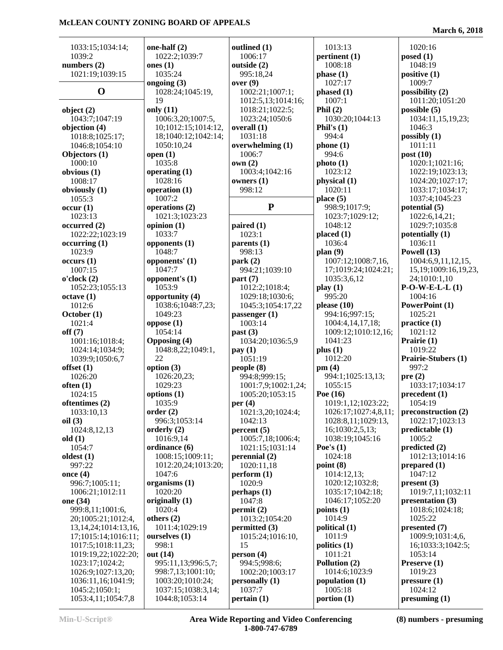| 1033:15;1034:14;          | one-half (2)              | outlined (1)                 | 1013:13                 | 1020:16                           |
|---------------------------|---------------------------|------------------------------|-------------------------|-----------------------------------|
| 1039:2                    | 1022:2;1039:7             | 1006:17                      | pertinent (1)           | posed(1)                          |
| numbers $(2)$             | ones $(1)$                | outside (2)                  | 1008:18                 | 1048:19                           |
| 1021:19;1039:15           | 1035:24                   | 995:18,24                    | phase(1)                | positive $(1)$                    |
|                           | ongoing (3)               | over(9)                      | 1027:17                 | 1009:7                            |
| $\mathbf 0$               | 1028:24;1045:19,          | 1002:21;1007:1;              | phased (1)              | possibility (2)                   |
|                           | 19                        | 1012:5,13;1014:16;           | 1007:1                  | 1011:20;1051:20                   |
| object $(2)$              | only $(11)$               | 1018:21;1022:5;              | Phil $(2)$              | possible $(5)$                    |
| 1043:7:1047:19            | 1006:3,20;1007:5,         | 1023:24;1050:6               | 1030:20;1044:13         | 1034:11,15,19,23;                 |
| objection (4)             | 10;1012:15;1014:12,       | overall (1)                  | Phil's $(1)$            | 1046:3                            |
| 1018:8;1025:17;           | 18;1040:12;1042:14;       | 1031:18                      | 994:4                   | possibly $(1)$                    |
| 1046:8;1054:10            | 1050:10,24                | overwhelming (1)             | phone(1)                | 1011:11                           |
| Objectors (1)             | open $(1)$                | 1006:7                       | 994:6                   | post $(10)$                       |
| 1000:10                   | 1035:8                    | own(2)                       | photo(1)                | 1020:1;1021:16;                   |
| obvious (1)               | operating $(1)$           | 1003:4;1042:16               | 1023:12                 | 1022:19;1023:13;                  |
| 1008:17                   | 1028:16                   | owners $(1)$                 | physical (1)            | 1024:20;1027:17;                  |
| obviously (1)             | operation $(1)$           | 998:12                       | 1020:11                 | 1033:17;1034:17;                  |
| 1055:3                    | 1007:2                    |                              | place $(5)$             | 1037:4;1045:23                    |
| occur(1)                  | operations (2)            | ${\bf P}$                    | 998:9;1017:9;           | potential $(5)$                   |
| 1023:13                   | 1021:3;1023:23            |                              | 1023:7;1029:12;         | 1022:6,14,21;                     |
| occurred(2)               | opinion $(1)$             | paired $(1)$                 | 1048:12                 | 1029:7;1035:8                     |
| 1022:22;1023:19           | 1033:7                    | 1023:1                       | placed (1)              | potentially (1)                   |
| occurring (1)             | opponents $(1)$           | parents $(1)$                | 1036:4                  | 1036:11                           |
| 1023:9                    | 1048:7                    | 998:13                       | plan(9)                 | Powell (13)                       |
| occurs(1)                 | opponents' (1)            | park(2)                      | 1007:12;1008:7,16,      | 1004:6,9,11,12,15,                |
| 1007:15                   | 1047:7                    | 994:21;1039:10               | 17;1019:24;1024:21;     | 15, 19; 1009: 16, 19, 23,         |
| o'clock(2)                | opponent's (1)            | part(7)                      | 1035:3,6,12             | 24;1010:1,10                      |
| 1052:23;1055:13           | 1053:9                    | 1012:2;1018:4;               | play(1)                 | $P-O-W-E-L(L)$                    |
| octave(1)                 | opportunity (4)           | 1029:18;1030:6;              | 995:20                  | 1004:16                           |
| 1012:6                    | 1038:6;1048:7,23;         | 1045:3;1054:17,22            | please $(10)$           | PowerPoint (1)                    |
| October (1)               | 1049:23                   | passenger (1)                | 994:16;997:15;          | 1025:21                           |
| 1021:4                    | oppose(1)                 | 1003:14                      | 1004:4,14,17,18;        | practive(1)                       |
| off(7)                    | 1054:14                   | past(3)                      | 1009:12;1010:12,16;     | 1021:12                           |
| 1001:16;1018:4;           | <b>Opposing (4)</b>       | 1034:20;1036:5,9             | 1041:23                 | Prairie (1)                       |
| 1024:14;1034:9;           | 1048:8,22;1049:1,         | pay(1)                       | plus(1)                 | 1019:22                           |
| 1039:9;1050:6,7           | 22                        | 1051:19                      | 1012:20                 | Prairie-Stubers (1)               |
| offset $(1)$              | option $(3)$              | people $(8)$                 | pm(4)                   | 997:2                             |
| 1026:20                   | 1026:20,23;               | 994:8;999:15;                | 994:1;1025:13,13;       | pre(2)                            |
| often(1)                  | 1029:23                   | 1001:7,9;1002:1,24;          | 1055:15                 | 1033:17;1034:17                   |
| 1024:15                   | options $(1)$             | 1005:20;1053:15              | Poe $(16)$              | precedent (1)                     |
| oftentimes (2)            | 1035:9                    | per $(4)$                    | 1019:1,12;1023:22;      | 1054:19                           |
|                           |                           |                              | 1026:17;1027:4,8,11;    | preconstruction (2)               |
| 1033:10,13<br>oil(3)      | order(2)<br>996:3;1053:14 | 1021:3,20;1024:4;<br>1042:13 | 1028:8,11;1029:13,      | 1022:17;1023:13                   |
| 1024:8,12,13              | orderly $(2)$             | percent(5)                   | 16;1030:2,5,13;         | predictable (1)                   |
| old(1)                    | 1016:9,14                 | 1005:7,18;1006:4;            | 1038:19;1045:16         | 1005:2                            |
| 1054:7                    | ordinance (6)             | 1021:15;1031:14              | Poe's $(1)$             | predicted (2)                     |
| oldest $(1)$              | 1008:15;1009:11;          | perennial (2)                | 1024:18                 | 1012:13:1014:16                   |
| 997:22                    | 1012:20,24;1013:20;       | 1020:11,18                   | point $(8)$             | prepared $(1)$                    |
| once $(4)$                | 1047:6                    | perform (1)                  | 1014:12,13;             | 1047:12                           |
| 996:7;1005:11;            | organisms $(1)$           | 1020:9                       | 1020:12;1032:8;         | present(3)                        |
| 1006:21;1012:11           | 1020:20                   | perhaps(1)                   | 1035:17;1042:18;        | 1019:7,11;1032:11                 |
| one (34)                  | originally (1)            | 1047:8                       | 1046:17;1052:20         | presentation (3)                  |
| 999:8,11;1001:6,          | 1020:4                    | permit(2)                    | points $(1)$            | 1018:6;1024:18;                   |
| 20;1005:21;1012:4,        | others $(2)$              | 1013:2;1054:20               | 1014:9                  | 1025:22                           |
|                           | 1011:4;1029:19            |                              |                         |                                   |
| 13, 14, 24; 1014: 13, 16, |                           | permitted (3)                | political (1)<br>1011:9 | presented (7)<br>1009:9;1031:4,6, |
| 17;1015:14;1016:11;       | ourselves (1)             | 1015:24;1016:10,             |                         |                                   |
| 1017:5;1018:11,23;        | 998:1                     | 15                           | politics $(1)$          | 16;1033:3;1042:5;                 |
| 1019:19,22;1022:20;       | out (14)                  | person $(4)$                 | 1011:21                 | 1053:14                           |
| 1023:17;1024:2;           | 995:11,13;996:5,7;        | 994:5;998:6;                 | Pollution (2)           | Preserve $(1)$                    |
| 1026:9;1027:13,20;        | 998:7,13;1001:10;         | 1002:20;1003:17              | 1014:6;1023:9           | 1019:23                           |
| 1036:11,16;1041:9;        | 1003:20;1010:24;          | personally (1)               | population (1)          | pressure(1)                       |
| 1045:2;1050:1;            | 1037:15;1038:3,14;        | 1037:7                       | 1005:18                 | 1024:12                           |
| 1053:4,11;1054:7,8        | 1044:8;1053:14            | pertain(1)                   | portion $(1)$           | presuming (1)                     |

**Min-U-Script® Area Wide Reporting and Video Conferencing 1-800-747-6789**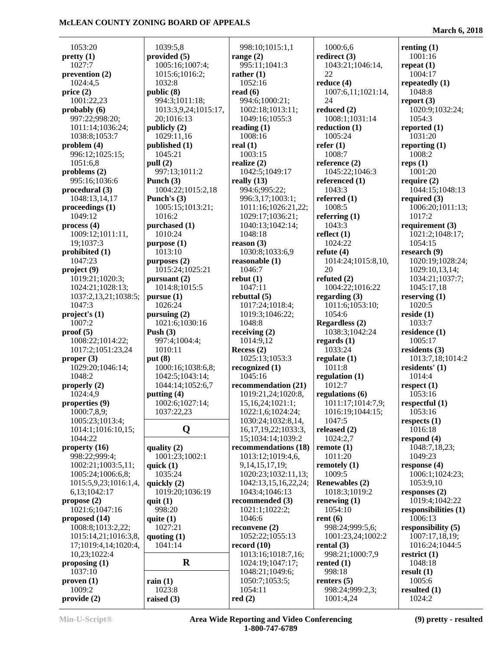1053:20 **pretty (1)** 1027:7 **prevention (2)** 1024:4,5 **price (2)** 1001:22,23 **probably (6)** 997:22;998:20; 1011:14;1036:24; 1038:8;1053:7 **problem (4)** 996:12;1025:15; 1051:6,8 **problems (2)** 995:16;1036:6 **procedural (3)** 1048:13,14,17 **proceedings (1)** 1049:12 **process (4)** 1009:12;1011:11, 19;1037:3 **prohibited (1)** 1047:23 **project (9)** 1019:21;1020:3; 1024:21;1028:13; 1037:2,13,21;1038:5; 1047:3 **project's (1)** 1007:2 **proof (5)** 1008:22;1014:22; 1017:2;1051:23,24 **proper (3)** 1029:20;1046:14; 1048:2 **properly (2)** 1024:4,9 **properties (9)** 1000:7,8,9; 1005:23;1013:4; 1014:1;1016:10,15; 1044:22 **property (16)** 998:22;999:4; 1002:21;1003:5,11; 1005:24;1006:6,8; 1015:5,9,23;1016:1,4, 6,13;1042:17 **propose (2)** 1021:6;1047:16 **proposed (14)** 1008:8;1013:2,22; 1015:14,21;1016:3,8, 17;1019:4,14;1020:4, 10,23;1022:4 **proposing (1)** 1037:10 **proven (1)**

 1039:5,8 **provided (5)** 1005:16;1007:4; 1015:6;1016:2; 1032:8 **public (8)** 994:3;1011:18; 1013:3,9,24;1015:17, 20;1016:13 **publicly (2)** 1029:11,16 **published (1)** 1045:21 **pull (2)** 997:13;1011:2 **Punch (3)** 1004:22;1015:2,18 **Punch's (3)** 1005:15;1013:21; 1016:2 **purchased (1)** 1010:24 **purpose (1)** 1013:10 **purposes (2)** 1015:24;1025:21 **pursuant (2)** 1014:8;1015:5 **pursue (1)** 1026:24 **pursuing (2)** 1021:6;1030:16 **Push (3)** 997:4;1004:4; 1010:11 **put (8)** 1000:16;1038:6,8; 1042:5;1043:14; 1044:14;1052:6,7 **putting (4)** 1002:6;1027:14; 1037:22,23 **Q quality (2)** 1001:23;1002:1 **quick (1)** 1035:24 **quickly (2)** 1019:20;1036:19 **quit (1)** 998:20 **quite (1)** 1027:21 **quoting (1)** 1041:14 **R rain (1)** 1023:8 **raised (3) read (6) real (1)**

 998:10;1015:1,1 **range (2)** 995:11;1041:3 **rather (1)** 1052:16 994:6;1000:21; 1002:18;1013:11; 1049:16;1055:3 **reading (1)** 1008:16 1003:15 **realize (2)** 1042:5;1049:17 **really (13)** 994:6;995:22; 996:3,17;1003:1; 1011:16;1026:21,22; 1029:17;1036:21; 1040:13;1042:14; 1048:18 **reason (3)** 1030:8;1033:6,9 **reasonable (1)** 1046:7 **rebut (1)** 1047:11 **rebuttal (5)** 1017:24;1018:4; 1019:3;1046:22; 1048:8 **receiving (2)** 1014:9,12 **Recess (2)** 1025:13;1053:3 **recognized (1)** 1045:16 **recommendation (21)** 1019:21,24;1020:8, 15,16,24;1021:1; 1022:1,6;1024:24; 1030:24;1032:8,14, 16,17,19,22;1033:3, 15;1034:14;1039:2 **recommendations (18)** 1013:12;1019:4,6, 9,14,15,17,19; 1020:23;1032:11,13; 1042:13,15,16,22,24; 1043:4;1046:13 **recommended (3)** 1021:1;1022:2; 1046:6 **reconvene (2)** 1052:22;1055:13 **record (10)** 1013:16;1018:7,16; 1024:19;1047:17; 1048:21;1049:6; 1050:7;1053:5; 1054:11 **red (2)**

 1000:6,6 **redirect (3)** 1043:21;1046:14, 22 **reduce (4)** 1007:6,11;1021:14,  $24$ **reduced (2)** 1008:1;1031:14 **reduction (1)** 1005:24 **refer (1)** 1008:7 **reference (2)** 1045:22;1046:3 **referenced (1)** 1043:3 **referred (1)** 1008:5 **referring (1)** 1043:3 **reflect (1)** 1024:22 **refute (4)** 1014:24;1015:8,10, 20 **refuted (2)** 1004:22;1016:22 **regarding (3)** 1011:6;1053:10; 1054:6 **Regardless (2)** 1038:3;1042:24 **regards (1)** 1033:24 **regulate (1)** 1011:8 **regulation (1)** 1012:7 **regulations (6)** 1011:17;1014:7,9; 1016:19;1044:15; 1047:5 **released (2)** 1024:2,7 **remote (1)** 1011:20 **remotely (1)** 1009:5 **Renewables (2)** 1018:3;1019:2 **renewing (1)** 1054:10 **rent (6)** 998:24;999:5,6; 1001:23,24;1002:2 **rental (3)** 998:21;1000:7,9 **rented (1)** 998:18 **renters (5)** 998:24;999:2,3; 1001:4,24

**March 6, 2018**

**renting (1)** 1001:16 **repeat (1)** 1004:17 **repeatedly (1)** 1048:8 **report (3)** 1020:9;1032:24; 1054:3 **reported (1)** 1031:20 **reporting (1)** 1008:2 **reps (1)** 1001:20 **require (2)** 1044:15;1048:13 **required (3)** 1006:20;1011:13; 1017:2 **requirement (3)** 1021:2;1048:17; 1054:15 **research (9)** 1020:19;1028:24; 1029:10,13,14; 1034:21;1037:7; 1045:17,18 **reserving (1)** 1020:5 **reside (1)** 1033:7 **residence (1)** 1005:17 **residents (3)** 1013:7,18;1014:2 **residents' (1)** 1014:4 **respect (1)** 1053:16 **respectful (1)** 1053:16 **respects (1)** 1016:18 **respond (4)** 1048:7,18,23; 1049:23 **response (4)** 1006:1;1024:23; 1053:9,10 **responses (2)** 1019:4;1042:22 **responsibilities (1)** 1006:13 **responsibility (5)** 1007:17,18,19; 1016:24;1044:5 **restrict (1)** 1048:18 **result (1)** 1005:6 **resulted (1)** 1024:2

 1009:2 **provide (2)**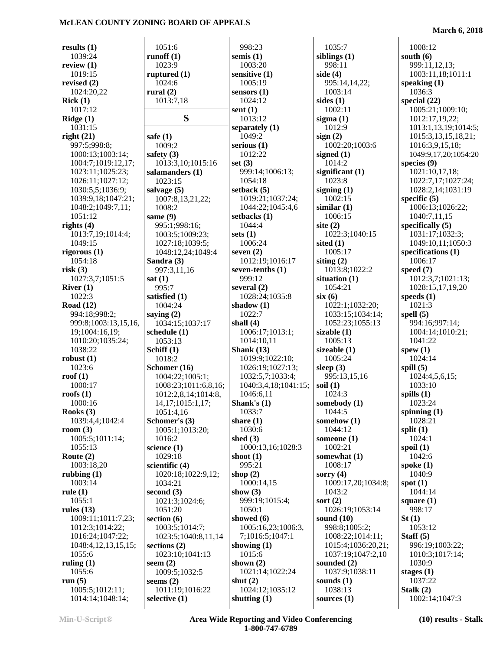**March 6, 2018**

| results $(1)$                | 1051:6                          | 998:23                           | 1035:7                        | 1008:12                              |
|------------------------------|---------------------------------|----------------------------------|-------------------------------|--------------------------------------|
| 1039:24                      | runoff $(1)$                    | semis $(1)$                      | siblings $(1)$                | south $(6)$                          |
| review $(1)$                 | 1023:9                          | 1003:20                          | 998:11                        | 999:11,12,13;                        |
| 1019:15                      | ruptured $(1)$                  | sensitive (1)                    | side $(4)$                    | 1003:11,18;1011:1                    |
| revised $(2)$                | 1024:6                          | 1005:19                          | 995:14,14,22;                 | speaking $(1)$                       |
| 1024:20,22                   | rural $(2)$                     | sensors $(1)$                    | 1003:14                       | 1036:3                               |
| Rick(1)                      | 1013:7,18                       | 1024:12                          | sides $(1)$                   | special $(22)$                       |
| 1017:12                      |                                 | sent $(1)$                       | 1002:11                       | 1005:21;1009:10;                     |
| Ridge(1)                     | S                               | 1013:12                          | sigma $(1)$                   | 1012:17,19,22;                       |
| 1031:15                      |                                 | separately (1)                   | 1012:9                        | 1013:1,13,19;1014:5;                 |
| right(21)                    | safe $(1)$                      | 1049:2                           | sign(2)                       | 1015:3,13,15,18,21;                  |
| 997:5;998:8;                 | 1009:2                          | serious $(1)$                    | 1002:20;1003:6                | 1016:3,9,15,18;                      |
| 1000:13;1003:14;             | safety $(3)$                    | 1012:22                          | signed $(1)$                  | 1049:9,17,20;1054:20                 |
| 1004:7;1019:12,17;           | 1013:3,10;1015:16               | set $(3)$                        | 1014:2                        | species $(9)$                        |
| 1023:11;1025:23;             | salamanders (1)                 | 999:14;1006:13;                  | significant $(1)$             | 1021:10,17,18;                       |
| 1026:11;1027:12;             | 1023:15                         | 1054:18                          | 1023:8                        | 1022:7,17;1027:24;                   |
| 1030:5,5;1036:9;             | salvage $(5)$                   | setback $(5)$                    | signing $(1)$                 | 1028:2,14;1031:19                    |
| 1039:9,18;1047:21;           | 1007:8,13,21,22;                | 1019:21;1037:24;                 | 1002:15                       | specific $(5)$                       |
| 1048:2;1049:7,11;            | 1008:2                          | 1044:22;1045:4,6                 | similar(1)                    | 1006:13;1026:22;                     |
| 1051:12                      | same $(9)$                      | setbacks (1)                     | 1006:15                       | 1040:7,11,15                         |
| rights $(4)$                 | 995:1;998:16;                   | 1044:4                           | site $(2)$                    | specifically (5)                     |
| 1013:7,19;1014:4;<br>1049:15 | 1003:5;1009:23;                 | sets $(1)$<br>1006:24            | 1022:3;1040:15<br>sited $(1)$ | 1031:17;1032:3;<br>1049:10,11;1050:3 |
| rigorous $(1)$               | 1027:18;1039:5;                 | seven $(2)$                      | 1005:17                       | specifications (1)                   |
| 1054:18                      | 1048:12,24;1049:4<br>Sandra (3) | 1012:19;1016:17                  | siting $(2)$                  | 1006:17                              |
| risk(3)                      | 997:3,11,16                     | seven-tenths $(1)$               | 1013:8;1022:2                 | speed $(7)$                          |
| 1027:3,7;1051:5              | sat(1)                          | 999:12                           | situation $(1)$               | 1012:3,7;1021:13;                    |
| River $(1)$                  | 995:7                           | several $(2)$                    | 1054:21                       | 1028:15,17,19,20                     |
| 1022:3                       | satisfied (1)                   | 1028:24;1035:8                   | six(6)                        | speeds $(1)$                         |
| Road $(12)$                  | 1004:24                         | shadow $(1)$                     | 1022:1;1032:20;               | 1021:3                               |
| 994:18;998:2;                | saying $(2)$                    | 1022:7                           | 1033:15;1034:14;              | spell $(5)$                          |
| 999:8;1003:13,15,16,         | 1034:15;1037:17                 | shall $(4)$                      | 1052:23;1055:13               | 994:16;997:14;                       |
| 19;1004:16,19;               | schedule $(1)$                  | 1006:17;1013:1;                  | sizable $(1)$                 | 1004:14;1010:21;                     |
| 1010:20;1035:24;             | 1053:13                         | 1014:10,11                       | 1005:13                       | 1041:22                              |
| 1038:22                      | Schiff (1)                      | Shank $(13)$                     | sizeable (1)                  | spew $(1)$                           |
| robust $(1)$                 | 1018:2                          | 1019:9;1022:10;                  | 1005:24                       | 1024:14                              |
| 1023:6                       | Schomer (16)                    | 1026:19;1027:13;                 | sleep $(3)$                   | spill $(5)$                          |
| roof $(1)$                   | 1004:22;1005:1;                 | 1032:5,7;1033:4;                 | 995:13,15,16                  | 1024:4,5,6,15;                       |
| 1000:17                      | 1008:23;1011:6,8,16;            | 1040:3,4,18;1041:15;             | soil $(1)$                    | 1033:10                              |
| roofs $(1)$                  | 1012:2,8,14;1014:8,             | 1046:6,11                        | 1024:3                        | spills $(1)$                         |
| 1000:16                      | 14, 17; 1015; 1, 17;            | Shank's $(1)$                    | somebody (1)                  | 1023:24                              |
| Rooks $(3)$                  | 1051:4,16                       | 1033:7                           | 1044:5                        | spinning $(1)$                       |
| 1039:4,4;1042:4              | Schomer's (3)                   | share $(1)$                      | somehow $(1)$                 | 1028:21                              |
| room $(3)$                   | 1005:1;1013:20;                 | 1030:6                           | 1044:12                       | split $(1)$                          |
| 1005:5;1011:14;              | 1016:2                          | shed $(3)$                       | someone $(1)$                 | 1024:1                               |
| 1055:13<br>Route $(2)$       | science $(1)$<br>1029:18        | 1000:13,16;1028:3<br>shoot $(1)$ | 1002:21<br>somewhat (1)       | spoil $(1)$<br>1042:6                |
| 1003:18,20                   | scientific $(4)$                | 995:21                           | 1008:17                       | spoke $(1)$                          |
| rubbing $(1)$                | 1020:18;1022:9,12;              | shop $(2)$                       | sorry $(4)$                   | 1040:9                               |
| 1003:14                      | 1034:21                         | 1000:14,15                       | 1009:17,20;1034:8;            | spot $(1)$                           |
| rule $(1)$                   | second $(3)$                    | show $(3)$                       | 1043:2                        | 1044:14                              |
| 1055:1                       | 1021:3;1024:6;                  | 999:19;1015:4;                   | sort $(2)$                    | square $(1)$                         |
| rules $(13)$                 | 1051:20                         | 1050:1                           | 1026:19;1053:14               | 998:17                               |
| 1009:11;1011:7,23;           | section $(6)$                   | showed $(6)$                     | sound $(10)$                  | St(1)                                |
| 1012:3;1014:22;              | 1003:5;1014:7;                  | 1005:16,23;1006:3,               | 998:8;1005:2;                 | 1053:12                              |
| 1016:24;1047:22;             | 1023:5;1040:8,11,14             | 7;1016:5;1047:1                  | 1008:22;1014:11;              | Staff $(5)$                          |
| 1048:4, 12, 13, 15, 15;      | sections $(2)$                  | showing $(1)$                    | 1015:4;1036:20,21;            | 996:19;1003:22;                      |
| 1055:6                       | 1023:10;1041:13                 | 1015:6                           | 1037:19;1047:2,10             | 1010:3;1017:14;                      |
| ruling $(1)$                 | seem $(2)$                      | shown $(2)$                      | sounded $(2)$                 | 1030:9                               |
| 1055:6                       | 1009:5;1032:5                   | 1021:14;1022:24                  | 1037:9;1038:11                | stages $(1)$                         |
| run $(5)$                    | seems $(2)$                     | shut $(2)$                       | sounds $(1)$                  | 1037:22                              |
| 1005:5;1012:11;              | 1011:19;1016:22                 | 1024:12;1035:12                  | 1038:13                       | Stalk $(2)$                          |
| 1014:14;1048:14;             | selective $(1)$                 | shutting $(1)$                   | sources $(1)$                 | 1002:14;1047:3                       |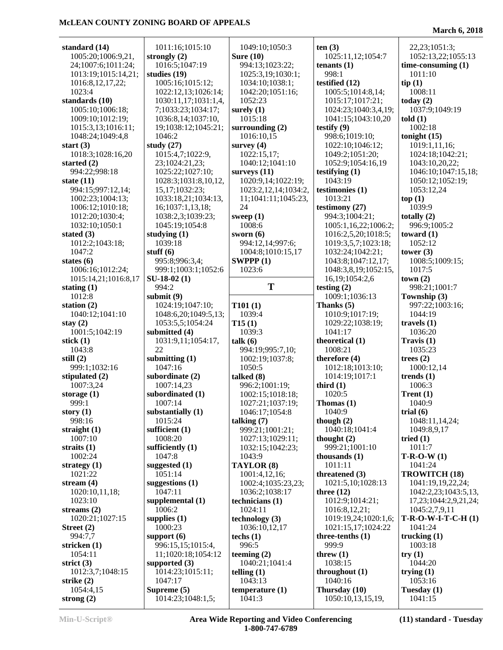| standard (14)               |                                  |                                  |                                    |                               |
|-----------------------------|----------------------------------|----------------------------------|------------------------------------|-------------------------------|
|                             | 1011:16;1015:10                  | 1049:10;1050:3                   | ten(3)                             | 22, 23; 1051: 3;              |
| 1005:20;1006:9,21,          | strongly $(2)$                   | Sure $(10)$                      | 1025:11,12;1054:7                  | 1052:13,22;1055:13            |
| 24;1007:6;1011:24;          | 1016:5;1047:19                   | 994:13;1023:22;                  | tenants $(1)$                      | time-consuming $(1)$          |
| 1013:19;1015:14,21;         | studies $(19)$                   | 1025:3,19;1030:1;                | 998:1                              | 1011:10                       |
| 1016:8,12,17,22;            | 1005:16;1015:12;                 | 1034:10;1038:1;                  | testified (12)                     | tip(1)                        |
| 1023:4                      | 1022:12,13;1026:14;              | 1042:20;1051:16;                 | 1005:5;1014:8,14;                  | 1008:11                       |
| standards (10)              | 1030:11,17;1031:1,4,             | 1052:23                          | 1015:17;1017:21;                   | today $(2)$                   |
| 1005:10;1006:18;            | 7;1033:23;1034:17;               | surely $(1)$                     | 1024:23;1040:3,4,19;               | 1037:9;1049:19                |
| 1009:10;1012:19;            | 1036:8,14;1037:10,               | 1015:18                          | 1041:15;1043:10,20                 | told(1)                       |
| 1015:3,13;1016:11;          | 19;1038:12;1045:21;              | surrounding $(2)$                | testify $(9)$                      | 1002:18                       |
| 1048:24;1049:4,8            | 1046:2                           | 1016:10,15                       | 998:6;1019:10;                     | tonight $(15)$                |
| start $(3)$                 | study $(27)$                     | survey $(4)$                     | 1022:10;1046:12;                   | 1019:1,11,16;                 |
| 1018:3;1028:16,20           | 1015:4,7;1022:9,                 | 1022:15,17;                      | 1049:2;1051:20;                    |                               |
|                             |                                  |                                  |                                    | 1024:18;1042:21;              |
| started $(2)$               | 23;1024:21,23;                   | 1040:12;1041:10                  | 1052:9;1054:16,19                  | 1043:10,20,22;                |
| 994:22;998:18               | 1025:22;1027:10;                 | surveys $(11)$                   | testifying $(1)$                   | 1046:10;1047:15,18;           |
| state $(11)$                | 1028:3;1031:8,10,12,             | 1020:9,14;1022:19;               | 1043:19                            | 1050:12;1052:19;              |
| 994:15;997:12,14;           | 15,17;1032:23;                   | 1023:2,12,14;1034:2,             | testimonies (1)                    | 1053:12,24                    |
| 1002:23;1004:13;            | 1033:18,21;1034:13,              | 11;1041:11;1045:23,              | 1013:21                            | top(1)                        |
| 1006:12;1010:18;            | 16;1037:1,13,18;                 | 24                               | testimony (27)                     | 1039:9                        |
| 1012:20;1030:4;             | 1038:2,3;1039:23;                | sweep $(1)$                      | 994:3;1004:21;                     | totally $(2)$                 |
| 1032:10;1050:1              | 1045:19;1054:8                   | 1008:6                           | 1005:1,16,22;1006:2;               | 996:9;1005:2                  |
| stated $(3)$                | studying $(1)$                   | sworn $(6)$                      | 1016:2,5,20;1018:5;                | toward $(1)$                  |
| 1012:2;1043:18;             | 1039:18                          | 994:12,14;997:6;                 | 1019:3,5,7;1023:18;                | 1052:12                       |
| 1047:2                      | stuff $(6)$                      | 1004:8;1010:15,17                | 1032:24;1042:21;                   | tower $(3)$                   |
| states $(6)$                | 995:8;996:3,4;                   | SWPPP(1)                         | 1043:8;1047:12,17;                 | 1008:5;1009:15;               |
| 1006:16;1012:24;            | 999:1;1003:1;1052:6              | 1023:6                           | 1048:3,8,19;1052:15,               | 1017:5                        |
| 1015:14,21;1016:8,17        | $SU-18-02(1)$                    |                                  | 16,19;1054:2,6                     | town(2)                       |
| stating $(1)$               | 994:2                            | T                                | testing $(2)$                      | 998:21;1001:7                 |
| 1012:8                      | submit $(9)$                     |                                  | 1009:1;1036:13                     | Township (3)                  |
| station $(2)$               | 1024:19;1047:10;                 | T101(1)                          | Thanks (5)                         | 997:22;1003:16;               |
| 1040:12;1041:10             | 1048:6,20;1049:5,13;             | 1039:4                           | 1010:9;1017:19;                    | 1044:19                       |
| stay $(2)$                  | 1053:5,5;1054:24                 | T15(1)                           | 1029:22;1038:19;                   | travels $(1)$                 |
| 1001:5;1042:19              | submitted (4)                    | 1039:3                           | 1041:17                            | 1036:20                       |
| stick $(1)$                 | 1031:9,11;1054:17,               | talk (6)                         | theoretical (1)                    | Travis $(1)$                  |
| 1043:8                      | 22                               | 994:19;995:7,10;                 | 1008:21                            | 1035:23                       |
| still $(2)$                 | submitting $(1)$                 | 1002:19;1037:8;                  | therefore (4)                      | trees $(2)$                   |
|                             |                                  |                                  |                                    |                               |
| 999:1:1032:16               | 1047:16                          | 1050:5                           | 1012:18;1013:10;                   | 1000:12,14                    |
|                             |                                  |                                  |                                    |                               |
| stipulated (2)<br>1007:3,24 | subordinate $(2)$                | talked (8)                       | 1014:19;1017:1                     | trends $(1)$                  |
|                             | 1007:14,23                       | 996:2;1001:19;                   | third $(1)$<br>1020:5              | 1006:3                        |
| storage $(1)$               | subordinated (1)                 | 1002:15;1018:18;                 |                                    | Trent $(1)$                   |
| 999:1                       | 1007:14                          | 1027:21;1037:19;                 | Thomas $(1)$<br>1040:9             | 1040:9                        |
| story $(1)$<br>998:16       | substantially $(1)$<br>1015:24   | 1046:17;1054:8                   | though $(2)$                       | trial $(6)$<br>1048:11,14,24; |
|                             | sufficient $(1)$                 | talking $(7)$<br>999:21;1001:21; | 1040:18;1041:4                     | 1049:8,9,17                   |
| straight $(1)$<br>1007:10   | 1008:20                          | 1027:13;1029:11;                 | thought $(2)$                      | tried $(1)$                   |
|                             |                                  |                                  | 999:21;1001:10                     | 1011:7                        |
| straits $(1)$<br>1002:24    | sufficiently $(1)$<br>1047:8     | 1032:15;1042:23;<br>1043:9       |                                    |                               |
|                             |                                  | TAYLOR (8)                       | thousands $(1)$<br>1011:11         | $T-R-O-W(1)$<br>1041:24       |
| strategy $(1)$<br>1021:22   | suggested $(1)$<br>1051:14       |                                  |                                    |                               |
|                             |                                  | 1001:4,12,16;                    | threatened (3)                     | <b>TROWITCH (18)</b>          |
| stream $(4)$                | suggestions $(1)$                | 1002:4;1035:23,23;               | 1021:5,10;1028:13                  | 1041:19,19,22,24;             |
| 1020:10,11,18;              | 1047:11                          | 1036:2;1038:17                   | three $(12)$                       | 1042:2,23;1043:5,13,          |
| 1023:10                     | supplemental $(1)$<br>1006:2     | technicians $(1)$                | 1012:9;1014:21;                    | 17,23;1044:2,9,21,24;         |
| streams $(2)$               |                                  | 1024:11                          | 1016:8,12,21;                      | 1045:2,7,9,11                 |
| 1020:21;1027:15             | supplies $(1)$                   | technology $(3)$                 | 1019:19,24;1020:1,6;               | $T-R-O-W-I-T-C-H(1)$          |
| Street $(2)$                | 1000:23                          | 1036:10,12,17                    | 1021:15,17;1024:22                 | 1041:24                       |
| 994:7,7                     | support $(6)$                    | techs $(1)$                      | three-tenths $(1)$                 | trucking $(1)$                |
| stricken $(1)$              | 996:15,15;1015:4,                | 996:5                            | 999:9                              | 1003:18                       |
| 1054:11                     | 11;1020:18;1054:12               | teeming $(2)$                    | threw $(1)$                        | try(1)                        |
| strict $(3)$                | supported $(3)$                  | 1040:21;1041:4                   | 1038:15                            | 1044:20                       |
| 1012:3,7;1048:15            | 1014:23;1015:11;                 | telling $(1)$                    | throughout $(1)$                   | trying $(1)$                  |
| strike $(2)$                | 1047:17                          | 1043:13                          | 1040:16                            | 1053:16                       |
| 1054:4,15<br>strong $(2)$   | Supreme (5)<br>1014:23;1048:1,5; | temperature $(1)$<br>1041:3      | Thursday (10)<br>1050:10,13,15,19, | Tuesday (1)<br>1041:15        |

**Min-U-Script® Area Wide Reporting and Video Conferencing 1-800-747-6789**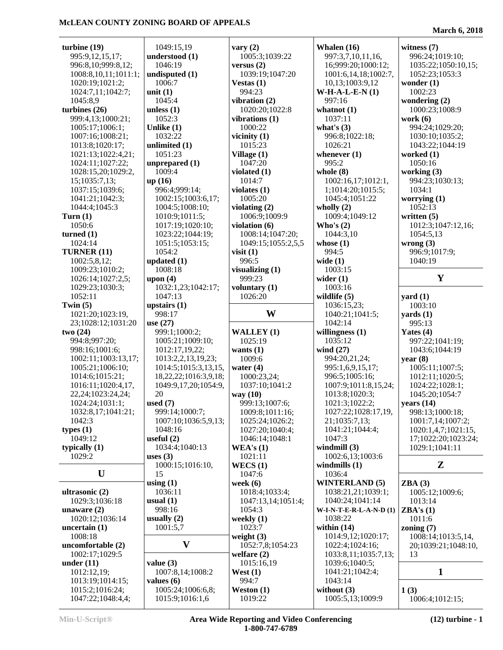| turbine $(19)$                       | 1049:15,19                           | vary $(2)$            | Whalen $(16)$                     | witness $(7)$           |
|--------------------------------------|--------------------------------------|-----------------------|-----------------------------------|-------------------------|
| 995:9,12,15,17;                      | understood (1)                       | 1005:3;1039:22        | 997:3,7,10,11,16,                 | 996:24;1019:10;         |
| 996:8,10;999:8,12;                   | 1046:19                              | versus $(2)$          | 16;999:20;1000:12;                | 1035:22;1050:10,15;     |
| 1008:8,10,11;1011:1;                 | undisputed (1)                       | 1039:19;1047:20       | 1001:6,14,18;1002:7,              | 1052:23;1053:3          |
| 1020:19;1021:2;                      | 1006:7                               | Vestas $(1)$          | 10,13;1003:9,12                   | wonder $(1)$            |
| 1024:7,11;1042:7;                    | unit $(1)$                           | 994:23                | $W-H-A-L-E-N(1)$                  | 1002:23                 |
| 1045:8,9                             | 1045:4                               | vibration (2)         | 997:16                            | wondering (2)           |
|                                      |                                      |                       |                                   |                         |
| turbines $(26)$                      | unless $(1)$                         | 1020:20;1022:8        | whatnot $(1)$                     | 1000:23;1008:9          |
| 999:4,13;1000:21;                    | 1052:3                               | vibrations (1)        | 1037:11                           | work $(6)$              |
| 1005:17;1006:1;                      | Unlike $(1)$                         | 1000:22               | what's $(3)$                      | 994:24;1029:20;         |
| 1007:16;1008:21;                     | 1032:22                              | vicinity $(1)$        | 996:8;1022:18;                    | 1030:10;1035:2;         |
| 1013:8;1020:17;                      | unlimited (1)                        | 1015:23               | 1026:21                           | 1043:22;1044:19         |
| 1021:13;1022:4,21;                   | 1051:23                              | Village (1)           | whenever $(1)$                    | worked (1)              |
| 1024:11;1027:22;                     | unprepared (1)                       | 1047:20               | 995:2                             | 1050:16                 |
| 1028:15,20;1029:2,                   | 1009:4                               | violated $(1)$        | whole $(8)$                       | working (3)             |
|                                      |                                      |                       |                                   |                         |
| 15;1035:7,13;                        | up(16)                               | 1014:7                | 1002:16,17;1012:1,                | 994:23;1030:13;         |
| 1037:15;1039:6;                      | 996:4;999:14;                        | violates $(1)$        | 1;1014:20;1015:5;                 | 1034:1                  |
| 1041:21;1042:3;                      | 1002:15;1003:6,17;                   | 1005:20               | 1045:4;1051:22                    | worrying $(1)$          |
| 1044:4;1045:3                        | 1004:5;1008:10;                      | violating (2)         | wholly $(2)$                      | 1052:13                 |
| Turn $(1)$                           | 1010:9;1011:5;                       | 1006:9;1009:9         | 1009:4;1049:12                    | written $(5)$           |
| 1050:6                               | 1017:19;1020:10;                     | violation $(6)$       | Who's $(2)$                       | 1012:3;1047:12,16;      |
| turned $(1)$                         | 1023:22;1044:19;                     | 1008:14;1047:20;      | 1044:3,10                         | 1054:5,13               |
| 1024:14                              |                                      |                       |                                   |                         |
|                                      | 1051:5;1053:15;                      | 1049:15;1055:2,5,5    | whose $(1)$                       | wrong $(3)$             |
| TURNER (11)                          | 1054:2                               | visit $(1)$           | 994:5                             | 996:9;1017:9;           |
| 1002:5,8,12;                         | updated $(1)$                        | 996:5                 | wide $(1)$                        | 1040:19                 |
| 1009:23;1010:2;                      | 1008:18                              | visualizing $(1)$     | 1003:15                           |                         |
| 1026:14;1027:2,5;                    | upon $(4)$                           | 999:23                | wider $(1)$                       | Y                       |
| 1029:23;1030:3;                      | 1032:1,23;1042:17;                   | voluntary (1)         | 1003:16                           |                         |
| 1052:11                              | 1047:13                              | 1026:20               | wildlife $(5)$                    | yard $(1)$              |
|                                      |                                      |                       |                                   | 1003:10                 |
| Twin $(5)$                           | upstairs $(1)$                       |                       | 1036:15,23;                       |                         |
| 1021:20;1023:19,                     | 998:17                               | W                     | 1040:21;1041:5;                   | $\textbf{yards}(1)$     |
| 23;1028:12;1031:20                   | use $(27)$                           |                       | 1042:14                           | 995:13                  |
|                                      |                                      |                       |                                   |                         |
| two(24)                              | 999:1;1000:2;                        | WALLEY (1)            | willingness $(1)$                 | Yates $(4)$             |
|                                      |                                      |                       | 1035:12                           |                         |
| 994:8;997:20;                        | 1005:21;1009:10;                     | 1025:19               |                                   | 997:22;1041:19;         |
| 998:16;1001:6;                       | 1012:17,19,22;                       | wants $(1)$           | wind $(27)$                       | 1043:6;1044:19          |
| 1002:11;1003:13,17;                  | 1013:2,2,13,19,23;                   | 1009:6                | 994:20,21,24;                     | year(8)                 |
| 1005:21;1006:10;                     | 1014:5;1015:3,13,15,                 | water $(4)$           | 995:1,6,9,15,17;                  | 1005:11;1007:5;         |
| 1014:6;1015:21;                      | 18, 22, 22; 1016: 3, 9, 18;          | 1000:23,24;           | 996:5;1005:16;                    | 1012:11;1020:5;         |
| 1016:11;1020:4,17,                   | 1049:9,17,20;1054:9,                 | 1037:10;1041:2        | 1007:9;1011:8,15,24;              | 1024:22;1028:1;         |
| 22,24;1023:24,24;                    | 20                                   | way (10)              | 1013:8;1020:3;                    | 1045:20;1054:7          |
| 1024:24;1031:1;                      | used $(7)$                           | 999:13;1007:6;        | 1021:3;1022:2;                    | years $(14)$            |
|                                      |                                      |                       |                                   |                         |
| 1032:8,17;1041:21;                   | 999:14;1000:7;                       | 1009:8;1011:16;       | 1027:22;1028:17,19,               | 998:13;1000:18;         |
| 1042:3                               | 1007:10;1036:5,9,13;                 | 1025:24;1026:2;       | 21;1035:7,13;                     | 1001:7,14;1007:2;       |
| types $(1)$                          | 1048:16                              | 1027:20;1040:4;       | 1041:21;1044:4;                   | 1020:1,4,7;1021:15,     |
| 1049:12                              | useful $(2)$                         | 1046:14;1048:1        | 1047:3                            | 17;1022:20;1023:24;     |
| typically $(1)$                      | 1034:4;1040:13                       | WEA's $(1)$           | windmill $(3)$                    | 1029:1;1041:11          |
| 1029:2                               | uses $(3)$                           | 1021:11               | 1002:6,13;1003:6                  |                         |
|                                      | 1000:15;1016:10,                     | WECS(1)               | windmills $(1)$                   | Z                       |
| U                                    | 15                                   | 1047:6                | 1036:4                            |                         |
|                                      |                                      |                       |                                   |                         |
|                                      | using $(1)$                          | week $(6)$            | <b>WINTERLAND (5)</b>             | ZBA(3)                  |
| ultrasonic (2)                       | 1036:11                              | 1018:4;1033:4;        | 1038:21,21;1039:1;                | 1005:12;1009:6;         |
| 1029:3;1036:18                       | usual $(1)$                          | 1047:13,14;1051:4;    | 1040:24;1041:14                   | 1013:14                 |
| unaware $(2)$                        | 998:16                               | 1054:3                | W-I-N-T-E-R-L-A-N-D(1)            | ZBA's(1)                |
| 1020:12;1036:14                      | usually $(2)$                        | weekly $(1)$          | 1038:22                           | 1011:6                  |
| uncertain $(1)$                      | 1001:5,7                             | 1023:7                | within $(14)$                     | zoning $(7)$            |
| 1008:18                              |                                      | weight $(3)$          | 1014:9,12;1020:17;                | 1008:14;1013:5,14,      |
| uncomfortable (2)                    | $\mathbf{V}$                         | 1052:7,8;1054:23      | 1022:4;1024:16;                   | 20;1039:21;1048:10,     |
|                                      |                                      |                       |                                   | 13                      |
| 1002:17;1029:5                       |                                      | welfare $(2)$         | 1033:8,11;1035:7,13;              |                         |
| under $(11)$                         | value $(3)$                          | 1015:16,19            | 1039:6;1040:5;                    |                         |
| 1012:12,19;                          | 1007:8,14;1008:2                     | West $(1)$            | 1041:21;1042:4;                   | $\mathbf{1}$            |
| 1013:19;1014:15;                     | values $(6)$                         | 994:7                 | 1043:14                           |                         |
| 1015:2;1016:24;<br>1047:22;1048:4,4; | 1005:24;1006:6,8;<br>1015:9;1016:1,6 | Weston (1)<br>1019:22 | without $(3)$<br>1005:5,13;1009:9 | 1(3)<br>1006:4;1012:15; |